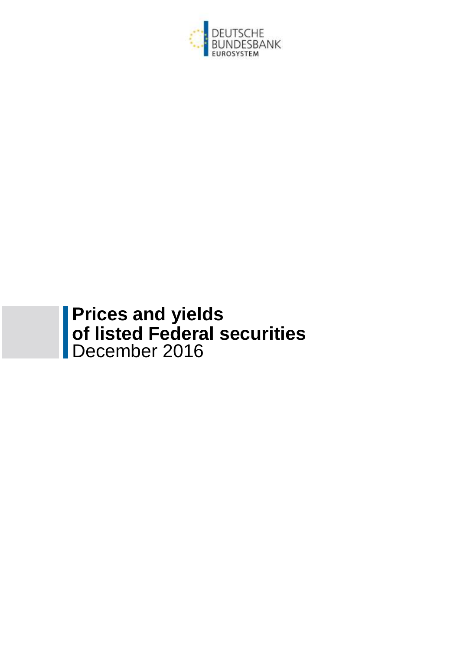

## **Prices and yields of listed Federal securities** December 2016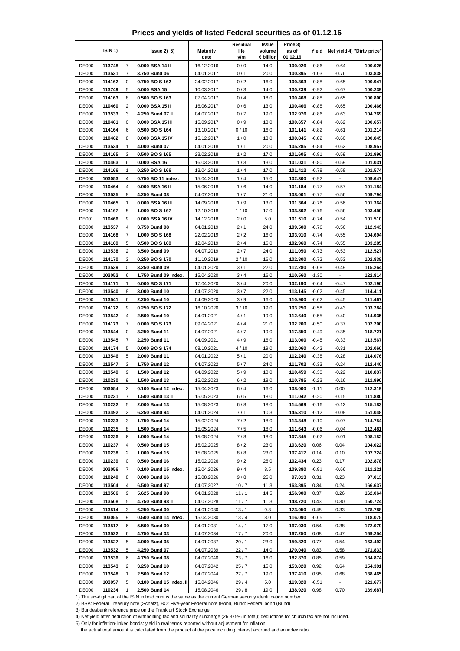|  | Prices and yields of listed Federal securities as of 01.12.16 |  |  |  |
|--|---------------------------------------------------------------|--|--|--|
|--|---------------------------------------------------------------|--|--|--|

|                              | ISIN <sub>1</sub> ) |                         | $lssue2)$ 5)                                                                                                                      | <b>Maturity</b>          | Residual<br>life | Issue<br>volume | Price 3)<br>as of  | Yield              |                          | Net yield 4) "Dirty price" |
|------------------------------|---------------------|-------------------------|-----------------------------------------------------------------------------------------------------------------------------------|--------------------------|------------------|-----------------|--------------------|--------------------|--------------------------|----------------------------|
|                              |                     |                         |                                                                                                                                   | date                     | y/m              | € billion       | 01.12.16           |                    |                          |                            |
| <b>DE000</b>                 | 113748              | $\overline{7}$          | 0.000 BSA 14 II                                                                                                                   | 16.12.2016               | 0/0              | 14.0            | 100.026            | $-0.86$            | $-0.64$                  | 100.026                    |
| <b>DE000</b><br><b>DE000</b> | 113531              | $\overline{7}$<br>0     | 3.750 Bund 06                                                                                                                     | 04.01.2017               | 0/1              | 20.0            | 100.395            | $-1.03$            | $-0.76$                  | 103.838                    |
| <b>DE000</b>                 | 114162<br>113749    | 5                       | 0.750 BO S 162<br>0.000 BSA 15                                                                                                    | 24.02.2017<br>10.03.2017 | 0/2<br>0/3       | 16.0<br>14.0    | 100.363<br>100.239 | $-0.88$<br>$-0.92$ | $-0.65$<br>$-0.67$       | 100.947<br>100.239         |
| <b>DE000</b>                 | 114163              | 8                       | 0.500 BO S 163                                                                                                                    | 07.04.2017               | 0/4              | 18.0            | 100.468            | $-0.88$            | $-0.65$                  | 100.800                    |
| <b>DE000</b>                 | 110460              | $\overline{2}$          | 0.000 BSA 15 II                                                                                                                   | 16.06.2017               | 0/6              | 13.0            | 100.466            | $-0.88$            | $-0.65$                  | 100.466                    |
| <b>DE000</b>                 | 113533              | 3                       | 4.250 Bund 07 II                                                                                                                  | 04.07.2017               | 0/7              | 19.0            | 102.976            | $-0.86$            | $-0.63$                  | 104.769                    |
| <b>DE000</b>                 | 110461              | 0                       | 0.000 BSA 15 III                                                                                                                  | 15.09.2017               | 0/9              | 13.0            | 100.657            | $-0.84$            | $-0.62$                  | 100.657                    |
| <b>DE000</b>                 | 114164              | 6                       | 0.500 BO S 164                                                                                                                    | 13.10.2017               | 0/10             | 16.0            | 101.141            | $-0.82$            | $-0.61$                  | 101.214                    |
| <b>DE000</b>                 | 110462              | 8                       | 0.000 BSA 15 IV                                                                                                                   | 15.12.2017               | 1/0              | 13.0            | 100.845            | $-0.82$            | $-0.60$                  | 100.845                    |
| <b>DE000</b>                 | 113534              | 1                       | 4.000 Bund 07                                                                                                                     | 04.01.2018               | 1/1              | 20.0            | 105.285            | $-0.84$            | $-0.62$                  | 108.957                    |
| <b>DE000</b>                 | 114165              | 3                       | 0.500 BO S 165                                                                                                                    | 23.02.2018               | 1/2              | 17.0            | 101.605            | $-0.81$            | $-0.59$                  | 101.996                    |
| <b>DE000</b>                 | 110463              | 6                       | 0.000 BSA 16                                                                                                                      | 16.03.2018               | 1/3              | 13.0            | 101.031            | $-0.80$            | $-0.59$                  | 101.031                    |
| <b>DE000</b>                 | 114166              | 1                       | 0.250 BO S 166                                                                                                                    | 13.04.2018               | 1/4              | 17.0            | 101.412            | $-0.78$            | $-0.58$                  | 101.574                    |
| DE000                        | 103053<br>110464    | 4<br>4                  | 0.750 BO 11 index.                                                                                                                | 15.04.2018               | 1/4              | 15.0            | 102.300            | $-0.92$            |                          | 109.647                    |
| <b>DE000</b><br><b>DE000</b> | 113535              | 8                       | 0.000 BSA 16 II<br>4.250 Bund 08                                                                                                  | 15.06.2018<br>04.07.2018 | 1/6<br>1/7       | 14.0<br>21.0    | 101.184<br>108.001 | $-0.77$<br>$-0.77$ | $-0.57$<br>$-0.56$       | 101.184<br>109.794         |
| <b>DE000</b>                 | 110465              | 1                       | 0.000 BSA 16 III                                                                                                                  | 14.09.2018               | 1/9              | 13.0            | 101.364            | $-0.76$            | $-0.56$                  | 101.364                    |
| <b>DE000</b>                 | 114167              | 9                       | 1.000 BO S 167                                                                                                                    | 12.10.2018               | 1/10             | 17.0            | 103.302            | $-0.76$            | $-0.56$                  | 103.450                    |
| <b>DE001</b>                 | 110466              | 9                       | 0.000 BSA 16 IV                                                                                                                   | 14.12.2018               | 2/0              | 5.0             | 101.510            | $-0.74$            | $-0.54$                  | 101.510                    |
| <b>DE000</b>                 | 113537              | 4                       | 3.750 Bund 08                                                                                                                     | 04.01.2019               | 2/1              | 24.0            | 109.500            | $-0.76$            | $-0.56$                  | 112.943                    |
| <b>DE000</b>                 | 114168              | 7                       | 1.000 BO S 168                                                                                                                    | 22.02.2019               | 2/2              | 16.0            | 103.910            | $-0.74$            | $-0.55$                  | 104.694                    |
| <b>DE000</b>                 | 114169              | 5                       | 0.500 BO S 169                                                                                                                    | 12.04.2019               | 2/4              | 16.0            | 102.960            | $-0.74$            | $-0.55$                  | 103.285                    |
| <b>DE000</b>                 | 113538              | $\overline{\mathbf{c}}$ | 3.500 Bund 09                                                                                                                     | 04.07.2019               | 2/7              | 24.0            | 111.050            | $-0.73$            | $-0.53$                  | 112.527                    |
| <b>DE000</b>                 | 114170              | 3                       | 0.250 BO S 170                                                                                                                    | 11.10.2019               | 2/10             | 16.0            | 102.800            | $-0.72$            | $-0.53$                  | 102.838                    |
| <b>DE000</b>                 | 113539              | 0                       | 3.250 Bund 09                                                                                                                     | 04.01.2020               | 3/1              | 22.0            | 112.280            | $-0.68$            | $-0.49$                  | 115.264                    |
| <b>DE000</b>                 | 103052              | 6                       | 1.750 Bund 09 index.                                                                                                              | 15.04.2020               | 3/4              | 16.0            | 110.560            | $-1.30$            | $\overline{\phantom{a}}$ | 122.814                    |
| <b>DE000</b><br><b>DE000</b> | 114171<br>113540    | 1<br>8                  | 0.000 BOS 171<br>3.000 Bund 10                                                                                                    | 17.04.2020<br>04.07.2020 | 3/4<br>3/7       | 20.0<br>22.0    | 102.190<br>113.145 | $-0.64$<br>$-0.62$ | $-0.47$<br>$-0.45$       | 102.190<br>114.411         |
| <b>DE000</b>                 | 113541              | 6                       | 2.250 Bund 10                                                                                                                     | 04.09.2020               | 3/9              | 16.0            | 110.900            | $-0.62$            | $-0.45$                  | 111.467                    |
| <b>DE000</b>                 | 114172              | 9                       | 0.250 BO S 172                                                                                                                    | 16.10.2020               | 3 / 10           | 19.0            | 103.250            | $-0.58$            | -0.43                    | 103.284                    |
| <b>DE000</b>                 | 113542              | $\overline{4}$          | 2.500 Bund 10                                                                                                                     | 04.01.2021               | 4/1              | 19.0            | 112.640            | $-0.55$            | $-0.40$                  | 114.935                    |
| <b>DE000</b>                 | 114173              | 7                       | 0.000 BO S 173                                                                                                                    | 09.04.2021               | 4/4              | 21.0            | 102.200            | $-0.50$            | $-0.37$                  | 102.200                    |
| <b>DE000</b>                 | 113544              | 0                       | 3.250 Bund 11                                                                                                                     | 04.07.2021               | 4/7              | 19.0            | 117.350            | $-0.49$            | $-0.35$                  | 118.721                    |
| <b>DE000</b>                 | 113545              | 7                       | 2.250 Bund 11                                                                                                                     | 04.09.2021               | 4/9              | 16.0            | 113.000            | $-0.45$            | $-0.33$                  | 113.567                    |
| <b>DE000</b>                 | 114174              | 5                       | 0.000 BO S 174                                                                                                                    | 08.10.2021               | 4/10             | 19.0            | 102.060            | $-0.42$            | $-0.31$                  | 102.060                    |
| <b>DE000</b>                 | 113546              | 5                       | 2.000 Bund 11                                                                                                                     | 04.01.2022               | 5/1              | 20.0            | 112.240            | $-0.38$            | $-0.28$                  | 114.076                    |
| DE000                        | 113547              | 3                       | 1.750 Bund 12                                                                                                                     | 04.07.2022               | 5/7              | 24.0            | 111.702            | $-0.33$            | $-0.24$                  | 112.440                    |
| <b>DE000</b>                 | 113549              | 9<br>9                  | 1.500 Bund 12                                                                                                                     | 04.09.2022               | 5/9              | 18.0            | 110.459            | $-0.30$            | $-0.22$                  | 110.837                    |
| <b>DE000</b><br><b>DE000</b> | 110230<br>103054    | 2                       | 1.500 Bund 13<br>0.100 Bund 12 index.                                                                                             | 15.02.2023<br>15.04.2023 | 6/2<br>6/4       | 18.0<br>16.0    | 110.785<br>108.000 | $-0.23$<br>$-1.11$ | $-0.16$<br>0.00          | 111.990<br>112.319         |
| <b>DE000</b>                 | 110231              | 7                       | 1.500 Bund 13 II                                                                                                                  | 15.05.2023               | 6/5              | 18.0            | 111.042            | $-0.20$            | $-0.15$                  | 111.880                    |
| <b>DE000</b>                 | 110232              | 5                       | 2.000 Bund 13                                                                                                                     | 15.08.2023               | 6/8              | 18.0            | 114.569            | $-0.16$            | $-0.12$                  | 115.183                    |
| <b>DE000</b>                 | 113492              | $\overline{c}$          | 6.250 Bund 94                                                                                                                     | 04.01.2024               | 7/1              | 10.3            | 145.310            | $-0.12$            | $-0.08$                  | 151.048                    |
| <b>DE000</b>                 | 110233              | 3                       | 1.750 Bund 14                                                                                                                     | 15.02.2024               | $7/2$            | 18.0            | 113.348            | $-0.10$            | $-0.07$                  | 114.754                    |
| <b>DE000</b>                 | 110235              | 8                       | 1.500 Bund 14                                                                                                                     | 15.05.2024               | 7/5              | 18.0            | 111.643            | $-0.06$            | $-0.04$                  | 112.481                    |
| <b>DE000</b>                 | 110236              | 6                       | 1.000 Bund 14                                                                                                                     | 15.08.2024               | 7/8              | 18.0            | 107.845            | $-0.02$            | $-0.01$                  | 108.152                    |
| <b>DE000</b>                 | 110237              | 4                       | 0.500 Bund 15                                                                                                                     | 15.02.2025               | 8/2              | 23.0            | 103.620            | 0.06               | 0.04                     | 104.022                    |
| <b>DE000</b>                 | 110238              | 2                       | 1.000 Bund 15                                                                                                                     | 15.08.2025               | 8/8              | 23.0            | 107.417            | 0.14               | 0.10                     | 107.724                    |
| DE000                        | 110239              | 0                       | 0.500 Bund 16                                                                                                                     | 15.02.2026               | 9/2              | 26.0            | 102.434            | 0.23               | 0.17                     | 102.878                    |
| DE000                        | 103056              | $\boldsymbol{7}$        | 0.100 Bund 15 index.                                                                                                              | 15.04.2026               | 9/4              | 8.5             | 109.880            | $-0.91$            | $-0.66$                  | 111.221                    |
| <b>DE000</b><br><b>DE000</b> | 110240<br>113504    | 8<br>4                  | 0.000 Bund 16<br>6.500 Bund 97                                                                                                    | 15.08.2026               | 9/8              | 25.0            | 97.013<br>163.895  | 0.31<br>0.34       | 0.23<br>0.24             | 97.013                     |
| <b>DE000</b>                 | 113506              | 9                       | 5.625 Bund 98                                                                                                                     | 04.07.2027<br>04.01.2028 | 10/7<br>11/1     | 11.3<br>14.5    | 156.900            | 0.37               | 0.26                     | 166.637<br>162.064         |
| <b>DE000</b>                 | 113508              | 5                       | 4.750 Bund 98 II                                                                                                                  | 04.07.2028               | 11/7             | 11.3            | 148.720            | 0.43               | 0.30                     | 150.724                    |
| <b>DE000</b>                 | 113514              | 3                       | 6.250 Bund 00                                                                                                                     | 04.01.2030               | 13/1             | 9.3             | 173.050            | 0.48               | 0.33                     | 178.788                    |
| <b>DE000</b>                 | 103055              | 9                       | 0.500 Bund 14 index.                                                                                                              | 15.04.2030               | 13/4             | 8.0             | 116.090            | $-0.65$            |                          | 118.075                    |
| <b>DE000</b>                 | 113517              | 6                       | 5.500 Bund 00                                                                                                                     | 04.01.2031               | 14/1             | 17.0            | 167.030            | 0.54               | 0.38                     | 172.079                    |
| <b>DE000</b>                 | 113522              | 6                       | 4.750 Bund 03                                                                                                                     | 04.07.2034               | 17/7             | 20.0            | 167.250            | 0.68               | 0.47                     | 169.254                    |
| <b>DE000</b>                 | 113527              | 5                       | 4.000 Bund 05                                                                                                                     | 04.01.2037               | 20/1             | 23.0            | 159.820            | 0.77               | 0.54                     | 163.492                    |
| <b>DE000</b>                 | 113532              | 5                       | 4.250 Bund 07                                                                                                                     | 04.07.2039               | 22/7             | 14.0            | 170.040            | 0.83               | 0.58                     | 171.833                    |
| <b>DE000</b>                 | 113536              | 6                       | 4.750 Bund 08                                                                                                                     | 04.07.2040               | 23/7             | 16.0            | 182.870            | 0.85               | 0.59                     | 184.874                    |
| <b>DE000</b>                 | 113543              | 2                       | 3.250 Bund 10                                                                                                                     | 04.07.2042               | 25/7             | 15.0            | 153.020            | 0.92               | 0.64                     | 154.391                    |
| <b>DE000</b>                 | 113548              | $\mathbf{1}$            | 2.500 Bund 12                                                                                                                     | 04.07.2044               | 27/7             | 19.0            | 137.410            | 0.95               | 0.68                     | 138.465                    |
| <b>DE000</b><br><b>DE000</b> | 103057              | 5<br>$\mathbf{1}$       | 0.100 Bund 15 index. II                                                                                                           | 15.04.2046               | 29/4             | 5.0             | 119.320            | $-0.51$            |                          | 121.677                    |
|                              | 110234              |                         | 2.500 Bund 14<br>1) The six-digit part of the ISIN in bold print is the same as the current German security identification number | 15.08.2046               | 29/8             | 19.0            | 138.920            | 0.98               | 0.70                     | 139.687                    |

3) Bundesbank reference price on the Frankfurt Stock Exchange

4) Net yield after deduction of withholding tax and solidarity surcharge (26.375% in total); deductions for church tax are not included.

5) Only for inflation-linked bonds: yield in real terms reported without adjustment for inflation;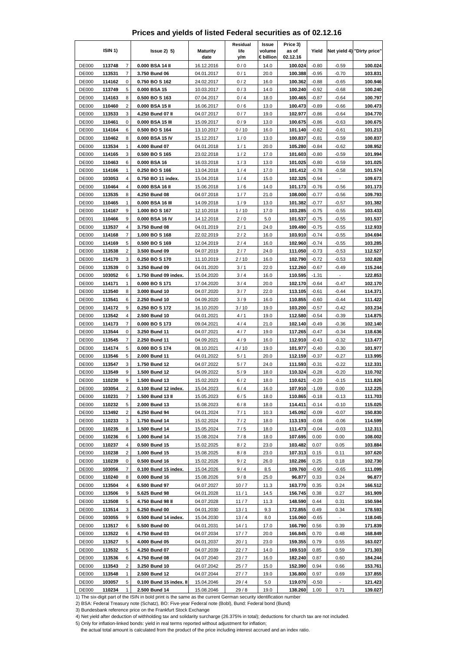|  | Prices and yields of listed Federal securities as of 02.12.16 |  |  |  |
|--|---------------------------------------------------------------|--|--|--|
|--|---------------------------------------------------------------|--|--|--|

|                              | ISIN <sub>1</sub> ) |                         | $lssue2)$ 5)                                                                                                     | <b>Maturity</b>          | Residual<br>life | Issue<br>volume   | Price 3)<br>as of   | Yield              |                                     | Net yield 4) "Dirty price" |
|------------------------------|---------------------|-------------------------|------------------------------------------------------------------------------------------------------------------|--------------------------|------------------|-------------------|---------------------|--------------------|-------------------------------------|----------------------------|
| <b>DE000</b>                 | 113748              | $\overline{7}$          | 0.000 BSA 14 II                                                                                                  | date<br>16.12.2016       | y/m<br>0/0       | € billion<br>14.0 | 02.12.16<br>100.024 | $-0.80$            | $-0.59$                             | 100.024                    |
| <b>DE000</b>                 | 113531              | $\overline{7}$          | 3.750 Bund 06                                                                                                    | 04.01.2017               | 0/1              | 20.0              | 100.388             | $-0.95$            | $-0.70$                             | 103.831                    |
| <b>DE000</b>                 | 114162              | 0                       | 0.750 BO S 162                                                                                                   | 24.02.2017               | 0/2              | 16.0              | 100.362             | $-0.88$            | $-0.65$                             | 100.946                    |
| <b>DE000</b>                 | 113749              | 5                       | 0.000 BSA 15                                                                                                     | 10.03.2017               | 0/3              | 14.0              | 100.240             | $-0.92$            | $-0.68$                             | 100.240                    |
| <b>DE000</b>                 | 114163              | 8                       | 0.500 BO S 163                                                                                                   | 07.04.2017               | 0/4              | 18.0              | 100.465             | $-0.87$            | $-0.64$                             | 100.797                    |
| <b>DE000</b>                 | 110460              | $\overline{2}$          | 0.000 BSA 15 II                                                                                                  | 16.06.2017               | 0/6              | 13.0              | 100.473             | $-0.89$            | $-0.66$                             | 100.473                    |
| <b>DE000</b>                 | 113533              | 3                       | 4.250 Bund 07 II                                                                                                 | 04.07.2017               | 0/7              | 19.0              | 102.977             | $-0.86$            | $-0.64$                             | 104.770                    |
| <b>DE000</b>                 | 110461              | 0                       | 0.000 BSA 15 III                                                                                                 | 15.09.2017               | 0/9              | 13.0              | 100.675             | $-0.86$            | $-0.63$                             | 100.675                    |
| <b>DE000</b>                 | 114164              | 6                       | 0.500 BO S 164                                                                                                   | 13.10.2017               | 0/10             | 16.0              | 101.140             | $-0.82$            | $-0.61$                             | 101.213                    |
| <b>DE000</b>                 | 110462              | 8                       | 0.000 BSA 15 IV                                                                                                  | 15.12.2017               | 1/0              | 13.0              | 100.837             | $-0.81$            | $-0.59$                             | 100.837                    |
| <b>DE000</b>                 | 113534              | 1                       | 4.000 Bund 07                                                                                                    | 04.01.2018               | 1/1              | 20.0              | 105.280             | $-0.84$            | $-0.62$                             | 108.952                    |
| <b>DE000</b>                 | 114165              | 3                       | 0.500 BO S 165                                                                                                   | 23.02.2018               | 1/2              | 17.0              | 101.603             | $-0.80$            | $-0.59$                             | 101.994                    |
| <b>DE000</b><br><b>DE000</b> | 110463<br>114166    | 6<br>1                  | 0.000 BSA 16<br>0.250 BO S 166                                                                                   | 16.03.2018<br>13.04.2018 | 1/3<br>1/4       | 13.0<br>17.0      | 101.025<br>101.412  | $-0.80$<br>$-0.78$ | $-0.59$<br>$-0.58$                  | 101.025<br>101.574         |
| DE000                        | 103053              | 4                       | 0.750 BO 11 index.                                                                                               | 15.04.2018               | 1/4              | 15.0              | 102.325             | $-0.94$            |                                     | 109.673                    |
| <b>DE000</b>                 | 110464              | 4                       | 0.000 BSA 16 II                                                                                                  | 15.06.2018               | 1/6              | 14.0              | 101.173             | $-0.76$            | $-0.56$                             | 101.173                    |
| <b>DE000</b>                 | 113535              | 8                       | 4.250 Bund 08                                                                                                    | 04.07.2018               | 1/7              | 21.0              | 108.000             | $-0.77$            | $-0.56$                             | 109.793                    |
| <b>DE000</b>                 | 110465              | 1                       | 0.000 BSA 16 III                                                                                                 | 14.09.2018               | 1/9              | 13.0              | 101.382             | $-0.77$            | $-0.57$                             | 101.382                    |
| <b>DE000</b>                 | 114167              | 9                       | 1.000 BO S 167                                                                                                   | 12.10.2018               | 1/10             | 17.0              | 103.285             | $-0.75$            | $-0.55$                             | 103.433                    |
| <b>DE001</b>                 | 110466              | 9                       | 0.000 BSA 16 IV                                                                                                  | 14.12.2018               | 2/0              | 5.0               | 101.537             | $-0.75$            | $-0.55$                             | 101.537                    |
| <b>DE000</b>                 | 113537              | 4                       | 3.750 Bund 08                                                                                                    | 04.01.2019               | 2/1              | 24.0              | 109.490             | $-0.75$            | $-0.55$                             | 112.933                    |
| <b>DE000</b>                 | 114168              | 7                       | 1.000 BO S 168                                                                                                   | 22.02.2019               | 2/2              | 16.0              | 103.910             | $-0.74$            | $-0.55$                             | 104.694                    |
| <b>DE000</b>                 | 114169              | 5                       | 0.500 BO S 169                                                                                                   | 12.04.2019               | 2/4              | 16.0              | 102.960             | $-0.74$            | $-0.55$                             | 103.285                    |
| <b>DE000</b>                 | 113538              | $\overline{\mathbf{c}}$ | 3.500 Bund 09                                                                                                    | 04.07.2019               | 2/7              | 24.0              | 111.050             | $-0.73$            | $-0.53$                             | 112.527                    |
| <b>DE000</b>                 | 114170              | 3                       | 0.250 BO S 170                                                                                                   | 11.10.2019               | 2/10             | 16.0              | 102.790             | $-0.72$            | $-0.53$                             | 102.828                    |
| <b>DE000</b><br><b>DE000</b> | 113539<br>103052    | 0<br>6                  | 3.250 Bund 09<br>1.750 Bund 09 index.                                                                            | 04.01.2020<br>15.04.2020 | 3/1<br>3/4       | 22.0<br>16.0      | 112.260<br>110.595  | $-0.67$<br>$-1.31$ | $-0.49$<br>$\overline{\phantom{a}}$ | 115.244<br>122.853         |
| <b>DE000</b>                 | 114171              | 1                       | 0.000 BOS 171                                                                                                    | 17.04.2020               | 3/4              | 20.0              | 102.170             | $-0.64$            | $-0.47$                             | 102.170                    |
| <b>DE000</b>                 | 113540              | 8                       | 3.000 Bund 10                                                                                                    | 04.07.2020               | 3/7              | 22.0              | 113.105             | $-0.61$            | $-0.44$                             | 114.371                    |
| <b>DE000</b>                 | 113541              | 6                       | 2.250 Bund 10                                                                                                    | 04.09.2020               | 3/9              | 16.0              | 110.855             | $-0.60$            | $-0.44$                             | 111.422                    |
| <b>DE000</b>                 | 114172              | 9                       | 0.250 BO S 172                                                                                                   | 16.10.2020               | 3 / 10           | 19.0              | 103.200             | $-0.57$            | -0.42                               | 103.234                    |
| <b>DE000</b>                 | 113542              | $\overline{4}$          | 2.500 Bund 10                                                                                                    | 04.01.2021               | 4/1              | 19.0              | 112.580             | $-0.54$            | $-0.39$                             | 114.875                    |
| <b>DE000</b>                 | 114173              | 7                       | 0.000 BO S 173                                                                                                   | 09.04.2021               | 4/4              | 21.0              | 102.140             | $-0.49$            | $-0.36$                             | 102.140                    |
| <b>DE000</b>                 | 113544              | 0                       | 3.250 Bund 11                                                                                                    | 04.07.2021               | 4/7              | 19.0              | 117.265             | $-0.47$            | $-0.34$                             | 118.636                    |
| <b>DE000</b>                 | 113545              | 7                       | 2.250 Bund 11                                                                                                    | 04.09.2021               | 4/9              | 16.0              | 112.910             | $-0.43$            | $-0.32$                             | 113.477                    |
| <b>DE000</b>                 | 114174              | 5                       | 0.000 BO S 174                                                                                                   | 08.10.2021               | 4/10             | 19.0              | 101.977             | $-0.40$            | $-0.30$                             | 101.977                    |
| <b>DE000</b>                 | 113546              | 5                       | 2.000 Bund 11                                                                                                    | 04.01.2022               | 5/1              | 20.0              | 112.159             | $-0.37$            | $-0.27$                             | 113.995                    |
| DE000                        | 113547              | 3<br>9                  | 1.750 Bund 12<br>1.500 Bund 12                                                                                   | 04.07.2022               | 5/7              | 24.0              | 111.593             | $-0.31$            | $-0.22$                             | 112.331<br>110.702         |
| <b>DE000</b><br><b>DE000</b> | 113549<br>110230    | 9                       | 1.500 Bund 13                                                                                                    | 04.09.2022<br>15.02.2023 | 5/9<br>6/2       | 18.0<br>18.0      | 110.324<br>110.621  | $-0.28$<br>$-0.20$ | $-0.20$<br>$-0.15$                  | 111.826                    |
| <b>DE000</b>                 | 103054              | 2                       | 0.100 Bund 12 index.                                                                                             | 15.04.2023               | 6/4              | 16.0              | 107.910             | $-1.09$            | 0.00                                | 112.225                    |
| <b>DE000</b>                 | 110231              | 7                       | 1.500 Bund 13 II                                                                                                 | 15.05.2023               | 6/5              | 18.0              | 110.865             | $-0.18$            | $-0.13$                             | 111.703                    |
| <b>DE000</b>                 | 110232              | 5                       | 2.000 Bund 13                                                                                                    | 15.08.2023               | 6/8              | 18.0              | 114.411             | $-0.14$            | $-0.10$                             | 115.025                    |
| <b>DE000</b>                 | 113492              | $\overline{c}$          | 6.250 Bund 94                                                                                                    | 04.01.2024               | 7/1              | 10.3              | 145.092             | $-0.09$            | $-0.07$                             | 150.830                    |
| <b>DE000</b>                 | 110233              | 3                       | 1.750 Bund 14                                                                                                    | 15.02.2024               | $7/2$            | 18.0              | 113.193             | $-0.08$            | $-0.06$                             | 114.599                    |
| <b>DE000</b>                 | 110235              | 8                       | 1.500 Bund 14                                                                                                    | 15.05.2024               | 7/5              | 18.0              | 111.473             | $-0.04$            | $-0.03$                             | 112.311                    |
| <b>DE000</b>                 | 110236              | 6                       | 1.000 Bund 14                                                                                                    | 15.08.2024               | 7/8              | 18.0              | 107.695             | 0.00               | 0.00                                | 108.002                    |
| <b>DE000</b>                 | 110237              | 4                       | 0.500 Bund 15                                                                                                    | 15.02.2025               | 8/2              | 23.0              | 103.482             | 0.07               | 0.05                                | 103.884                    |
| <b>DE000</b>                 | 110238              | 2                       | 1.000 Bund 15                                                                                                    | 15.08.2025               | 8/8              | 23.0              | 107.313             | 0.15               | 0.11                                | 107.620                    |
| DE000                        | 110239              | 0                       | 0.500 Bund 16                                                                                                    | 15.02.2026               | 9/2              | 26.0              | 102.286             | 0.25               | 0.18                                | 102.730                    |
| <b>DE000</b><br><b>DE000</b> | 103056<br>110240    | $\boldsymbol{7}$<br>8   | 0.100 Bund 15 index.<br>0.000 Bund 16                                                                            | 15.04.2026               | 9/4<br>9/8       | 8.5<br>25.0       | 109.760<br>96.877   | $-0.90$            | $-0.65$<br>0.24                     | 111.099<br>96.877          |
| <b>DE000</b>                 | 113504              | 4                       | 6.500 Bund 97                                                                                                    | 15.08.2026<br>04.07.2027 | 10/7             | 11.3              | 163.770             | 0.33<br>0.35       | 0.24                                | 166.512                    |
| <b>DE000</b>                 | 113506              | 9                       | 5.625 Bund 98                                                                                                    | 04.01.2028               | 11/1             | 14.5              | 156.745             | 0.38               | 0.27                                | 161.909                    |
| <b>DE000</b>                 | 113508              | 5                       | 4.750 Bund 98 II                                                                                                 | 04.07.2028               | 11/7             | 11.3              | 148.590             | 0.44               | 0.31                                | 150.594                    |
| <b>DE000</b>                 | 113514              | 3                       | 6.250 Bund 00                                                                                                    | 04.01.2030               | 13/1             | 9.3               | 172.855             | 0.49               | 0.34                                | 178.593                    |
| <b>DE000</b>                 | 103055              | 9                       | 0.500 Bund 14 index.                                                                                             | 15.04.2030               | 13/4             | 8.0               | 116.060             | $-0.65$            |                                     | 118.045                    |
| <b>DE000</b>                 | 113517              | 6                       | 5.500 Bund 00                                                                                                    | 04.01.2031               | 14/1             | 17.0              | 166.790             | 0.56               | 0.39                                | 171.839                    |
| <b>DE000</b>                 | 113522              | 6                       | 4.750 Bund 03                                                                                                    | 04.07.2034               | 17/7             | 20.0              | 166.845             | 0.70               | 0.48                                | 168.849                    |
| <b>DE000</b>                 | 113527              | 5                       | 4.000 Bund 05                                                                                                    | 04.01.2037               | 20/1             | 23.0              | 159.355             | 0.79               | 0.55                                | 163.027                    |
| <b>DE000</b>                 | 113532              | 5                       | 4.250 Bund 07                                                                                                    | 04.07.2039               | 22/7             | 14.0              | 169.510             | 0.85               | 0.59                                | 171.303                    |
| <b>DE000</b>                 | 113536              | 6                       | 4.750 Bund 08                                                                                                    | 04.07.2040               | 23/7             | 16.0              | 182.240             | 0.87               | 0.60                                | 184.244                    |
| <b>DE000</b>                 | 113543              | 2                       | 3.250 Bund 10                                                                                                    | 04.07.2042               | 25/7             | 15.0              | 152.390             | 0.94               | 0.66                                | 153.761                    |
| <b>DE000</b><br><b>DE000</b> | 113548<br>103057    | $\mathbf{1}$<br>5       | 2.500 Bund 12<br>0.100 Bund 15 index. II                                                                         | 04.07.2044<br>15.04.2046 | 27/7<br>29/4     | 19.0<br>5.0       | 136.800<br>119.070  | 0.97<br>$-0.50$    | 0.69                                | 137.855                    |
| <b>DE000</b>                 | 110234              | $\mathbf{1}$            | 2.500 Bund 14                                                                                                    | 15.08.2046               | 29/8             | 19.0              | 138.260             | 1.00               | 0.71                                | 121.423<br>139.027         |
|                              |                     |                         | 1) The six-digit part of the ISIN in bold print is the same as the current German security identification number |                          |                  |                   |                     |                    |                                     |                            |

3) Bundesbank reference price on the Frankfurt Stock Exchange

4) Net yield after deduction of withholding tax and solidarity surcharge (26.375% in total); deductions for church tax are not included.

5) Only for inflation-linked bonds: yield in real terms reported without adjustment for inflation;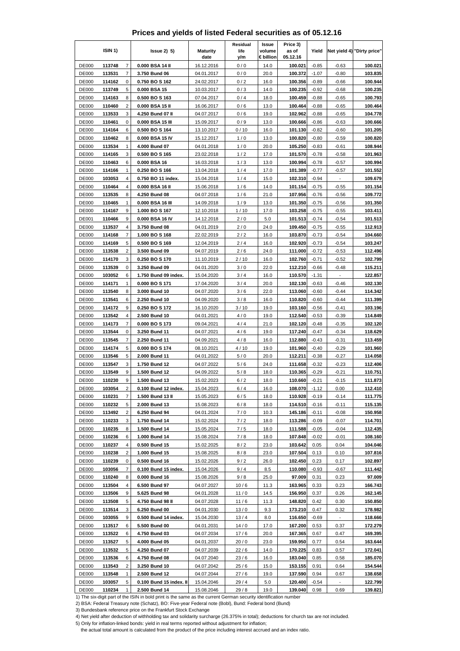|  | Prices and yields of listed Federal securities as of 05.12.16 |  |  |  |
|--|---------------------------------------------------------------|--|--|--|
|--|---------------------------------------------------------------|--|--|--|

|                              | ISIN 1)          |                         | $lssue2)$ 5)                                                                                                     | <b>Maturity</b>          | Residual<br>life | Issue<br>volume   | Price 3)<br>as of   | Yield              |                    | Net yield 4) "Dirty price" |
|------------------------------|------------------|-------------------------|------------------------------------------------------------------------------------------------------------------|--------------------------|------------------|-------------------|---------------------|--------------------|--------------------|----------------------------|
| <b>DE000</b>                 | 113748           | $\overline{7}$          | 0.000 BSA 14 II                                                                                                  | date<br>16.12.2016       | y/m<br>0/0       | € billion<br>14.0 | 05.12.16<br>100.021 | $-0.85$            | $-0.63$            | 100.021                    |
| <b>DE000</b>                 | 113531           | $\overline{7}$          | 3.750 Bund 06                                                                                                    | 04.01.2017               | 0/0              | 20.0              | 100.372             | $-1.07$            | $-0.80$            | 103.835                    |
| <b>DE000</b>                 | 114162           | 0                       | 0.750 BO S 162                                                                                                   | 24.02.2017               | 0/2              | 16.0              | 100.356             | $-0.89$            | $-0.66$            | 100.944                    |
| <b>DE000</b>                 | 113749           | 5                       | 0.000 BSA 15                                                                                                     | 10.03.2017               | 0/3              | 14.0              | 100.235             | $-0.92$            | $-0.68$            | 100.235                    |
| <b>DE000</b>                 | 114163           | 8                       | 0.500 BO S 163                                                                                                   | 07.04.2017               | 0/4              | 18.0              | 100.459             | $-0.88$            | $-0.65$            | 100.793                    |
| <b>DE000</b>                 | 110460           | $\overline{2}$          | 0.000 BSA 15 II                                                                                                  | 16.06.2017               | 0/6              | 13.0              | 100.464             | $-0.88$            | $-0.65$            | 100.464                    |
| <b>DE000</b>                 | 113533           | 3                       | 4.250 Bund 07 II                                                                                                 | 04.07.2017               | 0/6              | 19.0              | 102.962             | $-0.88$            | $-0.65$            | 104.778                    |
| <b>DE000</b>                 | 110461           | 0                       | 0.000 BSA 15 III                                                                                                 | 15.09.2017               | 0/9              | 13.0              | 100.666             | $-0.86$            | $-0.63$            | 100.666                    |
| <b>DE000</b><br><b>DE000</b> | 114164           | 6<br>8                  | 0.500 BO S 164<br>0.000 BSA 15 IV                                                                                | 13.10.2017               | 0/10             | 16.0              | 101.130             | $-0.82$            | $-0.60$            | 101.205                    |
| <b>DE000</b>                 | 110462<br>113534 | 1                       | 4.000 Bund 07                                                                                                    | 15.12.2017<br>04.01.2018 | 1/0<br>1/0       | 13.0<br>20.0      | 100.820<br>105.250  | $-0.80$<br>$-0.83$ | $-0.59$<br>$-0.61$ | 100.820<br>108.944         |
| <b>DE000</b>                 | 114165           | 3                       | 0.500 BO S 165                                                                                                   | 23.02.2018               | 1/2              | 17.0              | 101.570             | $-0.78$            | $-0.58$            | 101.963                    |
| <b>DE000</b>                 | 110463           | 6                       | 0.000 BSA 16                                                                                                     | 16.03.2018               | 1/3              | 13.0              | 100.994             | $-0.78$            | $-0.57$            | 100.994                    |
| <b>DE000</b>                 | 114166           | 1                       | 0.250 BO S 166                                                                                                   | 13.04.2018               | 1/4              | 17.0              | 101.389             | $-0.77$            | $-0.57$            | 101.552                    |
| DE000                        | 103053           | 4                       | 0.750 BO 11 index.                                                                                               | 15.04.2018               | 1/4              | 15.0              | 102.310             | $-0.94$            | $\overline{a}$     | 109.679                    |
| <b>DE000</b>                 | 110464           | 4                       | 0.000 BSA 16 II                                                                                                  | 15.06.2018               | 1/6              | 14.0              | 101.154             | $-0.75$            | $-0.55$            | 101.154                    |
| <b>DE000</b>                 | 113535           | 8                       | 4.250 Bund 08                                                                                                    | 04.07.2018               | 1/6              | 21.0              | 107.956             | $-0.76$            | $-0.56$            | 109.772                    |
| <b>DE000</b>                 | 110465           | 1                       | 0.000 BSA 16 III                                                                                                 | 14.09.2018               | 1/9              | 13.0              | 101.350             | $-0.75$            | $-0.56$            | 101.350                    |
| DE000                        | 114167           | 9                       | 1.000 BO S 167                                                                                                   | 12.10.2018               | 1/10             | 17.0              | 103.258             | $-0.75$            | $-0.55$            | 103.411                    |
| <b>DE001</b><br><b>DE000</b> | 110466<br>113537 | 9<br>4                  | 0.000 BSA 16 IV<br>3.750 Bund 08                                                                                 | 14.12.2018<br>04.01.2019 | 2/0<br>2/0       | 5.0<br>24.0       | 101.513<br>109.450  | $-0.74$<br>$-0.75$ | $-0.54$<br>$-0.55$ | 101.513<br>112.913         |
| <b>DE000</b>                 | 114168           | 7                       | 1.000 BO S 168                                                                                                   | 22.02.2019               | 2/2              | 16.0              | 103.870             | $-0.73$            | $-0.54$            | 104.660                    |
| <b>DE000</b>                 | 114169           | 5                       | 0.500 BO S 169                                                                                                   | 12.04.2019               | 2/4              | 16.0              | 102.920             | $-0.73$            | $-0.54$            | 103.247                    |
| <b>DE000</b>                 | 113538           | $\overline{\mathbf{c}}$ | 3.500 Bund 09                                                                                                    | 04.07.2019               | 2/6              | 24.0              | 111.000             | $-0.72$            | $-0.53$            | 112.496                    |
| <b>DE000</b>                 | 114170           | 3                       | 0.250 BO S 170                                                                                                   | 11.10.2019               | 2/10             | 16.0              | 102.760             | $-0.71$            | $-0.52$            | 102.799                    |
| <b>DE000</b>                 | 113539           | 0                       | 3.250 Bund 09                                                                                                    | 04.01.2020               | 3/0              | 22.0              | 112.210             | $-0.66$            | $-0.48$            | 115.211                    |
| DE000                        | 103052           | 6                       | 1.750 Bund 09 index.                                                                                             | 15.04.2020               | 3/4              | 16.0              | 110.570             | $-1.31$            | $\overline{a}$     | 122.857                    |
| <b>DE000</b>                 | 114171           | $\mathbf{1}$            | 0.000 BO S 171                                                                                                   | 17.04.2020               | 3/4              | 20.0              | 102.130             | $-0.63$            | $-0.46$            | 102.130                    |
| <b>DE000</b>                 | 113540           | 8                       | 3.000 Bund 10                                                                                                    | 04.07.2020               | 3/6              | 22.0              | 113.060             | $-0.60$            | $-0.44$            | 114.342                    |
| <b>DE000</b>                 | 113541           | 6                       | 2.250 Bund 10                                                                                                    | 04.09.2020               | 3/8              | 16.0              | 110.820             | $-0.60$            | $-0.44$            | 111.399                    |
| <b>DE000</b><br><b>DE000</b> | 114172<br>113542 | 9<br>4                  | 0.250 BO S 172<br>2.500 Bund 10                                                                                  | 16.10.2020<br>04.01.2021 | 3/10<br>4/0      | 19.0<br>19.0      | 103.160<br>112.540  | $-0.56$<br>$-0.53$ | $-0.41$<br>$-0.39$ | 103.196<br>114.849         |
| <b>DE000</b>                 | 114173           | 7                       | 0.000 BO S 173                                                                                                   | 09.04.2021               | 4/4              | 21.0              | 102.120             | $-0.48$            | $-0.35$            | 102.120                    |
| <b>DE000</b>                 | 113544           | 0                       | 3.250 Bund 11                                                                                                    | 04.07.2021               | 4/6              | 19.0              | 117.240             | $-0.47$            | $-0.34$            | 118.629                    |
| <b>DE000</b>                 | 113545           | 7                       | 2.250 Bund 11                                                                                                    | 04.09.2021               | 4/8              | 16.0              | 112.880             | -0.43              | $-0.31$            | 113.459                    |
| <b>DE000</b>                 | 114174           | 5                       | 0.000 BO S 174                                                                                                   | 08.10.2021               | 4/10             | 19.0              | 101.960             | $-0.40$            | $-0.29$            | 101.960                    |
| <b>DE000</b>                 | 113546           | 5                       | 2.000 Bund 11                                                                                                    | 04.01.2022               | 5/0              | 20.0              | 112.211             | $-0.38$            | $-0.27$            | 114.058                    |
| DE000                        | 113547           | 3                       | 1.750 Bund 12                                                                                                    | 04.07.2022               | 5/6              | 24.0              | 111.658             | $-0.32$            | $-0.23$            | 112.406                    |
| <b>DE000</b>                 | 113549           | 9                       | 1.500 Bund 12                                                                                                    | 04.09.2022               | 5/8              | 18.0              | 110.365             | $-0.29$            | $-0.21$            | 110.751                    |
| <b>DE000</b>                 | 110230           | 9                       | 1.500 Bund 13                                                                                                    | 15.02.2023               | 6/2              | 18.0              | 110.660             | $-0.21$            | $-0.15$            | 111.873                    |
| <b>DE000</b>                 | 103054           | 2                       | 0.100 Bund 12 index.                                                                                             | 15.04.2023               | 6/4              | 16.0              | 108.070             | $-1.12$            | 0.00               | 112.410                    |
| <b>DE000</b><br><b>DE000</b> | 110231<br>110232 | 7<br>5                  | 1.500 Bund 13 II<br>2.000 Bund 13                                                                                | 15.05.2023<br>15.08.2023 | 6/5<br>6/8       | 18.0<br>18.0      | 110.928<br>114.510  | $-0.19$<br>$-0.16$ | $-0.14$<br>$-0.11$ | 111.775<br>115.135         |
| <b>DE000</b>                 | 113492           | $\overline{c}$          | 6.250 Bund 94                                                                                                    | 04.01.2024               | 7/0              | 10.3              | 145.186             | $-0.11$            | $-0.08$            | 150.958                    |
| <b>DE000</b>                 | 110233           | 3                       | 1.750 Bund 14                                                                                                    | 15.02.2024               | $7/2$            | 18.0              | 113.286             | $-0.09$            | $-0.07$            | 114.701                    |
| <b>DE000</b>                 | 110235           | 8                       | 1.500 Bund 14                                                                                                    | 15.05.2024               | 7/5              | 18.0              | 111.588             | $-0.05$            | $-0.04$            | 112.435                    |
| <b>DE000</b>                 | 110236           | 6                       | 1.000 Bund 14                                                                                                    | 15.08.2024               | 7/8              | 18.0              | 107.848             | $-0.02$            | $-0.01$            | 108.160                    |
| <b>DE000</b>                 | 110237           | 4                       | 0.500 Bund 15                                                                                                    | 15.02.2025               | 8/2              | 23.0              | 103.642             | 0.05               | 0.04               | 104.046                    |
| <b>DE000</b>                 | 110238           | 2                       | 1.000 Bund 15                                                                                                    | 15.08.2025               | 8/8              | 23.0              | 107.504             | 0.13               | 0.10               | 107.816                    |
| <b>DE000</b>                 | 110239           | 0                       | 0.500 Bund 16                                                                                                    | 15.02.2026               | 9/2              | 26.0              | 102.450             | 0.23               | 0.17               | 102.897                    |
| DE000                        | 103056           | $\boldsymbol{7}$        | 0.100 Bund 15 index.                                                                                             | 15.04.2026               | 9/4              | 8.5               | 110.080             | $-0.93$            | $-0.67$            | 111.442                    |
| <b>DE000</b>                 | 110240           | 8                       | 0.000 Bund 16                                                                                                    | 15.08.2026               | 9/8              | 25.0              | 97.009              | 0.31               | 0.23               | 97.009                     |
| <b>DE000</b><br>DE000        | 113504<br>113506 | 4<br>9                  | 6.500 Bund 97<br>5.625 Bund 98                                                                                   | 04.07.2027<br>04.01.2028 | 10/6<br>11/0     | 11.3<br>14.5      | 163.965<br>156.950  | 0.33<br>0.37       | 0.23<br>0.26       | 166.743<br>162.145         |
| <b>DE000</b>                 | 113508           | 5                       | 4.750 Bund 98 II                                                                                                 | 04.07.2028               | 11/6             | 11.3              | 148.820             | 0.42               | 0.30               | 150.850                    |
| <b>DE000</b>                 | 113514           | 3                       | 6.250 Bund 00                                                                                                    | 04.01.2030               | 13/0             | 9.3               | 173.210             | 0.47               | 0.32               | 178.982                    |
| <b>DE000</b>                 | 103055           | 9                       | 0.500 Bund 14 index.                                                                                             | 15.04.2030               | 13/4             | 8.0               | 116.650             | $-0.69$            |                    | 118.666                    |
| <b>DE000</b>                 | 113517           | 6                       | 5.500 Bund 00                                                                                                    | 04.01.2031               | 14/0             | 17.0              | 167.200             | 0.53               | 0.37               | 172.279                    |
| <b>DE000</b>                 | 113522           | 6                       | 4.750 Bund 03                                                                                                    | 04.07.2034               | 17/6             | 20.0              | 167.365             | 0.67               | 0.47               | 169.395                    |
| <b>DE000</b>                 | 113527           | 5                       | 4.000 Bund 05                                                                                                    | 04.01.2037               | 20/0             | 23.0              | 159.950             | 0.77               | 0.54               | 163.644                    |
| <b>DE000</b>                 | 113532           | 5                       | 4.250 Bund 07                                                                                                    | 04.07.2039               | 22/6             | 14.0              | 170.225             | 0.83               | 0.57               | 172.041                    |
| <b>DE000</b>                 | 113536           | 6                       | 4.750 Bund 08                                                                                                    | 04.07.2040               | 23/6             | 16.0              | 183.040             | 0.85               | 0.58               | 185.070                    |
| <b>DE000</b>                 | 113543           | 2                       | 3.250 Bund 10                                                                                                    | 04.07.2042               | 25/6             | 15.0              | 153.155             | 0.91               | 0.64               | 154.544                    |
| <b>DE000</b>                 | 113548           | $\mathbf{1}$            | 2.500 Bund 12                                                                                                    | 04.07.2044               | 27/6             | 19.0              | 137.590             | 0.94               | 0.67               | 138.658                    |
| <b>DE000</b><br><b>DE000</b> | 103057<br>110234 | 5<br>1                  | 0.100 Bund 15 index. II<br>2.500 Bund 14                                                                         | 15.04.2046<br>15.08.2046 | 29/4<br>29/8     | 5.0<br>19.0       | 120.400<br>139.040  | $-0.54$<br>0.98    | 0.69               | 122.799<br>139.821         |
|                              |                  |                         | 1) The six-digit part of the ISIN in bold print is the same as the current German security identification number |                          |                  |                   |                     |                    |                    |                            |

3) Bundesbank reference price on the Frankfurt Stock Exchange

4) Net yield after deduction of withholding tax and solidarity surcharge (26.375% in total); deductions for church tax are not included.

5) Only for inflation-linked bonds: yield in real terms reported without adjustment for inflation;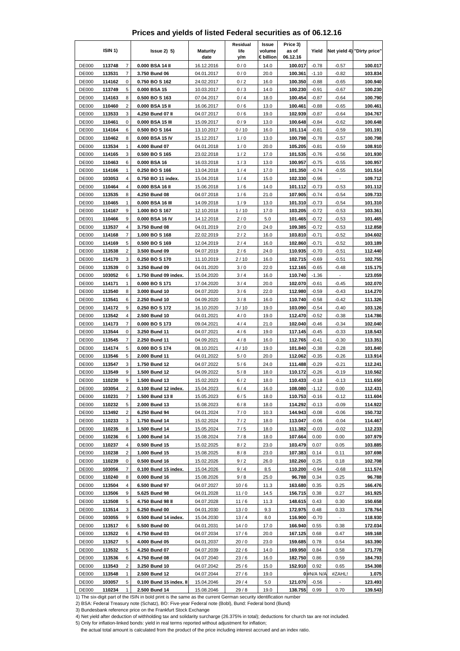|  | Prices and yields of listed Federal securities as of 06.12.16 |  |  |  |
|--|---------------------------------------------------------------|--|--|--|
|--|---------------------------------------------------------------|--|--|--|

|                              | ISIN <sub>1</sub> ) |                         | $lssue2)$ 5)                                                                                                     | <b>Maturity</b>          | Residual<br>life | Issue<br>volume   | Price 3)<br>as of   | Yield              |                    | Net yield 4) "Dirty price" |
|------------------------------|---------------------|-------------------------|------------------------------------------------------------------------------------------------------------------|--------------------------|------------------|-------------------|---------------------|--------------------|--------------------|----------------------------|
| <b>DE000</b>                 | 113748              | $\overline{7}$          | 0.000 BSA 14 II                                                                                                  | date<br>16.12.2016       | y/m<br>0/0       | € billion<br>14.0 | 06.12.16<br>100.017 | $-0.78$            | $-0.57$            | 100.017                    |
| <b>DE000</b>                 | 113531              | $\overline{7}$          | 3.750 Bund 06                                                                                                    | 04.01.2017               | 0/0              | 20.0              | 100.361             | $-1.10$            | $-0.82$            | 103.834                    |
| <b>DE000</b>                 | 114162              | 0                       | 0.750 BO S 162                                                                                                   | 24.02.2017               | 0/2              | 16.0              | 100.350             | $-0.88$            | $-0.65$            | 100.940                    |
| <b>DE000</b>                 | 113749              | 5                       | 0.000 BSA 15                                                                                                     | 10.03.2017               | 0/3              | 14.0              | 100.230             | -0.91              | $-0.67$            | 100.230                    |
| <b>DE000</b>                 | 114163              | 8                       | 0.500 BO S 163                                                                                                   | 07.04.2017               | 0/4              | 18.0              | 100.454             | $-0.87$            | $-0.64$            | 100.790                    |
| <b>DE000</b>                 | 110460              | $\overline{2}$          | 0.000 BSA 15 II                                                                                                  | 16.06.2017               | 0/6              | 13.0              | 100.461             | $-0.88$            | $-0.65$            | 100.461                    |
| <b>DE000</b>                 | 113533              | 3                       | 4.250 Bund 07 II                                                                                                 | 04.07.2017               | 0/6              | 19.0              | 102.939             | $-0.87$            | $-0.64$            | 104.767                    |
| <b>DE000</b>                 | 110461              | 0                       | 0.000 BSA 15 III                                                                                                 | 15.09.2017               | 0/9              | 13.0              | 100.648             | -0.84              | $-0.62$            | 100.648                    |
| <b>DE000</b><br><b>DE000</b> | 114164              | 6<br>8                  | 0.500 BO S 164<br>0.000 BSA 15 IV                                                                                | 13.10.2017               | 0/10             | 16.0              | 101.114<br>100.798  | $-0.81$<br>$-0.78$ | $-0.59$<br>$-0.57$ | 101.191<br>100.798         |
| <b>DE000</b>                 | 110462<br>113534    | 1                       | 4.000 Bund 07                                                                                                    | 15.12.2017<br>04.01.2018 | 1/0<br>1/0       | 13.0<br>20.0      | 105.205             | $-0.81$            | $-0.59$            | 108.910                    |
| <b>DE000</b>                 | 114165              | 3                       | 0.500 BO S 165                                                                                                   | 23.02.2018               | 1/2              | 17.0              | 101.535             | $-0.76$            | $-0.56$            | 101.930                    |
| <b>DE000</b>                 | 110463              | 6                       | 0.000 BSA 16                                                                                                     | 16.03.2018               | 1/3              | 13.0              | 100.957             | $-0.75$            | $-0.55$            | 100.957                    |
| <b>DE000</b>                 | 114166              | 1                       | 0.250 BO S 166                                                                                                   | 13.04.2018               | 1/4              | 17.0              | 101.350             | $-0.74$            | $-0.55$            | 101.514                    |
| DE000                        | 103053              | 4                       | 0.750 BO 11 index.                                                                                               | 15.04.2018               | 1/4              | 15.0              | 102.330             | $-0.96$            |                    | 109.712                    |
| <b>DE000</b>                 | 110464              | 4                       | 0.000 BSA 16 II                                                                                                  | 15.06.2018               | 1/6              | 14.0              | 101.112             | $-0.73$            | $-0.53$            | 101.112                    |
| <b>DE000</b>                 | 113535              | 8                       | 4.250 Bund 08                                                                                                    | 04.07.2018               | 1/6              | 21.0              | 107.905             | $-0.74$            | $-0.54$            | 109.733                    |
| <b>DE000</b>                 | 110465              | 1                       | 0.000 BSA 16 III                                                                                                 | 14.09.2018               | 1/9              | 13.0              | 101.310             | $-0.73$            | $-0.54$            | 101.310                    |
| DE000                        | 114167              | 9                       | 1.000 BO S 167                                                                                                   | 12.10.2018               | 1/10             | 17.0              | 103.205<br>101.465  | $-0.72$            | $-0.53$            | 103.361                    |
| <b>DE001</b><br><b>DE000</b> | 110466<br>113537    | 9<br>4                  | 0.000 BSA 16 IV<br>3.750 Bund 08                                                                                 | 14.12.2018<br>04.01.2019 | 2/0<br>2/0       | 5.0<br>24.0       | 109.385             | $-0.72$<br>$-0.72$ | $-0.53$<br>$-0.53$ | 101.465<br>112.858         |
| <b>DE000</b>                 | 114168              | 7                       | 1.000 BO S 168                                                                                                   | 22.02.2019               | 2/2              | 16.0              | 103.810             | $-0.71$            | $-0.52$            | 104.602                    |
| <b>DE000</b>                 | 114169              | 5                       | 0.500 BO S 169                                                                                                   | 12.04.2019               | 2/4              | 16.0              | 102.860             | $-0.71$            | $-0.52$            | 103.189                    |
| <b>DE000</b>                 | 113538              | $\overline{\mathbf{c}}$ | 3.500 Bund 09                                                                                                    | 04.07.2019               | 2/6              | 24.0              | 110.935             | $-0.70$            | $-0.51$            | 112.440                    |
| <b>DE000</b>                 | 114170              | 3                       | 0.250 BO S 170                                                                                                   | 11.10.2019               | 2/10             | 16.0              | 102.715             | $-0.69$            | $-0.51$            | 102.755                    |
| <b>DE000</b>                 | 113539              | 0                       | 3.250 Bund 09                                                                                                    | 04.01.2020               | 3/0              | 22.0              | 112.165             | $-0.65$            | $-0.48$            | 115.175                    |
| DE000                        | 103052              | 6                       | 1.750 Bund 09 index.                                                                                             | 15.04.2020               | 3/4              | 16.0              | 110.740             | $-1.36$            | $\overline{a}$     | 123.059                    |
| <b>DE000</b>                 | 114171              | $\mathbf{1}$            | 0.000 BO S 171                                                                                                   | 17.04.2020               | 3/4              | 20.0              | 102.070             | $-0.61$            | $-0.45$            | 102.070                    |
| <b>DE000</b>                 | 113540              | 8                       | 3.000 Bund 10                                                                                                    | 04.07.2020               | 3/6              | 22.0              | 112.980             | $-0.59$            | $-0.43$            | 114.270                    |
| <b>DE000</b>                 | 113541              | 6<br>9                  | 2.250 Bund 10                                                                                                    | 04.09.2020               | 3/8              | 16.0              | 110.740             | $-0.58$            | $-0.42$            | 111.326                    |
| <b>DE000</b><br><b>DE000</b> | 114172<br>113542    | 4                       | 0.250 BO S 172<br>2.500 Bund 10                                                                                  | 16.10.2020<br>04.01.2021 | 3/10<br>4/0      | 19.0<br>19.0      | 103.090<br>112.470  | $-0.54$<br>$-0.52$ | $-0.40$<br>$-0.38$ | 103.126<br>114.786         |
| <b>DE000</b>                 | 114173              | 7                       | 0.000 BO S 173                                                                                                   | 09.04.2021               | 4/4              | 21.0              | 102.040             | $-0.46$            | $-0.34$            | 102.040                    |
| <b>DE000</b>                 | 113544              | 0                       | 3.250 Bund 11                                                                                                    | 04.07.2021               | 4/6              | 19.0              | 117.145             | $-0.45$            | $-0.33$            | 118.543                    |
| <b>DE000</b>                 | 113545              | 7                       | 2.250 Bund 11                                                                                                    | 04.09.2021               | 4/8              | 16.0              | 112.765             | $-0.41$            | $-0.30$            | 113.351                    |
| <b>DE000</b>                 | 114174              | 5                       | 0.000 BO S 174                                                                                                   | 08.10.2021               | 4/10             | 19.0              | 101.840             | $-0.38$            | $-0.28$            | 101.840                    |
| <b>DE000</b>                 | 113546              | 5                       | 2.000 Bund 11                                                                                                    | 04.01.2022               | 5/0              | 20.0              | 112.062             | $-0.35$            | $-0.26$            | 113.914                    |
| DE000                        | 113547              | 3                       | 1.750 Bund 12                                                                                                    | 04.07.2022               | 5/6              | 24.0              | 111.488             | $-0.29$            | $-0.21$            | 112.241                    |
| <b>DE000</b>                 | 113549              | 9                       | 1.500 Bund 12                                                                                                    | 04.09.2022               | 5/8              | 18.0              | 110.172             | $-0.26$            | $-0.19$            | 110.562                    |
| <b>DE000</b><br><b>DE000</b> | 110230<br>103054    | 9                       | 1.500 Bund 13<br>0.100 Bund 12 index.                                                                            | 15.02.2023<br>15.04.2023 | 6/2<br>6/4       | 18.0              | 110.433<br>108.080  | $-0.18$            | $-0.13$            | 111.650<br>112.431         |
| <b>DE000</b>                 | 110231              | 2<br>7                  | 1.500 Bund 13 II                                                                                                 | 15.05.2023               | 6/5              | 16.0<br>18.0      | 110.753             | $-1.12$<br>$-0.16$ | 0.00<br>$-0.12$    | 111.604                    |
| <b>DE000</b>                 | 110232              | 5                       | 2.000 Bund 13                                                                                                    | 15.08.2023               | 6/8              | 18.0              | 114.292             | $-0.13$            | $-0.09$            | 114.922                    |
| <b>DE000</b>                 | 113492              | $\overline{c}$          | 6.250 Bund 94                                                                                                    | 04.01.2024               | 7/0              | 10.3              | 144.943             | $-0.08$            | $-0.06$            | 150.732                    |
| <b>DE000</b>                 | 110233              | 3                       | 1.750 Bund 14                                                                                                    | 15.02.2024               | $7/2$            | 18.0              | 113.047             | $-0.06$            | $-0.04$            | 114.467                    |
| <b>DE000</b>                 | 110235              | 8                       | 1.500 Bund 14                                                                                                    | 15.05.2024               | 7/5              | 18.0              | 111.382             | $-0.03$            | $-0.02$            | 112.233                    |
| <b>DE000</b>                 | 110236              | 6                       | 1.000 Bund 14                                                                                                    | 15.08.2024               | 7/8              | 18.0              | 107.664             | 0.00               | 0.00               | 107.979                    |
| <b>DE000</b>                 | 110237              | 4                       | 0.500 Bund 15                                                                                                    | 15.02.2025               | 8/2              | 23.0              | 103.479             | 0.07               | 0.05               | 103.885                    |
| <b>DE000</b>                 | 110238              | 2                       | 1.000 Bund 15                                                                                                    | 15.08.2025               | 8/8              | 23.0              | 107.383             | 0.14               | 0.11               | 107.698                    |
| <b>DE000</b>                 | 110239              | 0                       | 0.500 Bund 16                                                                                                    | 15.02.2026               | 9/2              | 26.0              | 102.260             | 0.25               | 0.18               | 102.708                    |
| DE000<br><b>DE000</b>        | 103056<br>110240    | $\boldsymbol{7}$<br>8   | 0.100 Bund 15 index.<br>0.000 Bund 16                                                                            | 15.04.2026<br>15.08.2026 | 9/4<br>9/8       | 8.5<br>25.0       | 110.200<br>96.788   | $-0.94$<br>0.34    | $-0.68$<br>0.25    | 111.574<br>96.788          |
| <b>DE000</b>                 | 113504              | 4                       | 6.500 Bund 97                                                                                                    | 04.07.2027               | 10/6             | 11.3              | 163.680             | 0.35               | 0.25               | 166.476                    |
| DE000                        | 113506              | 9                       | 5.625 Bund 98                                                                                                    | 04.01.2028               | 11/0             | 14.5              | 156.715             | 0.38               | 0.27               | 161.925                    |
| <b>DE000</b>                 | 113508              | 5                       | 4.750 Bund 98 II                                                                                                 | 04.07.2028               | 11/6             | 11.3              | 148.615             | 0.43               | 0.30               | 150.658                    |
| <b>DE000</b>                 | 113514              | 3                       | 6.250 Bund 00                                                                                                    | 04.01.2030               | 13/0             | 9.3               | 172.975             | 0.48               | 0.33               | 178.764                    |
| <b>DE000</b>                 | 103055              | 9                       | 0.500 Bund 14 index.                                                                                             | 15.04.2030               | 13/4             | 8.0               | 116.900             | $-0.70$            |                    | 118.930                    |
| <b>DE000</b>                 | 113517              | 6                       | 5.500 Bund 00                                                                                                    | 04.01.2031               | 14/0             | 17.0              | 166.940             | 0.55               | 0.38               | 172.034                    |
| <b>DE000</b>                 | 113522              | 6                       | 4.750 Bund 03                                                                                                    | 04.07.2034               | 17/6             | 20.0              | 167.125             | 0.68               | 0.47               | 169.168                    |
| <b>DE000</b>                 | 113527              | 5                       | 4.000 Bund 05                                                                                                    | 04.01.2037               | 20/0             | 23.0              | 159.685             | 0.78               | 0.54               | 163.390                    |
| <b>DE000</b>                 | 113532              | 5                       | 4.250 Bund 07                                                                                                    | 04.07.2039               | 22/6             | 14.0              | 169.950             | 0.84               | 0.58               | 171.778                    |
| <b>DE000</b>                 | 113536              | 6<br>2                  | 4.750 Bund 08                                                                                                    | 04.07.2040<br>04.07.2042 | 23/6             | 16.0              | 182.750             | 0.86<br>0.92       | 0.59               | 184.793                    |
| <b>DE000</b><br><b>DE000</b> | 113543<br>113548    | $\mathbf{1}$            | 3.250 Bund 10<br>2.500 Bund 12                                                                                   | 04.07.2044               | 25/6<br>27/6     | 15.0<br>19.0      | 152.910             | $0$ #N/A N/A       | 0.65<br>#ZAHL!     | 154.308<br>1.075           |
| <b>DE000</b>                 | 103057              | 5                       | 0.100 Bund 15 index. II                                                                                          | 15.04.2046               | 29/4             | 5.0               | 121.070             | $-0.56$            |                    | 123.493                    |
| <b>DE000</b>                 | 110234              | 1                       | 2.500 Bund 14                                                                                                    | 15.08.2046               | 29/8             | 19.0              | 138.755             | 0.99               | 0.70               | 139.543                    |
|                              |                     |                         | 1) The six-digit part of the ISIN in bold print is the same as the current German security identification number |                          |                  |                   |                     |                    |                    |                            |

3) Bundesbank reference price on the Frankfurt Stock Exchange

4) Net yield after deduction of withholding tax and solidarity surcharge (26.375% in total); deductions for church tax are not included.

5) Only for inflation-linked bonds: yield in real terms reported without adjustment for inflation;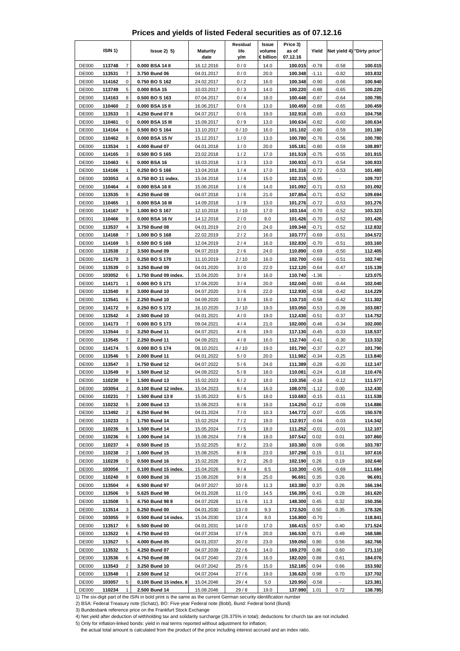|  | Prices and yields of listed Federal securities as of 07.12.16 |  |  |  |
|--|---------------------------------------------------------------|--|--|--|
|--|---------------------------------------------------------------|--|--|--|

|                              | ISIN <sub>1</sub> ) |                              | $lssue2)$ 5)                                                                                                                      | <b>Maturity</b>          | Residual<br>life | Issue<br>volume   | Price 3)<br>as of   | Yield              |                          | Net yield 4) "Dirty price" |
|------------------------------|---------------------|------------------------------|-----------------------------------------------------------------------------------------------------------------------------------|--------------------------|------------------|-------------------|---------------------|--------------------|--------------------------|----------------------------|
| <b>DE000</b>                 | 113748              | $\overline{7}$               | 0.000 BSA 14 II                                                                                                                   | date<br>16.12.2016       | y/m<br>0/0       | € billion<br>14.0 | 07.12.16<br>100.015 | $-0.78$            | $-0.58$                  | 100.015                    |
| <b>DE000</b>                 | 113531              | $\overline{7}$               | 3.750 Bund 06                                                                                                                     | 04.01.2017               | 0/0              | 20.0              | 100.348             | $-1.11$            | $-0.82$                  | 103.832                    |
| <b>DE000</b>                 | 114162              | 0                            | 0.750 BO S 162                                                                                                                    | 24.02.2017               | 0/2              | 16.0              | 100.348             | $-0.90$            | $-0.66$                  | 100.940                    |
| <b>DE000</b>                 | 113749              | 5                            | 0.000 BSA 15                                                                                                                      | 10.03.2017               | 0/3              | 14.0              | 100.220             | $-0.88$            | $-0.65$                  | 100.220                    |
| <b>DE000</b>                 | 114163              | 8                            | 0.500 BO S 163                                                                                                                    | 07.04.2017               | 0/4              | 18.0              | 100.448             | $-0.87$            | $-0.64$                  | 100.785                    |
| <b>DE000</b>                 | 110460              | $\overline{2}$               | 0.000 BSA 15 II                                                                                                                   | 16.06.2017               | 0/6              | 13.0              | 100.459             | $-0.88$            | $-0.65$                  | 100.459                    |
| <b>DE000</b>                 | 113533              | 3                            | 4.250 Bund 07 II                                                                                                                  | 04.07.2017               | 0/6              | 19.0              | 102.918             | $-0.85$            | $-0.63$                  | 104.758                    |
| <b>DE000</b>                 | 110461              | 0                            | 0.000 BSA 15 III                                                                                                                  | 15.09.2017               | 0/9              | 13.0              | 100.634             | $-0.82$            | $-0.60$                  | 100.634                    |
| <b>DE000</b>                 | 114164              | 6                            | 0.500 BO S 164                                                                                                                    | 13.10.2017               | 0/10             | 16.0              | 101.102             | $-0.80$            | $-0.59$                  | 101.180                    |
| <b>DE000</b>                 | 110462              | 8                            | 0.000 BSA 15 IV                                                                                                                   | 15.12.2017               | 1/0              | 13.0              | 100.780             | $-0.76$            | $-0.56$                  | 100.780                    |
| <b>DE000</b>                 | 113534              | 1                            | 4.000 Bund 07                                                                                                                     | 04.01.2018               | 1/0              | 20.0              | 105.181             | $-0.80$            | $-0.59$                  | 108.897                    |
| <b>DE000</b><br><b>DE000</b> | 114165<br>110463    | 3<br>6                       | 0.500 BO S 165<br>0.000 BSA 16                                                                                                    | 23.02.2018<br>16.03.2018 | 1/2<br>1/3       | 17.0<br>13.0      | 101.519<br>100.933  | $-0.75$<br>$-0.73$ | $-0.55$<br>$-0.54$       | 101.915<br>100.933         |
| <b>DE000</b>                 | 114166              | 1                            | 0.250 BO S 166                                                                                                                    | 13.04.2018               | 1/4              | 17.0              | 101.316             | $-0.72$            | $-0.53$                  | 101.480                    |
| DE000                        | 103053              | 4                            | 0.750 BO 11 index.                                                                                                                | 15.04.2018               | 1/4              | 15.0              | 102.315             | $-0.95$            |                          | 109.707                    |
| <b>DE000</b>                 | 110464              | 4                            | 0.000 BSA 16 II                                                                                                                   | 15.06.2018               | 1/6              | 14.0              | 101.092             | $-0.71$            | $-0.53$                  | 101.092                    |
| <b>DE000</b>                 | 113535              | 8                            | 4.250 Bund 08                                                                                                                     | 04.07.2018               | 1/6              | 21.0              | 107.854             | $-0.71$            | $-0.52$                  | 109.694                    |
| <b>DE000</b>                 | 110465              | 1                            | 0.000 BSA 16 III                                                                                                                  | 14.09.2018               | 1/9              | 13.0              | 101.276             | $-0.72$            | $-0.53$                  | 101.276                    |
| DE000                        | 114167              | 9                            | 1.000 BO S 167                                                                                                                    | 12.10.2018               | 1/10             | 17.0              | 103.164             | $-0.70$            | $-0.52$                  | 103.323                    |
| DE001                        | 110466              | 9                            | 0.000 BSA 16 IV                                                                                                                   | 14.12.2018               | 2/0              | 8.0               | 101.426             | $-0.70$            | $-0.52$                  | 101.426                    |
| <b>DE000</b>                 | 113537              | 4                            | 3.750 Bund 08                                                                                                                     | 04.01.2019               | 2/0              | 24.0              | 109.348             | $-0.71$            | $-0.52$                  | 112.832                    |
| <b>DE000</b>                 | 114168              | 7                            | 1.000 BO S 168                                                                                                                    | 22.02.2019               | 2/2              | 16.0              | 103.777             | $-0.69$            | $-0.51$                  | 104.572                    |
| <b>DE000</b><br><b>DE000</b> | 114169<br>113538    | 5<br>$\overline{\mathbf{c}}$ | 0.500 BO S 169<br>3.500 Bund 09                                                                                                   | 12.04.2019<br>04.07.2019 | 2/4<br>2/6       | 16.0<br>24.0      | 102.830<br>110.890  | $-0.70$<br>$-0.69$ | $-0.51$<br>$-0.50$       | 103.160<br>112.405         |
| <b>DE000</b>                 | 114170              | 3                            | 0.250 BO S 170                                                                                                                    | 11.10.2019               | 2/10             | 16.0              | 102.700             | $-0.69$            | $-0.51$                  | 102.740                    |
| <b>DE000</b>                 | 113539              | 0                            | 3.250 Bund 09                                                                                                                     | 04.01.2020               | 3/0              | 22.0              | 112.120             | $-0.64$            | $-0.47$                  | 115.139                    |
| <b>DE000</b>                 | 103052              | 6                            | 1.750 Bund 09 index.                                                                                                              | 15.04.2020               | 3/4              | 16.0              | 110.740             | $-1.36$            | $\overline{\phantom{a}}$ | 123.075                    |
| <b>DE000</b>                 | 114171              | 1                            | 0.000 BOS 171                                                                                                                     | 17.04.2020               | 3/4              | 20.0              | 102.040             | $-0.60$            | $-0.44$                  | 102.040                    |
| <b>DE000</b>                 | 113540              | 8                            | 3.000 Bund 10                                                                                                                     | 04.07.2020               | 3/6              | 22.0              | 112.930             | $-0.58$            | $-0.42$                  | 114.229                    |
| <b>DE000</b>                 | 113541              | 6                            | 2.250 Bund 10                                                                                                                     | 04.09.2020               | 3/8              | 16.0              | 110.710             | $-0.58$            | $-0.42$                  | 111.302                    |
| <b>DE000</b>                 | 114172              | 9                            | 0.250 BO S 172                                                                                                                    | 16.10.2020               | 3 / 10           | 19.0              | 103.050             | $-0.53$            | $-0.39$                  | 103.087                    |
| <b>DE000</b>                 | 113542              | $\overline{4}$               | 2.500 Bund 10                                                                                                                     | 04.01.2021               | 4/0              | 19.0              | 112.430             | $-0.51$            | $-0.37$                  | 114.752                    |
| <b>DE000</b>                 | 114173              | 7<br>0                       | 0.000 BO S 173                                                                                                                    | 09.04.2021               | 4/4              | 21.0              | 102.000             | $-0.46$            | $-0.34$                  | 102.000                    |
| <b>DE000</b><br><b>DE000</b> | 113544<br>113545    | 7                            | 3.250 Bund 11<br>2.250 Bund 11                                                                                                    | 04.07.2021<br>04.09.2021 | 4/6<br>4/8       | 19.0<br>16.0      | 117.130<br>112.740  | $-0.45$<br>$-0.41$ | $-0.33$<br>$-0.30$       | 118.537<br>113.332         |
| <b>DE000</b>                 | 114174              | 5                            | 0.000 BO S 174                                                                                                                    | 08.10.2021               | 4 / 10           | 19.0              | 101.790             | $-0.37$            | $-0.27$                  | 101.790                    |
| <b>DE000</b>                 | 113546              | 5                            | 2.000 Bund 11                                                                                                                     | 04.01.2022               | 5/0              | 20.0              | 111.982             | $-0.34$            | $-0.25$                  | 113.840                    |
| DE000                        | 113547              | 3                            | 1.750 Bund 12                                                                                                                     | 04.07.2022               | 5/6              | 24.0              | 111.389             | $-0.28$            | $-0.20$                  | 112.147                    |
| <b>DE000</b>                 | 113549              | 9                            | 1.500 Bund 12                                                                                                                     | 04.09.2022               | 5/8              | 18.0              | 110.081             | $-0.24$            | -0.18                    | 110.476                    |
| <b>DE000</b>                 | 110230              | 9                            | 1.500 Bund 13                                                                                                                     | 15.02.2023               | 6/2              | 18.0              | 110.356             | $-0.16$            | $-0.12$                  | 111.577                    |
| <b>DE000</b>                 | 103054              | 2                            | 0.100 Bund 12 index.                                                                                                              | 15.04.2023               | 6/4              | 16.0              | 108.070             | $-1.12$            | 0.00                     | 112.430                    |
| <b>DE000</b>                 | 110231              | 7                            | 1.500 Bund 13 II                                                                                                                  | 15.05.2023               | 6/5              | 18.0              | 110.683             | $-0.15$            | $-0.11$                  | 111.538                    |
| <b>DE000</b>                 | 110232              | 5                            | 2.000 Bund 13                                                                                                                     | 15.08.2023               | 6/8              | 18.0              | 114.250             | $-0.12$            | $-0.09$                  | 114.886                    |
| <b>DE000</b>                 | 113492<br>110233    | $\overline{c}$<br>3          | 6.250 Bund 94<br>1.750 Bund 14                                                                                                    | 04.01.2024               | 7/0              | 10.3              | 144.772             | $-0.07$            | $-0.05$                  | 150.578                    |
| <b>DE000</b><br><b>DE000</b> | 110235              | 8                            | 1.500 Bund 14                                                                                                                     | 15.02.2024<br>15.05.2024 | 7/2<br>7/5       | 18.0<br>18.0      | 112.917<br>111.252  | $-0.04$<br>$-0.01$ | $-0.03$<br>$-0.01$       | 114.342<br>112.107         |
| <b>DE000</b>                 | 110236              | 6                            | 1.000 Bund 14                                                                                                                     | 15.08.2024               | 7/8              | 18.0              | 107.542             | 0.02               | 0.01                     | 107.860                    |
| <b>DE000</b>                 | 110237              | 4                            | 0.500 Bund 15                                                                                                                     | 15.02.2025               | 8/2              | 23.0              | 103.380             | 0.09               | 0.06                     | 103.787                    |
| <b>DE000</b>                 | 110238              | 2                            | 1.000 Bund 15                                                                                                                     | 15.08.2025               | 8/8              | 23.0              | 107.298             | 0.15               | 0.11                     | 107.616                    |
| DE000                        | 110239              | 0                            | 0.500 Bund 16                                                                                                                     | 15.02.2026               | 9/2              | 26.0              | 102.190             | 0.26               | 0.19                     | 102.640                    |
| DE000                        | 103056              | $\boldsymbol{7}$             | 0.100 Bund 15 index.                                                                                                              | 15.04.2026               | 9/4              | 8.5               | 110.300             | $-0.95$            | $-0.69$                  | 111.684                    |
| <b>DE000</b>                 | 110240              | 8                            | 0.000 Bund 16                                                                                                                     | 15.08.2026               | 9/8              | 25.0              | 96.691              | 0.35               | 0.26                     | 96.691                     |
| <b>DE000</b>                 | 113504              | 4                            | 6.500 Bund 97                                                                                                                     | 04.07.2027               | 10/6             | 11.3              | 163.380             | 0.37               | 0.26                     | 166.194                    |
| DE000                        | 113506              | 9                            | 5.625 Bund 98                                                                                                                     | 04.01.2028               | 11/0             | 14.5              | 156.395             | 0.41               | 0.28                     | 161.620                    |
| <b>DE000</b><br><b>DE000</b> | 113508<br>113514    | 5<br>3                       | 4.750 Bund 98 II<br>6.250 Bund 00                                                                                                 | 04.07.2028<br>04.01.2030 | 11/6<br>13/0     | 11.3<br>9.3       | 148.300<br>172.520  | 0.45<br>0.50       | 0.32<br>0.35             | 150.356<br>178.326         |
| <b>DE000</b>                 | 103055              | 9                            | 0.500 Bund 14 index.                                                                                                              | 15.04.2030               | 13/4             | 8.0               | 116.800             | $-0.70$            |                          | 118.841                    |
| <b>DE000</b>                 | 113517              | 6                            | 5.500 Bund 00                                                                                                                     | 04.01.2031               | 14/0             | 17.0              | 166.415             | 0.57               | 0.40                     | 171.524                    |
| <b>DE000</b>                 | 113522              | 6                            | 4.750 Bund 03                                                                                                                     | 04.07.2034               | 17/6             | 20.0              | 166.530             | 0.71               | 0.49                     | 168.586                    |
| <b>DE000</b>                 | 113527              | 5                            | 4.000 Bund 05                                                                                                                     | 04.01.2037               | 20/0             | 23.0              | 159.050             | 0.80               | 0.56                     | 162.766                    |
| <b>DE000</b>                 | 113532              | 5                            | 4.250 Bund 07                                                                                                                     | 04.07.2039               | 22/6             | 14.0              | 169.270             | 0.86               | 0.60                     | 171.110                    |
| <b>DE000</b>                 | 113536              | 6                            | 4.750 Bund 08                                                                                                                     | 04.07.2040               | 23/6             | 16.0              | 182.020             | 0.88               | 0.61                     | 184.076                    |
| <b>DE000</b>                 | 113543              | 2                            | 3.250 Bund 10                                                                                                                     | 04.07.2042               | 25/6             | 15.0              | 152.185             | 0.94               | 0.66                     | 153.592                    |
| <b>DE000</b>                 | 113548              | $\mathbf{1}$                 | 2.500 Bund 12                                                                                                                     | 04.07.2044               | 27/6             | 19.0              | 136.620             | 0.98               | 0.70                     | 137.702                    |
| <b>DE000</b>                 | 103057              | 5                            | 0.100 Bund 15 index. II                                                                                                           | 15.04.2046               | 29/4             | 5.0               | 120.950             | $-0.56$            |                          | 123.381                    |
| <b>DE000</b>                 | 110234              | $\mathbf{1}$                 | 2.500 Bund 14<br>1) The six-digit part of the ISIN in bold print is the same as the current German security identification number | 15.08.2046               | 29/8             | 19.0              | 137.990             | 1.01               | 0.72                     | 138.785                    |

3) Bundesbank reference price on the Frankfurt Stock Exchange

4) Net yield after deduction of withholding tax and solidarity surcharge (26.375% in total); deductions for church tax are not included.

5) Only for inflation-linked bonds: yield in real terms reported without adjustment for inflation;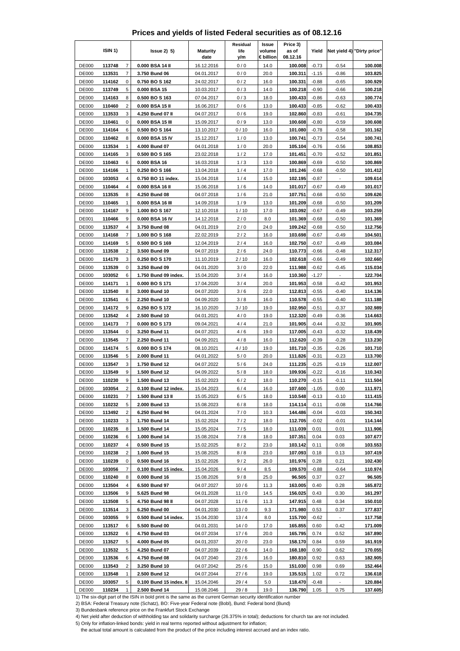|  | Prices and yields of listed Federal securities as of 08.12.16 |  |  |  |
|--|---------------------------------------------------------------|--|--|--|
|--|---------------------------------------------------------------|--|--|--|

|                              | ISIN 1)          |                         | $lssue2)$ 5)                                                                                                     | <b>Maturity</b>          | Residual<br>life | Issue<br>volume | Price 3)<br>as of   | Yield              |                           | Net yield 4) "Dirty price" |
|------------------------------|------------------|-------------------------|------------------------------------------------------------------------------------------------------------------|--------------------------|------------------|-----------------|---------------------|--------------------|---------------------------|----------------------------|
|                              |                  | $\overline{7}$          |                                                                                                                  | date                     | y/m              | € billion       | 08.12.16<br>100.008 |                    |                           | 100.008                    |
| <b>DE000</b><br>DE000        | 113748<br>113531 | 7                       | 0.000 BSA 14 II<br>3.750 Bund 06                                                                                 | 16.12.2016<br>04.01.2017 | 0/0<br>0/0       | 14.0<br>20.0    | 100.311             | $-0.73$<br>$-1.15$ | $-0.54$<br>$-0.86$        | 103.825                    |
| DE000                        | 114162           | 0                       | 0.750 BOS 162                                                                                                    | 24.02.2017               | 0/2              | 16.0            | 100.331             | $-0.88$            | $-0.65$                   | 100.929                    |
| <b>DE000</b>                 | 113749           | 5                       | 0.000 BSA 15                                                                                                     | 10.03.2017               | 0/3              | 14.0            | 100.218             | $-0.90$            | $-0.66$                   | 100.218                    |
| <b>DE000</b>                 | 114163           | 8                       | 0.500 BO S 163                                                                                                   | 07.04.2017               | 0/3              | 18.0            | 100.433             | $-0.86$            | $-0.63$                   | 100.774                    |
| <b>DE000</b>                 | 110460           | $\overline{2}$          | 0.000 BSA 15 II                                                                                                  | 16.06.2017               | 0/6              | 13.0            | 100.433             | $-0.85$            | $-0.62$                   | 100.433                    |
| <b>DE000</b>                 | 113533           | 3                       | 4.250 Bund 07 II                                                                                                 | 04.07.2017               | 0/6              | 19.0            | 102.860             | $-0.83$            | $-0.61$                   | 104.735                    |
| <b>DE000</b>                 | 110461           | 0                       | 0.000 BSA 15 III                                                                                                 | 15.09.2017               | 0/9              | 13.0            | 100.608             | $-0.80$            | $-0.59$                   | 100.608                    |
| <b>DE000</b>                 | 114164           | 6                       | 0.500 BO S 164                                                                                                   | 13.10.2017               | 0/10             | 16.0            | 101.080             | $-0.78$            | $-0.58$                   | 101.162                    |
| <b>DE000</b>                 | 110462           | 8                       | 0.000 BSA 15 IV                                                                                                  | 15.12.2017               | 1/0              | 13.0            | 100.741             | $-0.73$            | $-0.54$                   | 100.741                    |
| <b>DE000</b>                 | 113534           | 1                       | 4.000 Bund 07                                                                                                    | 04.01.2018               | 1/0              | 20.0            | 105.104             | $-0.76$            | $-0.56$                   | 108.853                    |
| <b>DE000</b>                 | 114165           | 3                       | 0.500 BO S 165                                                                                                   | 23.02.2018               | 1/2              | 17.0            | 101.451             | $-0.70$            | $-0.52$                   | 101.851                    |
| <b>DE000</b><br><b>DE000</b> | 110463<br>114166 | 6<br>1                  | 0.000 BSA 16<br>0.250 BO S 166                                                                                   | 16.03.2018<br>13.04.2018 | 1/3<br>1/4       | 13.0<br>17.0    | 100.869<br>101.246  | $-0.69$<br>$-0.68$ | $-0.50$<br>$-0.50$        | 100.869<br>101.412         |
| DE000                        | 103053           | 4                       | 0.750 BO 11 index.                                                                                               | 15.04.2018               | 1/4              | 15.0            | 102.195             | $-0.87$            |                           | 109.614                    |
| <b>DE000</b>                 | 110464           | 4                       | 0.000 BSA 16 II                                                                                                  | 15.06.2018               | 1/6              | 14.0            | 101.017             | $-0.67$            | $-0.49$                   | 101.017                    |
| DE000                        | 113535           | 8                       | 4.250 Bund 08                                                                                                    | 04.07.2018               | 1/6              | 21.0            | 107.751             | $-0.68$            | $-0.50$                   | 109.626                    |
| <b>DE000</b>                 | 110465           | 1                       | 0.000 BSA 16 III                                                                                                 | 14.09.2018               | 1/9              | 13.0            | 101.209             | $-0.68$            | $-0.50$                   | 101.209                    |
| DE000                        | 114167           | 9                       | 1.000 BO S 167                                                                                                   | 12.10.2018               | 1/10             | 17.0            | 103.092             | $-0.67$            | $-0.49$                   | 103.259                    |
| <b>DE001</b>                 | 110466           | 9                       | 0.000 BSA 16 IV                                                                                                  | 14.12.2018               | 2/0              | 8.0             | 101.369             | $-0.68$            | $-0.50$                   | 101.369                    |
| DE000                        | 113537           | 4                       | 3.750 Bund 08                                                                                                    | 04.01.2019               | 2/0              | 24.0            | 109.242             | $-0.68$            | $-0.50$                   | 112.756                    |
| <b>DE000</b>                 | 114168           | 7                       | 1.000 BO S 168                                                                                                   | 22.02.2019               | 2/2              | 16.0            | 103.698             | $-0.67$            | $-0.49$                   | 104.501                    |
| <b>DE000</b>                 | 114169           | 5                       | 0.500 BO S 169                                                                                                   | 12.04.2019               | 2/4              | 16.0            | 102.750             | $-0.67$            | $-0.49$                   | 103.084                    |
| <b>DE000</b>                 | 113538           | $\overline{\mathbf{c}}$ | 3.500 Bund 09                                                                                                    | 04.07.2019               | 2/6              | 24.0            | 110.773             | $-0.66$            | $-0.48$                   | 112.317                    |
| <b>DE000</b>                 | 114170           | 3<br>0                  | 0.250 BO S 170                                                                                                   | 11.10.2019               | 2/10             | 16.0<br>22.0    | 102.618             | $-0.66$            | $-0.49$                   | 102.660                    |
| <b>DE000</b><br>DE000        | 113539<br>103052 | 6                       | 3.250 Bund 09<br>1.750 Bund 09 index.                                                                            | 04.01.2020<br>15.04.2020 | 3/0<br>3/4       | 16.0            | 111.988<br>110.360  | $-0.62$<br>$-1.27$ | $-0.45$<br>$\overline{a}$ | 115.034<br>122.704         |
| <b>DE000</b>                 | 114171           | $\mathbf{1}$            | 0.000 BO S 171                                                                                                   | 17.04.2020               | 3/4              | 20.0            | 101.953             | $-0.58$            | $-0.42$                   | 101.953                    |
| <b>DE000</b>                 | 113540           | 8                       | 3.000 Bund 10                                                                                                    | 04.07.2020               | 3/6              | 22.0            | 112.813             | $-0.55$            | $-0.40$                   | 114.136                    |
| <b>DE000</b>                 | 113541           | 6                       | 2.250 Bund 10                                                                                                    | 04.09.2020               | 3/8              | 16.0            | 110.578             | $-0.55$            | $-0.40$                   | 111.188                    |
| <b>DE000</b>                 | 114172           | 9                       | 0.250 BO S 172                                                                                                   | 16.10.2020               | 3/10             | 19.0            | 102.950             | $-0.51$            | $-0.37$                   | 102.989                    |
| <b>DE000</b>                 | 113542           | 4                       | 2.500 Bund 10                                                                                                    | 04.01.2021               | 4/0              | 19.0            | 112.320             | $-0.49$            | $-0.36$                   | 114.663                    |
| <b>DE000</b>                 | 114173           | 7                       | 0.000 BO S 173                                                                                                   | 09.04.2021               | 4/4              | 21.0            | 101.905             | $-0.44$            | $-0.32$                   | 101.905                    |
| <b>DE000</b>                 | 113544           | 0                       | 3.250 Bund 11                                                                                                    | 04.07.2021               | 4/6              | 19.0            | 117.005             | $-0.43$            | $-0.32$                   | 118.439                    |
| <b>DE000</b>                 | 113545           | 7                       | 2.250 Bund 11                                                                                                    | 04.09.2021               | 4/8              | 16.0            | 112.620             | $-0.39$            | $-0.28$                   | 113.230                    |
| <b>DE000</b>                 | 114174           | 5                       | 0.000 BO S 174                                                                                                   | 08.10.2021               | 4/10             | 19.0            | 101.710             | $-0.35$            | $-0.26$                   | 101.710                    |
| <b>DE000</b>                 | 113546           | 5                       | 2.000 Bund 11                                                                                                    | 04.01.2022               | 5/0              | 20.0            | 111.826<br>111.235  | $-0.31$            | $-0.23$                   | 113.700                    |
| DE000<br><b>DE000</b>        | 113547<br>113549 | 3<br>9                  | 1.750 Bund 12<br>1.500 Bund 12                                                                                   | 04.07.2022<br>04.09.2022 | 5/6<br>5/8       | 24.0<br>18.0    | 109.936             | $-0.25$<br>$-0.22$ | $-0.19$<br>$-0.16$        | 112.007<br>110.343         |
| <b>DE000</b>                 | 110230           | 9                       | 1.500 Bund 13                                                                                                    | 15.02.2023               | 6/2              | 18.0            | 110.270             | $-0.15$            | $-0.11$                   | 111.504                    |
| <b>DE000</b>                 | 103054           | 2                       | 0.100 Bund 12 index.                                                                                             | 15.04.2023               | 6/4              | 16.0            | 107.600             | $-1.05$            | 0.00                      | 111.971                    |
| <b>DE000</b>                 | 110231           | 7                       | 1.500 Bund 13 II                                                                                                 | 15.05.2023               | 6/5              | 18.0            | 110.548             | $-0.13$            | $-0.10$                   | 111.415                    |
| <b>DE000</b>                 | 110232           | 5                       | 2.000 Bund 13                                                                                                    | 15.08.2023               | 6/8              | 18.0            | 114.114             | $-0.11$            | $-0.08$                   | 114.766                    |
| <b>DE000</b>                 | 113492           | $\overline{c}$          | 6.250 Bund 94                                                                                                    | 04.01.2024               | 7/0              | 10.3            | 144.486             | $-0.04$            | $-0.03$                   | 150.343                    |
| <b>DE000</b>                 | 110233           | 3                       | 1.750 Bund 14                                                                                                    | 15.02.2024               | 7/2              | 18.0            | 112.705             | $-0.02$            | $-0.01$                   | 114.144                    |
| <b>DE000</b>                 | 110235           | 8                       | 1.500 Bund 14                                                                                                    | 15.05.2024               | 7/5              | 18.0            | 111.039             | 0.01               | 0.01                      | 111.906                    |
| <b>DE000</b>                 | 110236           | 6                       | 1.000 Bund 14                                                                                                    | 15.08.2024               | 7/8              | 18.0            | 107.351             | 0.04               | 0.03                      | 107.677                    |
| <b>DE000</b>                 | 110237           | 4                       | 0.500 Bund 15                                                                                                    | 15.02.2025               | 8/2              | 23.0            | 103.142             | 0.11               | 0.08                      | 103.553                    |
| <b>DE000</b>                 | 110238           | 2                       | 1.000 Bund 15                                                                                                    | 15.08.2025               | 8/8              | 23.0            | 107.093             | 0.18               | 0.13                      | 107.419                    |
| <b>DE000</b><br>DE000        | 110239<br>103056 | 0<br>$\boldsymbol{7}$   | 0.500 Bund 16<br>0.100 Bund 15 index.                                                                            | 15.02.2026<br>15.04.2026 | 9/2<br>9/4       | 26.0<br>8.5     | 101.976<br>109.570  | 0.28<br>$-0.88$    | 0.21<br>$-0.64$           | 102.430<br>110.974         |
| <b>DE000</b>                 | 110240           | 8                       | 0.000 Bund 16                                                                                                    | 15.08.2026               | 9/8              | 25.0            | 96.505              | 0.37               | 0.27                      | 96.505                     |
| <b>DE000</b>                 | 113504           | 4                       | 6.500 Bund 97                                                                                                    | 04.07.2027               | 10/6             | 11.3            | 163.005             | 0.40               | 0.28                      | 165.872                    |
| DE000                        | 113506           | 9                       | 5.625 Bund 98                                                                                                    | 04.01.2028               | 11/0             | 14.5            | 156.025             | 0.43               | 0.30                      | 161.297                    |
| <b>DE000</b>                 | 113508           | 5                       | 4.750 Bund 98 II                                                                                                 | 04.07.2028               | 11/6             | 11.3            | 147.915             | 0.48               | 0.34                      | 150.010                    |
| <b>DE000</b>                 | 113514           | 3                       | 6.250 Bund 00                                                                                                    | 04.01.2030               | 13/0             | 9.3             | 171.980             | 0.53               | 0.37                      | 177.837                    |
| <b>DE000</b>                 | 103055           | 9                       | 0.500 Bund 14 index.                                                                                             | 15.04.2030               | 13/4             | 8.0             | 115.700             | $-0.62$            |                           | 117.758                    |
| <b>DE000</b>                 | 113517           | 6                       | 5.500 Bund 00                                                                                                    | 04.01.2031               | 14/0             | 17.0            | 165.855             | 0.60               | 0.42                      | 171.009                    |
| <b>DE000</b>                 | 113522           | 6                       | 4.750 Bund 03                                                                                                    | 04.07.2034               | 17/6             | 20.0            | 165.795             | 0.74               | 0.52                      | 167.890                    |
| <b>DE000</b>                 | 113527           | 5                       | 4.000 Bund 05                                                                                                    | 04.01.2037               | 20/0             | 23.0            | 158.170             | 0.84               | 0.59                      | 161.919                    |
| <b>DE000</b>                 | 113532           | 5                       | 4.250 Bund 07                                                                                                    | 04.07.2039               | 22/6             | 14.0            | 168.180             | 0.90               | 0.62                      | 170.055                    |
| <b>DE000</b>                 | 113536           | 6                       | 4.750 Bund 08                                                                                                    | 04.07.2040               | 23/6             | 16.0            | 180.810             | 0.92               | 0.63                      | 182.905                    |
| <b>DE000</b><br><b>DE000</b> | 113543<br>113548 | 2<br>$\mathbf{1}$       | 3.250 Bund 10<br>2.500 Bund 12                                                                                   | 04.07.2042<br>04.07.2044 | 25/6<br>27/6     | 15.0<br>19.0    | 151.030<br>135.515  | 0.98<br>1.02       | 0.69<br>0.72              | 152.464<br>136.618         |
| <b>DE000</b>                 | 103057           | 5                       | 0.100 Bund 15 index. II                                                                                          | 15.04.2046               | 29/4             | 5.0             | 118.470             | $-0.48$            |                           | 120.884                    |
| <b>DE000</b>                 | 110234           | 1                       | 2.500 Bund 14                                                                                                    | 15.08.2046               | 29/8             | 19.0            | 136.790             | 1.05               | 0.75                      | 137.605                    |
|                              |                  |                         | 1) The six-digit part of the ISIN in bold print is the same as the current German security identification number |                          |                  |                 |                     |                    |                           |                            |

3) Bundesbank reference price on the Frankfurt Stock Exchange

4) Net yield after deduction of withholding tax and solidarity surcharge (26.375% in total); deductions for church tax are not included.

5) Only for inflation-linked bonds: yield in real terms reported without adjustment for inflation;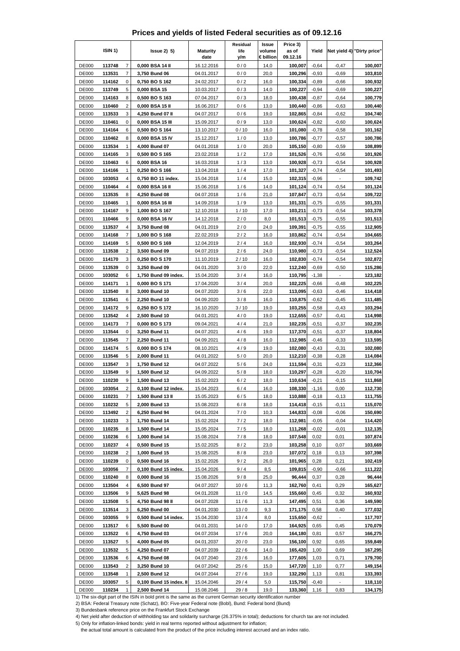|  | Prices and yields of listed Federal securities as of 09.12.16 |  |  |  |
|--|---------------------------------------------------------------|--|--|--|
|--|---------------------------------------------------------------|--|--|--|

|                              | ISIN 1)          |                         | $lssue2)$ 5)                                                                                                     | <b>Maturity</b>          | Residual<br>life | Issue<br>volume   | Price 3)<br>as of   | Yield              |                    | Net yield 4) "Dirty price" |
|------------------------------|------------------|-------------------------|------------------------------------------------------------------------------------------------------------------|--------------------------|------------------|-------------------|---------------------|--------------------|--------------------|----------------------------|
| <b>DE000</b>                 | 113748           | $\overline{7}$          | 0,000 BSA 14 II                                                                                                  | date<br>16.12.2016       | y/m<br>0/0       | € billion<br>14,0 | 09.12.16<br>100,007 | $-0,64$            | $-0,47$            | 100,007                    |
| <b>DE000</b>                 | 113531           | 7                       | 3,750 Bund 06                                                                                                    | 04.01.2017               | 0/0              | 20,0              | 100,296             | $-0,93$            | $-0,69$            | 103,810                    |
| <b>DE000</b>                 | 114162           | 0                       | 0,750 BO S 162                                                                                                   | 24.02.2017               | 0/2              | 16,0              | 100,334             | $-0,89$            | $-0,66$            | 100,932                    |
| <b>DE000</b>                 | 113749           | 5                       | 0,000 BSA 15                                                                                                     | 10.03.2017               | 0/3              | 14,0              | 100,227             | $-0,94$            | $-0,69$            | 100,227                    |
| <b>DE000</b>                 | 114163           | 8                       | 0,500 BO S 163                                                                                                   | 07.04.2017               | 0/3              | 18,0              | 100,438             | $-0,87$            | $-0,64$            | 100,779                    |
| <b>DE000</b>                 | 110460           | $\overline{2}$          | 0,000 BSA 15 II                                                                                                  | 16.06.2017               | 0/6              | 13,0              | 100,440             | $-0,86$            | $-0,63$            | 100,440                    |
| <b>DE000</b>                 | 113533           | 3                       | 4,250 Bund 07 II                                                                                                 | 04.07.2017               | 0/6              | 19,0              | 102,865             | $-0,84$            | $-0,62$            | 104,740                    |
| <b>DE000</b>                 | 110461           | 0                       | 0,000 BSA 15 III                                                                                                 | 15.09.2017               | 0/9              | 13,0              | 100,624             | $-0,82$            | $-0,60$            | 100,624                    |
| <b>DE000</b><br><b>DE000</b> | 114164<br>110462 | 6<br>8                  | 0,500 BO S 164<br>0,000 BSA 15 IV                                                                                | 13.10.2017<br>15.12.2017 | 0/10<br>1/0      | 16,0<br>13,0      | 101,080<br>100,786  | $-0,78$<br>$-0,77$ | $-0,58$<br>$-0,57$ | 101,162<br>100,786         |
| <b>DE000</b>                 | 113534           | 1                       | 4,000 Bund 07                                                                                                    | 04.01.2018               | 1/0              | 20,0              | 105,150             | $-0,80$            | $-0,59$            | 108,899                    |
| <b>DE000</b>                 | 114165           | 3                       | 0,500 BO S 165                                                                                                   | 23.02.2018               | 1/2              | 17,0              | 101,526             | $-0,76$            | $-0,56$            | 101,926                    |
| <b>DE000</b>                 | 110463           | 6                       | 0,000 BSA 16                                                                                                     | 16.03.2018               | 1/3              | 13,0              | 100,928             | $-0,73$            | $-0,54$            | 100,928                    |
| <b>DE000</b>                 | 114166           | 1                       | 0,250 BO S 166                                                                                                   | 13.04.2018               | 1/4              | 17,0              | 101,327             | $-0,74$            | $-0,54$            | 101,493                    |
| DE000                        | 103053           | 4                       | 0,750 BO 11 index.                                                                                               | 15.04.2018               | 1/4              | 15,0              | 102,315             | $-0,96$            |                    | 109,742                    |
| <b>DE000</b>                 | 110464           | 4                       | 0,000 BSA 16 II                                                                                                  | 15.06.2018               | 1/6              | 14,0              | 101,124             | $-0,74$            | $-0,54$            | 101,124                    |
| <b>DE000</b>                 | 113535           | 8                       | 4,250 Bund 08                                                                                                    | 04.07.2018               | 1/6              | 21,0              | 107,847             | $-0,73$            | $-0,54$            | 109,722                    |
| <b>DE000</b><br>DE000        | 110465<br>114167 | 1<br>9                  | 0,000 BSA 16 III<br>1,000 BO S 167                                                                               | 14.09.2018<br>12.10.2018 | 1/9<br>1/10      | 13,0<br>17,0      | 101,331<br>103,211  | $-0,75$<br>$-0,73$ | $-0,55$<br>$-0,54$ | 101,331<br>103,378         |
| <b>DE001</b>                 | 110466           | 9                       | 0,000 BSA 16 IV                                                                                                  | 14.12.2018               | 2/0              | 8,0               | 101,513             | $-0,75$            | $-0,55$            | 101,513                    |
| <b>DE000</b>                 | 113537           | 4                       | 3,750 Bund 08                                                                                                    | 04.01.2019               | 2/0              | 24,0              | 109,391             | $-0,75$            | $-0,55$            | 112,905                    |
| <b>DE000</b>                 | 114168           | 7                       | 1,000 BO S 168                                                                                                   | 22.02.2019               | 2/2              | 16,0              | 103,862             | $-0,74$            | $-0,54$            | 104,665                    |
| <b>DE000</b>                 | 114169           | 5                       | 0,500 BO S 169                                                                                                   | 12.04.2019               | 2/4              | 16,0              | 102,930             | $-0,74$            | $-0,54$            | 103,264                    |
| <b>DE000</b>                 | 113538           | $\overline{\mathbf{c}}$ | 3,500 Bund 09                                                                                                    | 04.07.2019               | 2/6              | 24,0              | 110,980             | $-0,73$            | $-0,54$            | 112,524                    |
| <b>DE000</b>                 | 114170           | 3                       | 0,250 BO S 170                                                                                                   | 11.10.2019               | 2/10             | 16,0              | 102,830             | $-0,74$            | $-0,54$            | 102,872                    |
| <b>DE000</b>                 | 113539           | 0                       | 3,250 Bund 09                                                                                                    | 04.01.2020               | 3/0              | 22,0              | 112,240             | $-0,69$            | $-0,50$            | 115,286                    |
| <b>DE000</b>                 | 103052           | 6<br>$\mathbf{1}$       | 1,750 Bund 09 index.                                                                                             | 15.04.2020               | 3/4              | 16,0              | 110,795             | $-1,38$            | $\overline{a}$     | 123,182                    |
| <b>DE000</b><br><b>DE000</b> | 114171<br>113540 | 8                       | 0,000 BOS 171<br>3,000 Bund 10                                                                                   | 17.04.2020<br>04.07.2020 | 3/4<br>3/6       | 20,0<br>22,0      | 102,225<br>113,095  | $-0,66$<br>$-0,63$ | $-0,48$<br>$-0,46$ | 102,225<br>114,418         |
| <b>DE000</b>                 | 113541           | 6                       | 2,250 Bund 10                                                                                                    | 04.09.2020               | 3/8              | 16,0              | 110,875             | $-0,62$            | $-0,45$            | 111,485                    |
| <b>DE000</b>                 | 114172           | 9                       | 0,250 BO S 172                                                                                                   | 16.10.2020               | 3/10             | 19,0              | 103,255             | $-0,58$            | $-0,43$            | 103,294                    |
| <b>DE000</b>                 | 113542           | 4                       | 2,500 Bund 10                                                                                                    | 04.01.2021               | 4/0              | 19,0              | 112,655             | $-0,57$            | $-0,41$            | 114,998                    |
| <b>DE000</b>                 | 114173           | 7                       | 0,000 BO S 173                                                                                                   | 09.04.2021               | 4/4              | 21,0              | 102,235             | $-0,51$            | $-0,37$            | 102,235                    |
| <b>DE000</b>                 | 113544           | 0                       | 3,250 Bund 11                                                                                                    | 04.07.2021               | 4/6              | 19,0              | 117,370             | $-0,51$            | $-0,37$            | 118,804                    |
| <b>DE000</b>                 | 113545           | 7                       | 2,250 Bund 11                                                                                                    | 04.09.2021               | 4/8              | 16,0              | 112,985             | $-0,46$            | $-0,33$            | 113,595                    |
| <b>DE000</b><br><b>DE000</b> | 114174<br>113546 | 5<br>5                  | 0,000 BO S 174<br>2,000 Bund 11                                                                                  | 08.10.2021<br>04.01.2022 | 4/9<br>5/0       | 19,0<br>20,0      | 102,080<br>112,210  | $-0,43$<br>$-0,38$ | $-0,31$<br>$-0,28$ | 102,080<br>114,084         |
| DE000                        | 113547           | 3                       | 1,750 Bund 12                                                                                                    | 04.07.2022               | 5/6              | 24,0              | 111,594             | $-0,31$            | $-0,23$            | 112,366                    |
| <b>DE000</b>                 | 113549           | 9                       | 1,500 Bund 12                                                                                                    | 04.09.2022               | 5/8              | 18,0              | 110,297             | $-0,28$            | $-0,20$            | 110,704                    |
| <b>DE000</b>                 | 110230           | 9                       | 1,500 Bund 13                                                                                                    | 15.02.2023               | 6/2              | 18,0              | 110,634             | $-0,21$            | $-0,15$            | 111,868                    |
| <b>DE000</b>                 | 103054           | 2                       | 0,100 Bund 12 index.                                                                                             | 15.04.2023               | 6/4              | 16,0              | 108,330             | $-1,16$            | 0,00               | 112,730                    |
| <b>DE000</b>                 | 110231           | 7                       | 1,500 Bund 13 II                                                                                                 | 15.05.2023               | 6/5              | 18,0              | 110,888             | $-0,18$            | $-0,13$            | 111,755                    |
| <b>DE000</b>                 | 110232           | 5                       | 2,000 Bund 13                                                                                                    | 15.08.2023               | 6/8              | 18,0              | 114,418             | $-0,15$            | $-0,11$            | 115,070                    |
| <b>DE000</b>                 | 113492           | 2                       | 6,250 Bund 94                                                                                                    | 04.01.2024               | 7/0              | 10,3              | 144,833             | $-0,08$            | $-0,06$            | 150,690                    |
| <b>DE000</b>                 | 110233           | 3<br>8                  | 1,750 Bund 14                                                                                                    | 15.02.2024               | 7/2              | 18,0              | 112,981             | $-0,05$            | $-0,04$            | 114,420                    |
| <b>DE000</b><br><b>DE000</b> | 110235<br>110236 | 6                       | 1,500 Bund 14<br>1,000 Bund 14                                                                                   | 15.05.2024<br>15.08.2024 | 7/5<br>7/8       | 18,0<br>18,0      | 111,268<br>107,548  | $-0,02$<br>0,02    | $-0,01$<br>0,01    | 112,135<br>107,874         |
| <b>DE000</b>                 | 110237           | 4                       | 0,500 Bund 15                                                                                                    | 15.02.2025               | 8/2              | 23,0              | 103,258             | 0, 10              | 0,07               | 103,669                    |
| <b>DE000</b>                 | 110238           | 2                       | 1,000 Bund 15                                                                                                    | 15.08.2025               | 8/8              | 23,0              | 107,072             | 0, 18              | 0,13               | 107,398                    |
| <b>DE000</b>                 | 110239           | 0                       | 0,500 Bund 16                                                                                                    | 15.02.2026               | 9/2              | 26,0              | 101,965             | 0,28               | 0,21               | 102,419                    |
| <b>DE000</b>                 | 103056           | $\boldsymbol{7}$        | 0,100 Bund 15 index.                                                                                             | 15.04.2026               | 9/4              | 8,5               | 109,815             | $-0,90$            | $-0.66$            | 111,222                    |
| <b>DE000</b>                 | 110240           | 8                       | 0,000 Bund 16                                                                                                    | 15.08.2026               | 9/8              | 25,0              | 96,444              | 0,37               | 0,28               | 96,444                     |
| <b>DE000</b>                 | 113504           | 4                       | 6,500 Bund 97                                                                                                    | 04.07.2027               | 10/6             | 11,3              | 162,760             | 0,41               | 0,29               | 165,627                    |
| <b>DE000</b><br><b>DE000</b> | 113506<br>113508 | 9<br>5                  | 5,625 Bund 98<br>4,750 Bund 98 II                                                                                | 04.01.2028<br>04.07.2028 | 11/0<br>11/6     | 14,5<br>11,3      | 155,660<br>147,495  | 0,45<br>0,51       | 0,32<br>0,36       | 160,932<br>149,590         |
| <b>DE000</b>                 | 113514           | 3                       | 6,250 Bund 00                                                                                                    | 04.01.2030               | 13/0             | 9,3               | 171,175             | 0,58               | 0,40               | 177,032                    |
| <b>DE000</b>                 | 103055           | 9                       | 0,500 Bund 14 index.                                                                                             | 15.04.2030               | 13/4             | 8,0               | 115,650             | $-0,62$            |                    | 117,707                    |
| <b>DE000</b>                 | 113517           | 6                       | 5,500 Bund 00                                                                                                    | 04.01.2031               | 14/0             | 17,0              | 164,925             | 0,65               | 0,45               | 170,079                    |
| <b>DE000</b>                 | 113522           | 6                       | 4,750 Bund 03                                                                                                    | 04.07.2034               | 17/6             | 20,0              | 164,180             | 0,81               | 0,57               | 166,275                    |
| <b>DE000</b>                 | 113527           | 5                       | 4,000 Bund 05                                                                                                    | 04.01.2037               | 20/0             | 23,0              | 156,100             | 0,92               | 0,65               | 159,849                    |
| <b>DE000</b>                 | 113532           | 5                       | 4,250 Bund 07                                                                                                    | 04.07.2039               | 22/6             | 14,0              | 165,420             | 1,00               | 0,69               | 167,295                    |
| <b>DE000</b>                 | 113536           | 6                       | 4,750 Bund 08                                                                                                    | 04.07.2040               | 23/6             | 16,0              | 177,605             | 1,03               | 0,71               | 179,700                    |
| <b>DE000</b>                 | 113543           | $\overline{\mathbf{c}}$ | 3,250 Bund 10                                                                                                    | 04.07.2042               | 25/6             | 15,0              | 147,720             | 1,10               | 0,77               | 149,154                    |
| <b>DE000</b><br><b>DE000</b> | 113548<br>103057 | $\mathbf{1}$<br>5       | 2,500 Bund 12<br>0,100 Bund 15 index. II                                                                         | 04.07.2044<br>15.04.2046 | 27/6<br>29/4     | 19,0<br>5,0       | 132,290<br>115,750  | 1,13<br>$-0,40$    | 0,81               | 133,393                    |
| <b>DE000</b>                 | 110234           | 1                       | 2,500 Bund 14                                                                                                    | 15.08.2046               | 29/8             | 19,0              | 133,360             | 1,16               | 0,83               | 118,110<br>134,175         |
|                              |                  |                         | 1) The six-digit part of the ISIN in bold print is the same as the current German security identification number |                          |                  |                   |                     |                    |                    |                            |

3) Bundesbank reference price on the Frankfurt Stock Exchange

4) Net yield after deduction of withholding tax and solidarity surcharge (26.375% in total); deductions for church tax are not included.

5) Only for inflation-linked bonds: yield in real terms reported without adjustment for inflation;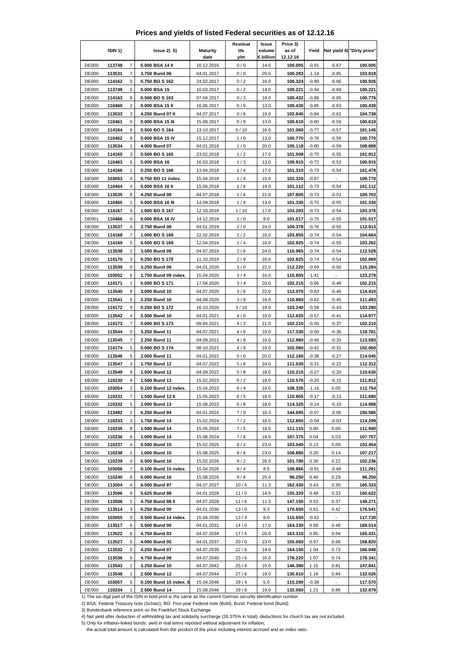## **Prices and yields of listed Federal securities as of 12.12.16**

|                              | ISIN <sub>1</sub> ) |                         | $lssue2)$ 5)                                                                                                                      | <b>Maturity</b>          | Residual<br>life | Issue<br>volume   | Price 3)<br>as of   | Yield              |                    | Net yield 4) "Dirty price" |
|------------------------------|---------------------|-------------------------|-----------------------------------------------------------------------------------------------------------------------------------|--------------------------|------------------|-------------------|---------------------|--------------------|--------------------|----------------------------|
| <b>DE000</b>                 | 113748              | $\overline{7}$          | 0.000 BSA 14 II                                                                                                                   | date<br>16.12.2016       | y/m<br>0/0       | € billion<br>14.0 | 12.12.16<br>100.005 | $-0.91$            | $-0.67$            | 100.005                    |
| <b>DE000</b>                 | 113531              | $\overline{7}$          | 3.750 Bund 06                                                                                                                     | 04.01.2017               | 0/0              | 20.0              | 100.283             | $-1.14$            | $-0.85$            | 103.818                    |
| <b>DE000</b>                 | 114162              | 0                       | 0.750 BO S 162                                                                                                                    | 24.02.2017               | 0/2              | 16.0              | 100.324             | $-0.89$            | $-0.66$            | 100.926                    |
| DE000                        | 113749              | 5                       | 0.000 BSA 15                                                                                                                      | 10.03.2017               | 0/2              | 14.0              | 100.221             | $-0.94$            | $-0.69$            | 100.221                    |
| <b>DE000</b>                 | 114163              | 8                       | 0.500 BO S 163                                                                                                                    | 07.04.2017               | 0/3              | 18.0              | 100.432             | $-0.88$            | $-0.65$            | 100.776                    |
| DE000                        | 110460              | $\overline{2}$          | 0.000 BSA 15 II                                                                                                                   | 16.06.2017               | 0/6              | 13.0              | 100.430             | $-0.85$            | $-0.63$            | 100.430                    |
| DE000                        | 113533              | 3                       | 4.250 Bund 07 II                                                                                                                  | 04.07.2017               | 0/6              | 19.0              | 102.840             | $-0.84$            | $-0.62$            | 104.738                    |
| <b>DE000</b><br><b>DE000</b> | 110461              | $\mathbf 0$<br>6        | 0.000 BSA 15 III                                                                                                                  | 15.09.2017               | 0/9<br>0/10      | 13.0              | 100.610             | $-0.80$            | $-0.59$            | 100.610<br>101.145         |
| <b>DE000</b>                 | 114164<br>110462    | 8                       | 0.500 BO S 164<br>0.000 BSA 15 IV                                                                                                 | 13.10.2017<br>15.12.2017 | 1/0              | 16.0<br>13.0      | 101.060<br>100.770  | $-0.77$<br>-0.76   | $-0.57$<br>$-0.56$ | 100.770                    |
| <b>DE000</b>                 | 113534              | 1                       | 4.000 Bund 07                                                                                                                     | 04.01.2018               | 1/0              | 20.0              | 105.118             | $-0.80$            | $-0.59$            | 108.888                    |
| <b>DE000</b>                 | 114165              | 3                       | 0.500 BO S 165                                                                                                                    | 23.02.2018               | 1/2              | 17.0              | 101.509             | $-0.75$            | $-0.55$            | 101.912                    |
| <b>DE000</b>                 | 110463              | 6                       | 0.000 BSA 16                                                                                                                      | 16.03.2018               | 1/3              | 13.0              | 100.915             | $-0.72$            | $-0.53$            | 100.915                    |
| <b>DE000</b>                 | 114166              | 1                       | 0.250 BO S 166                                                                                                                    | 13.04.2018               | 1/4              | 17.0              | 101.310             | -0.73              | $-0.54$            | 101.478                    |
| <b>DE000</b>                 | 103053              | 4                       | 0.750 BO 11 index.                                                                                                                | 15.04.2018               | 1/4              | 15.0              | 102.320             | $-0.97$            | $\blacksquare$     | 109.770                    |
| <b>DE000</b>                 | 110464              | $\overline{4}$          | 0.000 BSA 16 II                                                                                                                   | 15.06.2018               | 1/6              | 14.0              | 101.112             | $-0.73$            | $-0.54$            | 101.112                    |
| <b>DE000</b>                 | 113535              | 8                       | 4.250 Bund 08                                                                                                                     | 04.07.2018               | 1/6              | 21.0              | 107.805             | $-0.73$            | $-0.53$            | 109.703                    |
| <b>DE000</b>                 | 110465              | 1                       | 0.000 BSA 16 III                                                                                                                  | 14.09.2018               | 1/9              | 13.0              | 101.330             | $-0.75$            | $-0.55$            | 101.330                    |
| <b>DE000</b><br>DE001        | 114167<br>110466    | 9<br>9                  | 1.000 BO S 167<br>0.000 BSA 16 IV                                                                                                 | 12.10.2018               | 1/10<br>2/0      | 17.0<br>8.0       | 103.203<br>101.517  | $-0.73$<br>$-0.75$ | $-0.54$<br>$-0.55$ | 103.376<br>101.517         |
| <b>DE000</b>                 | 113537              | 4                       | 3.750 Bund 08                                                                                                                     | 14.12.2018<br>04.01.2019 | 2/0              | 24.0              | 109.378             | $-0.76$            | $-0.55$            | 112.913                    |
| <b>DE000</b>                 | 114168              | 7                       | 1.000 BO S 168                                                                                                                    | 22.02.2019               | 2/2              | 16.0              | 103.855             | $-0.74$            | $-0.54$            | 104.664                    |
| <b>DE000</b>                 | 114169              | 5                       | 0.500 BO S 169                                                                                                                    | 12.04.2019               | 2/4              | 16.0              | 102.925             | $-0.74$            | $-0.55$            | 103.262                    |
| DE000                        | 113538              | 2                       | 3.500 Bund 09                                                                                                                     | 04.07.2019               | 2/6              | 24.0              | 110.965             | $-0.74$            | $-0.54$            | 112.528                    |
| <b>DE000</b>                 | 114170              | 3                       | 0.250 BO S 170                                                                                                                    | 11.10.2019               | 2/9              | 16.0              | 102.825             | $-0.74$            | $-0.54$            | 102.869                    |
| DE000                        | 113539              | 0                       | 3.250 Bund 09                                                                                                                     | 04.01.2020               | 3/0              | 22.0              | 112.220             | $-0.69$            | $-0.50$            | 115.284                    |
| <b>DE000</b>                 | 103052              | 6                       | 1.750 Bund 09 index.                                                                                                              | 15.04.2020               | 3/4              | 16.0              | 110.855             | $-1.41$            |                    | 123.279                    |
| DE000                        | 114171              | 1                       | 0.000 BOS 171                                                                                                                     | 17.04.2020               | 3/4              | 20.0              | 102.215             | $-0.65$            | $-0.48$            | 102.215                    |
| <b>DE000</b>                 | 113540              | 8                       | 3.000 Bund 10                                                                                                                     | 04.07.2020               | 3/6              | 22.0              | 113.070             | $-0.63$            | $-0.46$            | 114.410                    |
| DE000                        | 113541              | 6                       | 2.250 Bund 10                                                                                                                     | 04.09.2020               | 3/8              | 16.0              | 110.860             | $-0.62$            | $-0.45$            | 111.483                    |
| <b>DE000</b>                 | 114172              | 9                       | 0.250 BO S 172                                                                                                                    | 16.10.2020               | 3/10             | 19.0              | 103.240             | $-0.58$            | $-0.43$            | 103.280                    |
| <b>DE000</b><br>DE000        | 113542<br>114173    | 4<br>$\overline{7}$     | 2.500 Bund 10<br>0.000 BO S 173                                                                                                   | 04.01.2021<br>09.04.2021 | 4/0<br>4/3       | 19.0<br>21.0      | 112.620<br>102.210  | $-0.57$<br>$-0.50$ | $-0.41$<br>$-0.37$ | 114.977<br>102.210         |
| DE000                        | 113544              | 0                       | 3.250 Bund 11                                                                                                                     | 04.07.2021               | 4/6              | 19.0              | 117.330             | $-0.50$            | $-0.36$            | 118.781                    |
| <b>DE000</b>                 | 113545              | $\overline{7}$          | 2.250 Bund 11                                                                                                                     | 04.09.2021               | 4/8              | 16.0              | 112.960             | $-0.46$            | $-0.33$            | 113.583                    |
| <b>DE000</b>                 | 114174              | 5                       | 0.000 BO S 174                                                                                                                    | 08.10.2021               | 4/9              | 19.0              | 102.060             | $-0.42$            | $-0.31$            | 102.060                    |
| DE000                        | 113546              | 5                       | 2.000 Bund 11                                                                                                                     | 04.01.2022               | 5/0              | 20.0              | 112.160             | -0.38              | $-0.27$            | 114.045                    |
| DE000                        | 113547              | 3                       | 1.750 Bund 12                                                                                                                     | 04.07.2022               | 5/6              | 24.0              | 111.530             | -0.31              | $-0.22$            | 112.312                    |
| <b>DE000</b>                 | 113549              | 9                       | 1.500 Bund 12                                                                                                                     | 04.09.2022               | 5/8              | 18.0              | 110.215             | $-0.27$            | $-0.20$            | 110.630                    |
| <b>DE000</b>                 | 110230              | 9                       | 1.500 Bund 13                                                                                                                     | 15.02.2023               | 6/2              | 18.0              | 110.570             | $-0.20$            | $-0.15$            | 111.812                    |
| <b>DE000</b>                 | 103054              | $\overline{\mathbf{c}}$ | 0.100 Bund 12 index.                                                                                                              | 15.04.2023               | 6/4              | 16.0              | 108.335             | $-1.16$            | 0.00               | 112.754                    |
| <b>DE000</b>                 | 110231              | 7                       | 1.500 Bund 13 II                                                                                                                  | 15.05.2023               | 6/5              | 18.0              | 110.805             | $-0.17$            | $-0.13$            | 111.680                    |
| <b>DE000</b>                 | 110232              | 5                       | 2.000 Bund 13                                                                                                                     | 15.08.2023               | 6/8              | 18.0              | 114.325             | $-0.14$            | $-0.10$            | 114.988<br>150.586         |
| <b>DE000</b><br><b>DE000</b> | 113492<br>110233    | 2<br>3                  | 6.250 Bund 94<br>1.750 Bund 14                                                                                                    | 04.01.2024<br>15.02.2024 | 7/0<br>7/2       | 10.3<br>18.0      | 144.695<br>112.850  | $-0.07$<br>$-0.04$ | $-0.05$<br>$-0.03$ | 114.299                    |
| <b>DE000</b>                 | 110235              | 8                       | 1.500 Bund 14                                                                                                                     | 15.05.2024               | 7/5              | 18.0              | 111.115             | 0.00               | 0.00               | 111.990                    |
| <b>DE000</b>                 | 110236              | 6                       | 1.000 Bund 14                                                                                                                     | 15.08.2024               | 7/8              | 18.0              | 107.375             | 0.04               | 0.03               | 107.707                    |
| <b>DE000</b>                 | 110237              | 4                       | 0.500 Bund 15                                                                                                                     | 15.02.2025               | 8/2              | 23.0              | 103.040             | 0.13               | 0.09               | 103.454                    |
| <b>DE000</b>                 | 110238              | 2                       | 1.000 Bund 15                                                                                                                     | 15.08.2025               | 8/8              | 23.0              | 106.885             | 0.20               | 0.14               | 107.217                    |
| <b>DE000</b>                 | 110239              | 0                       | 0.500 Bund 16                                                                                                                     | 15.02.2026               | 9/2              | 26.0              | 101.780             | 0.30               | 0.22               | 102.236                    |
| <b>DE000</b>                 | 103056              | 7                       | 0.100 Bund 15 index.                                                                                                              | 15.04.2026               | 9/4              | 8.5               | 109.865             | $-0.91$            | $-0.66$            | 111.291                    |
| <b>DE000</b>                 | 110240              | 8                       | 0.000 Bund 16                                                                                                                     | 15.08.2026               | 9/8              | 25.0              | 96.250              | 0.40               | 0.29               | 96.250                     |
| <b>DE000</b>                 | 113504              | 4                       | 6.500 Bund 97                                                                                                                     | 04.07.2027               | 10/6             | 11.3              | 162.430             | 0.43               | 0.30               | 165.333                    |
| <b>DE000</b>                 | 113506              | 9                       | 5.625 Bund 98                                                                                                                     | 04.01.2028               | 11/0             | 14.5              | 155.320             | 0.48               | 0.33               | 160.622                    |
| <b>DE000</b><br><b>DE000</b> | 113508<br>113514    | 5<br>3                  | 4.750 Bund 98 II<br>6.250 Bund 00                                                                                                 | 04.07.2028<br>04.01.2030 | 11/6<br>13/0     | 11.3<br>9.3       | 147.150<br>170.650  | 0.53<br>0.61       | 0.37<br>0.42       | 149.271<br>176.541         |
| <b>DE000</b>                 | 103055              | 9                       | 0.500 Bund 14 index.                                                                                                              | 15.04.2030               | 13/4             | 8.0               | 115.650             | $-0.62$            | $\blacksquare$     | 117.730                    |
| DE000                        | 113517              | 6                       | 5.500 Bund 00                                                                                                                     | 04.01.2031               | 14/0             | 17.0              | 164.330             | 0.68               | 0.48               | 169.514                    |
| <b>DE000</b>                 | 113522              | 6                       | 4.750 Bund 03                                                                                                                     | 04.07.2034               | 17/6             | 20.0              | 163.310             | 0.85               | 0.59               | 165.431                    |
| <b>DE000</b>                 | 113527              | 5                       | 4.000 Bund 05                                                                                                                     | 04.01.2037               | 20/0             | 23.0              | 155.050             | 0.97               | 0.68               | 158.820                    |
| DE000                        | 113532              | 5                       | 4.250 Bund 07                                                                                                                     | 04.07.2039               | 22/6             | 14.0              | 164.150             | 1.04               | 0.73               | 166.048                    |
| <b>DE000</b>                 | 113536              | 6                       | 4.750 Bund 08                                                                                                                     | 04.07.2040               | 23/6             | 16.0              | 176.220             | 1.07               | 0.74               | 178.341                    |
| <b>DE000</b>                 | 113543              | 2                       | 3.250 Bund 10                                                                                                                     | 04.07.2042               | 25/6             | 15.0              | 146.390             | 1.15               | 0.81               | 147.841                    |
| <b>DE000</b>                 | 113548              | 1                       | 2.500 Bund 12                                                                                                                     | 04.07.2044               | 27/6             | 19.0              | 130.910             | 1.18               | 0.84               | 132.026                    |
| <b>DE000</b>                 | 103057              | 5                       | 0.100 Bund 15 index. II                                                                                                           | 15.04.2046               | 29/4             | 5.0               | 115.200             | $-0.39$            |                    | 117.570                    |
| <b>DE000</b>                 | 110234              | 1                       | 2.500 Bund 14<br>1) The six-digit part of the ISIN in bold print is the same as the current German security identification number | 15.08.2046               | 29/8             | 19.0              | 132.050             | 1.21               | 0.86               | 132.879                    |

2) BSA: Federal Treasury note (Schatz), BO: Five-year Federal note (Bobl), Bund: Federal bond (Bund)

3) Bundesbank reference price on the Frankfurt Stock Exchange

4) Net yield after deduction of withholding tax and solidarity surcharge (26.375% in total); deductions for church tax are not included.

5) Only for inflation-linked bonds: yield in real terms reported without adjustment for inflation;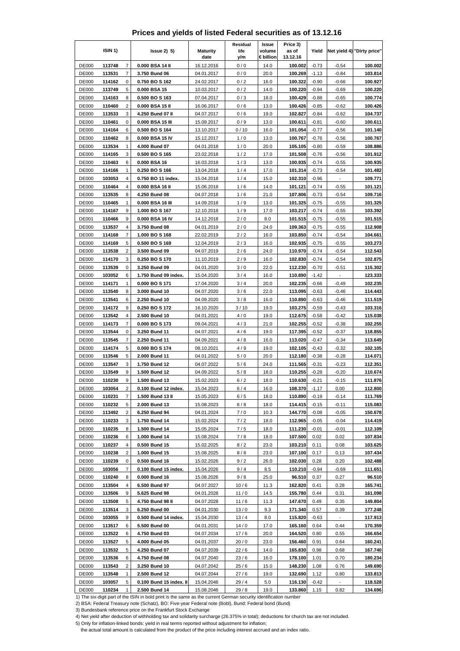|  | Prices and yields of listed Federal securities as of 13.12.16 |  |  |  |
|--|---------------------------------------------------------------|--|--|--|
|--|---------------------------------------------------------------|--|--|--|

|                              | ISIN 1)          |                         | $lssue2)$ 5)                                                                                                     | <b>Maturity</b>          | Residual<br>life | Issue<br>volume | Price 3)<br>as of  | Yield              |                    | Net yield 4) "Dirty price" |
|------------------------------|------------------|-------------------------|------------------------------------------------------------------------------------------------------------------|--------------------------|------------------|-----------------|--------------------|--------------------|--------------------|----------------------------|
|                              |                  |                         |                                                                                                                  | date                     | y/m              | € billion       | 13.12.16           |                    |                    |                            |
| <b>DE000</b>                 | 113748           | $\overline{7}$          | 0.000 BSA 14 II                                                                                                  | 16.12.2016               | 0/0              | 14.0            | 100.002            | $-0.73$            | $-0.54$            | 100.002                    |
| <b>DE000</b><br><b>DE000</b> | 113531           | $\overline{7}$<br>0     | 3.750 Bund 06                                                                                                    | 04.01.2017               | 0/0              | 20.0            | 100.269            | $-1.13$            | $-0.84$            | 103.814                    |
| <b>DE000</b>                 | 114162<br>113749 | 5                       | 0.750 BO S 162<br>0.000 BSA 15                                                                                   | 24.02.2017<br>10.03.2017 | 0/2<br>0/2       | 16.0<br>14.0    | 100.322<br>100.220 | $-0.90$<br>-0.94   | $-0.66$<br>$-0.69$ | 100.927<br>100.220         |
| <b>DE000</b>                 | 114163           | 8                       | 0.500 BO S 163                                                                                                   | 07.04.2017               | 0/3              | 18.0            | 100.429            | $-0.88$            | $-0.65$            | 100.774                    |
| <b>DE000</b>                 | 110460           | $\overline{2}$          | 0.000 BSA 15 II                                                                                                  | 16.06.2017               | 0/6              | 13.0            | 100.426            | $-0.85$            | $-0.62$            | 100.426                    |
| <b>DE000</b>                 | 113533           | 3                       | 4.250 Bund 07 II                                                                                                 | 04.07.2017               | 0/6              | 19.0            | 102.827            | $-0.84$            | $-0.62$            | 104.737                    |
| <b>DE000</b>                 | 110461           | 0                       | 0.000 BSA 15 III                                                                                                 | 15.09.2017               | 0/9              | 13.0            | 100.611            | $-0.81$            | $-0.60$            | 100.611                    |
| <b>DE000</b>                 | 114164           | 6                       | 0.500 BO S 164                                                                                                   | 13.10.2017               | 0/10             | 16.0            | 101.054            | $-0.77$            | $-0.56$            | 101.140                    |
| <b>DE000</b>                 | 110462           | 8                       | 0.000 BSA 15 IV                                                                                                  | 15.12.2017               | 1/0              | 13.0            | 100.767            | $-0.76$            | $-0.56$            | 100.767                    |
| <b>DE000</b>                 | 113534           | 1                       | 4.000 Bund 07                                                                                                    | 04.01.2018               | 1/0              | 20.0            | 105.105            | $-0.80$            | $-0.59$            | 108.886                    |
| <b>DE000</b>                 | 114165           | 3                       | 0.500 BO S 165                                                                                                   | 23.02.2018               | 1/2              | 17.0            | 101.508            | $-0.76$            | $-0.56$            | 101.912                    |
| <b>DE000</b>                 | 110463           | 6                       | 0.000 BSA 16                                                                                                     | 16.03.2018               | 1/3              | 13.0            | 100.935            | $-0.74$            | $-0.55$            | 100.935                    |
| <b>DE000</b>                 | 114166           | 1                       | 0.250 BO S 166                                                                                                   | 13.04.2018               | 1/4              | 17.0            | 101.314            | $-0.73$            | $-0.54$            | 101.482                    |
| DE000                        | 103053           | 4                       | 0.750 BO 11 index.                                                                                               | 15.04.2018               | 1/4              | 15.0            | 102.310            | $-0.96$            |                    | 109.771                    |
| <b>DE000</b>                 | 110464           | 4<br>8                  | 0.000 BSA 16 II                                                                                                  | 15.06.2018               | 1/6              | 14.0            | 101.121            | $-0.74$            | $-0.55$            | 101.121                    |
| <b>DE000</b><br><b>DE000</b> | 113535<br>110465 | 1                       | 4.250 Bund 08<br>0.000 BSA 16 III                                                                                | 04.07.2018<br>14.09.2018 | 1/6<br>1/9       | 21.0<br>13.0    | 107.806<br>101.325 | $-0.73$<br>$-0.75$ | $-0.54$<br>$-0.55$ | 109.716<br>101.325         |
| DE000                        | 114167           | 9                       | 1.000 BO S 167                                                                                                   | 12.10.2018               | 1/9              | 17.0            | 103.217            | $-0.74$            | $-0.55$            | 103.392                    |
| <b>DE001</b>                 | 110466           | 9                       | 0.000 BSA 16 IV                                                                                                  | 14.12.2018               | 2/0              | 8.0             | 101.515            | $-0.75$            | $-0.55$            | 101.515                    |
| <b>DE000</b>                 | 113537           | 4                       | 3.750 Bund 08                                                                                                    | 04.01.2019               | 2/0              | 24.0            | 109.363            | $-0.75$            | $-0.55$            | 112.908                    |
| <b>DE000</b>                 | 114168           | 7                       | 1.000 BO S 168                                                                                                   | 22.02.2019               | 2/2              | 16.0            | 103.850            | $-0.74$            | $-0.54$            | 104.661                    |
| <b>DE000</b>                 | 114169           | 5                       | 0.500 BO S 169                                                                                                   | 12.04.2019               | 2/3              | 16.0            | 102.935            | $-0.75$            | $-0.55$            | 103.273                    |
| <b>DE000</b>                 | 113538           | $\overline{\mathbf{c}}$ | 3.500 Bund 09                                                                                                    | 04.07.2019               | 2/6              | 24.0            | 110.970            | $-0.74$            | $-0.54$            | 112.543                    |
| <b>DE000</b>                 | 114170           | 3                       | 0.250 BO S 170                                                                                                   | 11.10.2019               | 2/9              | 16.0            | 102.830            | $-0.74$            | $-0.54$            | 102.875                    |
| <b>DE000</b>                 | 113539           | 0                       | 3.250 Bund 09                                                                                                    | 04.01.2020               | 3/0              | 22.0            | 112.230            | $-0.70$            | $-0.51$            | 115.302                    |
| DE000                        | 103052           | 6                       | 1.750 Bund 09 index.                                                                                             | 15.04.2020               | 3/4              | 16.0            | 110.890            | $-1.42$            | $\overline{a}$     | 123.333                    |
| <b>DE000</b>                 | 114171           | $\mathbf{1}$            | 0.000 BO S 171                                                                                                   | 17.04.2020               | 3/4              | 20.0            | 102.235            | $-0.66$            | $-0.49$            | 102.235                    |
| <b>DE000</b>                 | 113540           | 8                       | 3.000 Bund 10                                                                                                    | 04.07.2020               | 3/6              | 22.0            | 113.095            | $-0.63$            | $-0.46$            | 114.443                    |
| <b>DE000</b>                 | 113541           | 6                       | 2.250 Bund 10                                                                                                    | 04.09.2020               | 3/8              | 16.0            | 110.890            | $-0.63$            | $-0.46$            | 111.519                    |
| <b>DE000</b><br><b>DE000</b> | 114172<br>113542 | 9<br>4                  | 0.250 BO S 172                                                                                                   | 16.10.2020               | 3/10<br>4/0      | 19.0<br>19.0    | 103.275<br>112.675 | $-0.59$<br>$-0.58$ | $-0.43$            | 103.316<br>115.038         |
| <b>DE000</b>                 | 114173           | 7                       | 2.500 Bund 10<br>0.000 BO S 173                                                                                  | 04.01.2021<br>09.04.2021 | 4/3              | 21.0            | 102.255            | $-0.52$            | $-0.42$<br>$-0.38$ | 102.255                    |
| <b>DE000</b>                 | 113544           | 0                       | 3.250 Bund 11                                                                                                    | 04.07.2021               | 4/6              | 19.0            | 117.395            | $-0.52$            | $-0.37$            | 118.855                    |
| <b>DE000</b>                 | 113545           | 7                       | 2.250 Bund 11                                                                                                    | 04.09.2021               | 4/8              | 16.0            | 113.020            | $-0.47$            | $-0.34$            | 113.649                    |
| <b>DE000</b>                 | 114174           | 5                       | 0.000 BO S 174                                                                                                   | 08.10.2021               | 4/9              | 19.0            | 102.105            | $-0.43$            | $-0.32$            | 102.105                    |
| <b>DE000</b>                 | 113546           | 5                       | 2.000 Bund 11                                                                                                    | 04.01.2022               | 5/0              | 20.0            | 112.180            | $-0.38$            | $-0.28$            | 114.071                    |
| DE000                        | 113547           | 3                       | 1.750 Bund 12                                                                                                    | 04.07.2022               | 5/6              | 24.0            | 111.565            | $-0.31$            | $-0.23$            | 112.351                    |
| <b>DE000</b>                 | 113549           | 9                       | 1.500 Bund 12                                                                                                    | 04.09.2022               | 5/8              | 18.0            | 110.255            | $-0.28$            | $-0.20$            | 110.674                    |
| <b>DE000</b>                 | 110230           | 9                       | 1.500 Bund 13                                                                                                    | 15.02.2023               | 6/2              | 18.0            | 110.630            | $-0.21$            | $-0.15$            | 111.876                    |
| <b>DE000</b>                 | 103054           | 2                       | 0.100 Bund 12 index.                                                                                             | 15.04.2023               | 6/4              | 16.0            | 108.370            | $-1.17$            | 0.00               | 112.800                    |
| <b>DE000</b>                 | 110231           | 7                       | 1.500 Bund 13 II                                                                                                 | 15.05.2023               | 6/5              | 18.0            | 110.890            | $-0.19$            | $-0.14$            | 111.769                    |
| <b>DE000</b>                 | 110232           | 5                       | 2.000 Bund 13                                                                                                    | 15.08.2023               | 6/8              | 18.0            | 114.415            | $-0.15$            | $-0.11$            | 115.083                    |
| <b>DE000</b>                 | 113492           | $\overline{c}$          | 6.250 Bund 94                                                                                                    | 04.01.2024               | 7/0              | 10.3            | 144.770            | $-0.08$            | $-0.05$            | 150.678                    |
| <b>DE000</b>                 | 110233           | 3<br>8                  | 1.750 Bund 14                                                                                                    | 15.02.2024               | 7/2              | 18.0            | 112.965            | $-0.05$            | $-0.04$            | 114.419                    |
| <b>DE000</b><br><b>DE000</b> | 110235<br>110236 | 6                       | 1.500 Bund 14<br>1.000 Bund 14                                                                                   | 15.05.2024<br>15.08.2024 | 7/5<br>7/8       | 18.0<br>18.0    | 111.230<br>107.500 | $-0.01$<br>0.02    | $-0.01$<br>0.02    | 112.109<br>107.834         |
| <b>DE000</b>                 | 110237           | 4                       | 0.500 Bund 15                                                                                                    | 15.02.2025               | 8/2              | 23.0            | 103.210            | 0.11               | 0.08               | 103.625                    |
| <b>DE000</b>                 | 110238           | 2                       | 1.000 Bund 15                                                                                                    | 15.08.2025               | 8/8              | 23.0            | 107.100            | 0.17               | 0.13               | 107.434                    |
| <b>DE000</b>                 | 110239           | 0                       | 0.500 Bund 16                                                                                                    | 15.02.2026               | 9/2              | 26.0            | 102.030            | 0.28               | 0.20               | 102.488                    |
| DE000                        | 103056           | $\boldsymbol{7}$        | 0.100 Bund 15 index.                                                                                             | 15.04.2026               | 9/4              | 8.5             | 110.210            | $-0.94$            | $-0.69$            | 111.651                    |
| <b>DE000</b>                 | 110240           | 8                       | 0.000 Bund 16                                                                                                    | 15.08.2026               | 9/8              | 25.0            | 96.510             | 0.37               | 0.27               | 96.510                     |
| <b>DE000</b>                 | 113504           | 4                       | 6.500 Bund 97                                                                                                    | 04.07.2027               | 10/6             | 11.3            | 162.820            | 0.41               | 0.28               | 165.741                    |
| DE000                        | 113506           | 9                       | 5.625 Bund 98                                                                                                    | 04.01.2028               | 11/0             | 14.5            | 155.780            | 0.44               | 0.31               | 161.098                    |
| <b>DE000</b>                 | 113508           | 5                       | 4.750 Bund 98 II                                                                                                 | 04.07.2028               | 11/6             | 11.3            | 147.670            | 0.49               | 0.35               | 149.804                    |
| <b>DE000</b>                 | 113514           | 3                       | 6.250 Bund 00                                                                                                    | 04.01.2030               | 13/0             | 9.3             | 171.340            | 0.57               | 0.39               | 177.248                    |
| <b>DE000</b>                 | 103055           | 9                       | 0.500 Bund 14 index.                                                                                             | 15.04.2030               | 13/4             | 8.0             | 115.820            | $-0.63$            |                    | 117.913                    |
| <b>DE000</b>                 | 113517           | 6                       | 5.500 Bund 00                                                                                                    | 04.01.2031               | 14/0             | 17.0            | 165.160            | 0.64               | 0.44               | 170.359                    |
| <b>DE000</b><br><b>DE000</b> | 113522<br>113527 | 6                       | 4.750 Bund 03<br>4.000 Bund 05                                                                                   | 04.07.2034<br>04.01.2037 | 17/6             | 20.0<br>23.0    | 164.520<br>156.460 | 0.80<br>0.91       | 0.55<br>0.64       | 166.654<br>160.241         |
| <b>DE000</b>                 | 113532           | 5<br>5                  | 4.250 Bund 07                                                                                                    | 04.07.2039               | 20/0<br>22/6     | 14.0            | 165.830            | 0.98               | 0.68               | 167.740                    |
| <b>DE000</b>                 | 113536           | 6                       | 4.750 Bund 08                                                                                                    | 04.07.2040               | 23/6             | 16.0            | 178.100            | 1.01               | 0.70               | 180.234                    |
| <b>DE000</b>                 | 113543           | 2                       | 3.250 Bund 10                                                                                                    | 04.07.2042               | 25/6             | 15.0            | 148.230            | 1.08               | 0.76               | 149.690                    |
| <b>DE000</b>                 | 113548           | $\mathbf{1}$            | 2.500 Bund 12                                                                                                    | 04.07.2044               | 27/6             | 19.0            | 132.690            | 1.12               | 0.80               | 133.813                    |
| <b>DE000</b>                 | 103057           | 5                       | 0.100 Bund 15 index. II                                                                                          | 15.04.2046               | 29/4             | 5.0             | 116.130            | $-0.42$            |                    | 118.528                    |
| <b>DE000</b>                 | 110234           | 1                       | 2.500 Bund 14                                                                                                    | 15.08.2046               | 29/8             | 19.0            | 133.860            | 1.15               | 0.82               | 134.696                    |
|                              |                  |                         | 1) The six-digit part of the ISIN in bold print is the same as the current German security identification number |                          |                  |                 |                    |                    |                    |                            |

3) Bundesbank reference price on the Frankfurt Stock Exchange

4) Net yield after deduction of withholding tax and solidarity surcharge (26.375% in total); deductions for church tax are not included.

5) Only for inflation-linked bonds: yield in real terms reported without adjustment for inflation;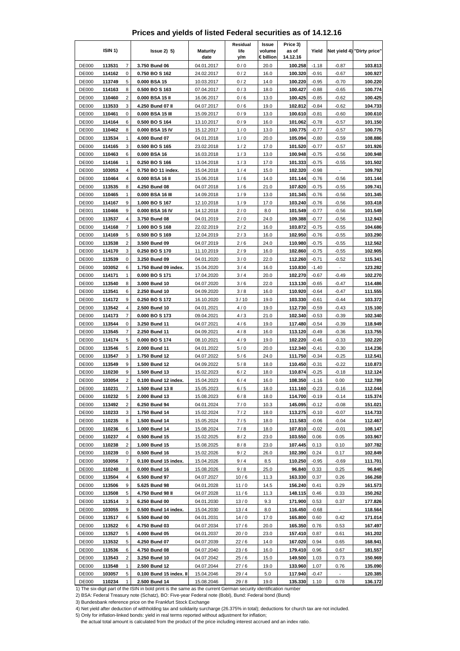|  | Prices and yields of listed Federal securities as of 14.12.16 |  |  |  |
|--|---------------------------------------------------------------|--|--|--|
|--|---------------------------------------------------------------|--|--|--|

|                              | ISIN 1)          |        | $lssue2)$ 5)                          | <b>Maturity</b><br>date  | Residual<br>life<br>y/m | Issue<br>volume<br>€ billion | Price 3)<br>as of<br>14.12.16 | Yield              |                          | Net yield 4) "Dirty price" |
|------------------------------|------------------|--------|---------------------------------------|--------------------------|-------------------------|------------------------------|-------------------------------|--------------------|--------------------------|----------------------------|
| <b>DE000</b>                 | 113531           | 7      | 3.750 Bund 06                         | 04.01.2017               | 0/0                     | 20.0                         | 100.258                       | $-1.18$            | $-0.87$                  | 103.813                    |
| <b>DE000</b>                 | 114162           | 0      | 0.750 BO S 162                        | 24.02.2017               | 0/2                     | 16.0                         | 100.320                       | $-0.91$            | $-0.67$                  | 100.927                    |
| <b>DE000</b>                 | 113749           | 5      | 0.000 BSA 15                          | 10.03.2017               | 0/2                     | 14.0                         | 100.220                       | $-0.95$            | $-0.70$                  | 100.220                    |
| <b>DE000</b>                 | 114163           | 8      | 0.500 BOS 163                         | 07.04.2017               | 0/3                     | 18.0                         | 100.427                       | $-0.88$            | $-0.65$                  | 100.774                    |
| <b>DE000</b>                 | 110460           | 2      | 0.000 BSA 15 II                       | 16.06.2017               | 0/6                     | 13.0                         | 100.425                       | $-0.85$            | $-0.62$                  | 100.425                    |
| <b>DE000</b>                 | 113533           | 3      | 4.250 Bund 07 II                      | 04.07.2017               | 0/6                     | 19.0                         | 102.812                       | $-0.84$            | $-0.62$                  | 104.733                    |
| <b>DE000</b>                 | 110461           | 0      | 0.000 BSA 15 III                      | 15.09.2017               | 0/9                     | 13.0                         | 100.610                       | $-0.81$            | $-0.60$                  | 100.610                    |
| <b>DE000</b>                 | 114164           | 6<br>8 | 0.500 BO S 164                        | 13.10.2017               | 0/9                     | 16.0                         | 101.062                       | $-0.78$            | $-0.57$                  | 101.150                    |
| <b>DE000</b><br><b>DE000</b> | 110462<br>113534 | 1      | 0.000 BSA 15 IV<br>4.000 Bund 07      | 15.12.2017<br>04.01.2018 | 1/0<br>1/0              | 13.0<br>20.0                 | 100.775<br>105.094            | $-0.77$<br>$-0.80$ | $-0.57$<br>$-0.59$       | 100.775<br>108.886         |
| DE000                        | 114165           | 3      | 0.500 BO S 165                        | 23.02.2018               | 1/2                     | 17.0                         | 101.520                       | $-0.77$            | $-0.57$                  | 101.926                    |
| <b>DE000</b>                 | 110463           | 6      | 0.000 BSA 16                          | 16.03.2018               | 1/3                     | 13.0                         | 100.948                       | $-0.75$            | $-0.56$                  | 100.948                    |
| DE000                        | 114166           | 1      | 0.250 BO S 166                        | 13.04.2018               | 1/3                     | 17.0                         | 101.333                       | $-0.75$            | $-0.55$                  | 101.502                    |
| <b>DE000</b>                 | 103053           | 4      | 0.750 BO 11 index.                    | 15.04.2018               | 1/4                     | 15.0                         | 102.320                       | $-0.98$            | $\overline{\phantom{0}}$ | 109.792                    |
| DE000                        | 110464           | 4      | 0.000 BSA 16 II                       | 15.06.2018               | 1/6                     | 14.0                         | 101.144                       | $-0.76$            | $-0.56$                  | 101.144                    |
| <b>DE000</b>                 | 113535           | 8      | 4.250 Bund 08                         | 04.07.2018               | 1/6                     | 21.0                         | 107.820                       | $-0.75$            | $-0.55$                  | 109.741                    |
| <b>DE000</b>                 | 110465           | 1      | 0.000 BSA 16 III                      | 14.09.2018               | 1/9                     | 13.0                         | 101.345                       | $-0.76$            | $-0.56$                  | 101.345                    |
| <b>DE000</b>                 | 114167           | 9      | 1.000 BO S 167                        | 12.10.2018               | 1/9                     | 17.0                         | 103.240                       | $-0.76$            | $-0.56$                  | 103.418                    |
| DE001                        | 110466           | 9      | 0.000 BSA 16 IV                       | 14.12.2018               | 2/0                     | 8.0                          | 101.549                       | $-0.77$            | $-0.56$                  | 101.549                    |
| <b>DE000</b><br><b>DE000</b> | 113537           | 4<br>7 | 3.750 Bund 08                         | 04.01.2019               | 2/0                     | 24.0                         | 109.388<br>103.872            | $-0.77$            | $-0.56$                  | 112.943                    |
| <b>DE000</b>                 | 114168<br>114169 | 5      | 1.000 BO S 168<br>0.500 BO S 169      | 22.02.2019<br>12.04.2019 | 2/2<br>2/3              | 16.0<br>16.0                 | 102.950                       | $-0.75$<br>$-0.76$ | $-0.55$<br>$-0.55$       | 104.686<br>103.290         |
| <b>DE000</b>                 | 113538           | 2      | 3.500 Bund 09                         | 04.07.2019               | 2/6                     | 24.0                         | 110.980                       | $-0.75$            | $-0.55$                  | 112.562                    |
| <b>DE000</b>                 | 114170           | 3      | 0.250 BO S 170                        | 11.10.2019               | 2/9                     | 16.0                         | 102.860                       | $-0.75$            | $-0.55$                  | 102.905                    |
| <b>DE000</b>                 | 113539           | 0      | 3.250 Bund 09                         | 04.01.2020               | 3/0                     | 22.0                         | 112.260                       | $-0.71$            | $-0.52$                  | 115.341                    |
| <b>DE000</b>                 | 103052           | 6      | 1.750 Bund 09 index.                  | 15.04.2020               | 3/4                     | 16.0                         | 110.830                       | $-1.40$            |                          | 123.282                    |
| <b>DE000</b>                 | 114171           | 1      | 0.000 BO S 171                        | 17.04.2020               | 3/4                     | 20.0                         | 102.270                       | $-0.67$            | $-0.49$                  | 102.270                    |
| <b>DE000</b>                 | 113540           | 8      | 3.000 Bund 10                         | 04.07.2020               | 3/6                     | 22.0                         | 113.130                       | $-0.65$            | $-0.47$                  | 114.486                    |
| <b>DE000</b>                 | 113541           | 6      | 2.250 Bund 10                         | 04.09.2020               | 3/8                     | 16.0                         | 110.920                       | $-0.64$            | $-0.47$                  | 111.555                    |
| <b>DE000</b>                 | 114172           | 9      | 0.250 BO S 172                        | 16.10.2020               | 3/10                    | 19.0                         | 103.330                       | $-0.61$            | $-0.44$                  | 103.372                    |
| <b>DE000</b>                 | 113542           | 4      | 2.500 Bund 10                         | 04.01.2021               | 4/0                     | 19.0                         | 112.730                       | $-0.59$            | $-0.43$                  | 115.100                    |
| <b>DE000</b><br><b>DE000</b> | 114173           | 7      | 0.000 BO S 173                        | 09.04.2021               | 4/3                     | 21.0                         | 102.340                       | $-0.53$            | $-0.39$                  | 102.340                    |
| <b>DE000</b>                 | 113544<br>113545 | 0<br>7 | 3.250 Bund 11<br>2.250 Bund 11        | 04.07.2021<br>04.09.2021 | 4/6<br>4/8              | 19.0<br>16.0                 | 117.480<br>113.120            | $-0.54$<br>$-0.49$ | $-0.39$<br>$-0.36$       | 118.949<br>113.755         |
| <b>DE000</b>                 | 114174           | 5      | 0.000 BOS 174                         | 08.10.2021               | 4/9                     | 19.0                         | 102.220                       | $-0.46$            | $-0.33$                  | 102.220                    |
| <b>DE000</b>                 | 113546           | 5      | 2.000 Bund 11                         | 04.01.2022               | 5/0                     | 20.0                         | 112.340                       | $-0.41$            | $-0.30$                  | 114.236                    |
| <b>DE000</b>                 | 113547           | 3      | 1.750 Bund 12                         | 04.07.2022               | 5/6                     | 24.0                         | 111.750                       | $-0.34$            | $-0.25$                  | 112.541                    |
| DE000                        | 113549           | 9      | 1.500 Bund 12                         | 04.09.2022               | 5/8                     | 18.0                         | 110.450                       | $-0.31$            | $-0.22$                  | 110.873                    |
| <b>DE000</b>                 | 110230           | 9      | 1.500 Bund 13                         | 15.02.2023               | 6/2                     | 18.0                         | 110.874                       | $-0.25$            | $-0.18$                  | 112.124                    |
| <b>DE000</b>                 | 103054           | 2      | 0.100 Bund 12 index.                  | 15.04.2023               | 6/4                     | 16.0                         | 108.350                       | $-1.16$            | 0.00                     | 112.789                    |
| <b>DE000</b>                 | 110231           | 7      | 1.500 Bund 13 II                      | 15.05.2023               | 6/5                     | 18.0                         | 111.160                       | $-0.23$            | $-0.16$                  | 112.044                    |
| <b>DE000</b>                 | 110232           | 5      | 2.000 Bund 13                         | 15.08.2023               | 6/8                     | 18.0                         | 114.700                       | $-0.19$            | $-0.14$                  | 115.374                    |
| <b>DE000</b>                 | 113492           | 2      | 6.250 Bund 94                         | 04.01.2024               | 7/0                     | 10.3                         | 145.095                       | $-0.12$            | $-0.08$                  | 151.021                    |
| <b>DE000</b><br><b>DE000</b> | 110233<br>110235 | 3<br>8 | 1.750 Bund 14<br>1.500 Bund 14        | 15.02.2024<br>15.05.2024 | $7/2$<br>7/5            | 18.0<br>18.0                 | 113.275<br>111.583            | $-0.10$<br>$-0.06$ | $-0.07$<br>$-0.04$       | 114.733<br>112.467         |
| <b>DE000</b>                 | 110236           | 6      | 1.000 Bund 14                         | 15.08.2024               | 7/8                     | 18.0                         | 107.810                       | $-0.02$            | $-0.01$                  | 108.147                    |
| <b>DE000</b>                 | 110237           | 4      | 0.500 Bund 15                         | 15.02.2025               | 8/2                     | 23.0                         | 103.550                       | 0.06               | 0.05                     | 103.967                    |
| <b>DE000</b>                 | 110238           | 2      | 1.000 Bund 15                         | 15.08.2025               | 8/8                     | 23.0                         | 107.445                       | 0.13               | 0.10                     | 107.782                    |
| <b>DE000</b>                 | 110239           | 0      | 0.500 Bund 16                         | 15.02.2026               | 9/2                     | 26.0                         | 102.390                       | 0.24               | 0.17                     | 102.849                    |
| DE000                        | 103056           | 7      | 0.100 Bund 15 index.                  | 15.04.2026               | 9/4                     | 8.5                          | 110.250                       | $-0.95$            | $-0.69$                  | 111.701                    |
| DE000                        | 110240           | 8      | 0.000 Bund 16                         | 15.08.2026               | 9/8                     | 25.0                         | 96.840                        | 0.33               | 0.25                     | 96.840                     |
| <b>DE000</b>                 | 113504           | 4      | 6.500 Bund 97                         | 04.07.2027               | 10/6                    | 11.3                         | 163.330                       | 0.37               | 0.26                     | 166.268                    |
| DE000                        | 113506           | 9      | 5.625 Bund 98                         | 04.01.2028               | 11/0                    | 14.5                         | 156.240                       | 0.41               | 0.29                     | 161.573                    |
| DE000                        | 113508           | 5      | 4.750 Bund 98 II                      | 04.07.2028               | 11/6                    | 11.3                         | 148.115                       | 0.46               | 0.33                     | 150.262                    |
| DE000<br><b>DE000</b>        | 113514<br>103055 | 3<br>9 | 6.250 Bund 00<br>0.500 Bund 14 index. | 04.01.2030<br>15.04.2030 | 13/0<br>13/4            | 9.3<br>8.0                   | 171.900<br>116.450            | 0.53<br>$-0.68$    | 0.37<br>$\blacksquare$   | 177.826<br>118.564         |
| DE000                        | 113517           | 6      | 5.500 Bund 00                         | 04.01.2031               | 14/0                    | 17.0                         | 165.800                       | 0.60               | 0.42                     | 171.014                    |
| DE000                        | 113522           | 6      | 4.750 Bund 03                         | 04.07.2034               | 17/6                    | 20.0                         | 165.350                       | 0.76               | 0.53                     | 167.497                    |
| DE000                        | 113527           | 5      | 4.000 Bund 05                         | 04.01.2037               | 20/0                    | 23.0                         | 157.410                       | 0.87               | 0.61                     | 161.202                    |
| <b>DE000</b>                 | 113532           | 5      | 4.250 Bund 07                         | 04.07.2039               | 22/6                    | 14.0                         | 167.020                       | 0.94               | 0.65                     | 168.941                    |
| DE000                        | 113536           | 6      | 4.750 Bund 08                         | 04.07.2040               | 23/6                    | 16.0                         | 179.410                       | 0.96               | 0.67                     | 181.557                    |
| <b>DE000</b>                 | 113543           | 2      | 3.250 Bund 10                         | 04.07.2042               | 25/6                    | 15.0                         | 149.500                       | 1.03               | 0.73                     | 150.969                    |
| <b>DE000</b>                 | 113548           | 1      | 2.500 Bund 12                         | 04.07.2044               | 27/6                    | 19.0                         | 133.960                       | 1.07               | 0.76                     | 135.090                    |
| <b>DE000</b>                 | 103057           | 5      | 0.100 Bund 15 index. II               | 15.04.2046               | 29/4                    | 5.0                          | 117.940                       | $-0.47$            | $\overline{\phantom{a}}$ | 120.385                    |
| DE000                        | 110234           |        | 2.500 Bund 14                         | 15.08.2046               | 29 / 8                  | 19.0                         | 135.330                       | 1.10               | 0.78                     | 136.172                    |

3) Bundesbank reference price on the Frankfurt Stock Exchange

4) Net yield after deduction of withholding tax and solidarity surcharge (26.375% in total); deductions for church tax are not included.

5) Only for inflation-linked bonds: yield in real terms reported without adjustment for inflation;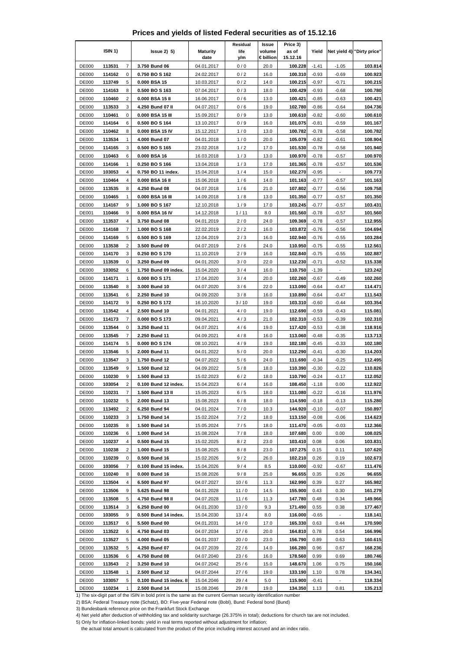## **Prices and yields of listed Federal securities as of 15.12.16**

|                              |                  |                     |                                   |                          | Residual     | Issue               | Price 3)           |                    |                          |                            |
|------------------------------|------------------|---------------------|-----------------------------------|--------------------------|--------------|---------------------|--------------------|--------------------|--------------------------|----------------------------|
|                              | ISIN 1)          |                     | lssue2)5                          | <b>Maturity</b><br>date  | life<br>y/m  | volume<br>€ billion | as of<br>15.12.16  | Yield              |                          | Net yield 4) "Dirty price" |
| <b>DE000</b>                 | 113531           | 7                   | 3.750 Bund 06                     | 04.01.2017               | 0/0          | 20.0                | 100.228            | $-1.41$            | $-1.05$                  | 103.814                    |
| <b>DE000</b>                 | 114162           | 0                   | 0.750 BO S 162                    | 24.02.2017               | 0/2          | 16.0                | 100.310            | $-0.93$            | $-0.69$                  | 100.923                    |
| <b>DE000</b>                 | 113749           | 5                   | 0.000 BSA 15                      | 10.03.2017               | 0/2          | 14.0                | 100.215            | $-0.97$            | $-0.71$                  | 100.215                    |
| <b>DE000</b>                 | 114163           | 8                   | 0.500 BO S 163                    | 07.04.2017               | 0/3          | 18.0                | 100.429            | $-0.93$            | $-0.68$                  | 100.780                    |
| <b>DE000</b>                 | 110460           | $\overline{2}$      | 0.000 BSA 15 II                   | 16.06.2017               | 0/6          | 13.0                | 100.421            | $-0.85$            | $-0.63$                  | 100.421                    |
| DE000                        | 113533           | 3                   | 4.250 Bund 07 II                  | 04.07.2017               | 0/6          | 19.0                | 102.780            | $-0.86$            | $-0.64$                  | 104.736                    |
| <b>DE000</b>                 | 110461           | 0                   | 0.000 BSA 15 III                  | 15.09.2017               | 0/9          | 13.0                | 100.610            | $-0.82$            | $-0.60$                  | 100.610                    |
| <b>DE000</b>                 | 114164           | 6                   | 0.500 BO S 164                    | 13.10.2017               | 0/9          | 16.0                | 101.075            | -0.81              | $-0.59$                  | 101.167                    |
| <b>DE000</b>                 | 110462           | 8                   | 0.000 BSA 15 IV                   | 15.12.2017               | 1/0          | 13.0                | 100.782            | $-0.78$            | $-0.58$                  | 100.782                    |
| <b>DE000</b>                 | 113534           | $\mathbf{1}$        | 4.000 Bund 07                     | 04.01.2018               | 1/0          | 20.0                | 105.079            | $-0.82$            | $-0.61$                  | 108.904                    |
| <b>DE000</b>                 | 114165           | 3                   | 0.500 BO S 165                    | 23.02.2018               | 1/2          | 17.0                | 101.530            | $-0.78$            | $-0.58$                  | 101.940                    |
| <b>DE000</b>                 | 110463           | 6                   | 0.000 BSA 16                      | 16.03.2018               | 1/3          | 13.0                | 100.970            | -0.78              | $-0.57$                  | 100.970                    |
| <b>DE000</b>                 | 114166           | $\mathbf{1}$        | 0.250 BO S 166                    | 13.04.2018               | 1/3          | 17.0                | 101.365            | $-0.78$            | $-0.57$                  | 101.536                    |
| <b>DE000</b>                 | 103053           | 4                   | 0.750 BO 11 index.                | 15.04.2018               | 1/4          | 15.0                | 102.270            | $-0.95$            | Ξ                        | 109.773                    |
| <b>DE000</b>                 | 110464           | 4                   | 0.000 BSA 16 II                   | 15.06.2018               | 1/6          | 14.0                | 101.163            | $-0.77$            | $-0.57$                  | 101.163                    |
| <b>DE000</b>                 | 113535           | 8                   | 4.250 Bund 08                     | 04.07.2018               | 1/6          | 21.0                | 107.802            | $-0.77$            | $-0.56$                  | 109.758                    |
| <b>DE000</b>                 | 110465           | $\mathbf{1}$        | 0.000 BSA 16 III                  | 14.09.2018               | 1/8          | 13.0                | 101.350            | $-0.77$            | $-0.57$                  | 101.350                    |
| <b>DE000</b>                 | 114167           | 9                   | 1.000 BO S 167                    | 12.10.2018               | 1/9          | 17.0                | 103.245            | $-0.77$            | $-0.57$                  | 103.431                    |
| <b>DE001</b>                 | 110466           | 9                   | 0.000 BSA 16 IV                   | 14.12.2018               | 1/11         | 8.0                 | 101.560            | $-0.78$            | $-0.57$                  | 101.560                    |
| <b>DE000</b>                 | 113537           | $\overline{4}$<br>7 | 3.750 Bund 08                     | 04.01.2019               | 2/0          | 24.0                | 109.369<br>103.872 | $-0.78$            | $-0.57$                  | 112.955<br>104.694         |
| <b>DE000</b>                 | 114168<br>114169 | 5                   | 1.000 BO S 168                    | 22.02.2019               | 2/2          | 16.0                |                    | $-0.76$            | $-0.56$                  | 103.284                    |
| <b>DE000</b><br>DE000        | 113538           | $\overline{2}$      | 0.500 BO S 169<br>3.500 Bund 09   | 12.04.2019<br>04.07.2019 | 2/3<br>2/6   | 16.0<br>24.0        | 102.940<br>110.950 | $-0.76$<br>$-0.75$ | $-0.55$<br>$-0.55$       | 112.561                    |
| <b>DE000</b>                 | 114170           | 3                   | 0.250 BO S 170                    | 11.10.2019               | 2/9          | 16.0                | 102.840            | $-0.75$            | $-0.55$                  | 102.887                    |
| <b>DE000</b>                 | 113539           | 0                   | 3.250 Bund 09                     | 04.01.2020               | 3/0          | 22.0                | 112.230            | $-0.71$            | $-0.52$                  | 115.338                    |
| DE000                        | 103052           | 6                   | 1.750 Bund 09 index.              | 15.04.2020               | 3/4          | 16.0                | 110.750            | $-1.39$            |                          | 123.242                    |
| DE000                        | 114171           | $\mathbf{1}$        | 0.000 BOS 171                     | 17.04.2020               | 3/4          | 20.0                | 102.260            | $-0.67$            | $-0.49$                  | 102.260                    |
| <b>DE000</b>                 | 113540           | 8                   | 3.000 Bund 10                     | 04.07.2020               | 3/6          | 22.0                | 113.090            | $-0.64$            | $-0.47$                  | 114.471                    |
| <b>DE000</b>                 | 113541           | 6                   | 2.250 Bund 10                     | 04.09.2020               | 3/8          | 16.0                | 110.890            | -0.64              | $-0.47$                  | 111.543                    |
| <b>DE000</b>                 | 114172           | 9                   | 0.250 BO S 172                    | 16.10.2020               | 3/10         | 19.0                | 103.310            | $-0.60$            | $-0.44$                  | 103.354                    |
| <b>DE000</b>                 | 113542           | 4                   | 2.500 Bund 10                     | 04.01.2021               | 4/0          | 19.0                | 112.690            | $-0.59$            | $-0.43$                  | 115.081                    |
| <b>DE000</b>                 | 114173           | 7                   | 0.000 BO S 173                    | 09.04.2021               | 4/3          | 21.0                | 102.310            | $-0.53$            | $-0.39$                  | 102.310                    |
| <b>DE000</b>                 | 113544           | 0                   | 3.250 Bund 11                     | 04.07.2021               | 4/6          | 19.0                | 117.420            | $-0.53$            | $-0.38$                  | 118.916                    |
| <b>DE000</b>                 | 113545           | 7                   | 2.250 Bund 11                     | 04.09.2021               | 4/8          | 16.0                | 113.060            | $-0.48$            | $-0.35$                  | 113.713                    |
| <b>DE000</b>                 | 114174           | 5                   | 0.000 BO S 174                    | 08.10.2021               | 4/9          | 19.0                | 102.180            | $-0.45$            | $-0.33$                  | 102.180                    |
| <b>DE000</b>                 | 113546           | 5                   | 2.000 Bund 11                     | 04.01.2022               | 5/0          | 20.0                | 112.290            | $-0.41$            | $-0.30$                  | 114.203                    |
| <b>DE000</b>                 | 113547           | 3                   | 1.750 Bund 12                     | 04.07.2022               | 5/6          | 24.0                | 111.690            | $-0.34$            | $-0.25$                  | 112.495                    |
| <b>DE000</b>                 | 113549           | 9                   | 1.500 Bund 12                     | 04.09.2022               | 5/8          | 18.0                | 110.390            | $-0.30$            | $-0.22$                  | 110.826                    |
| <b>DE000</b>                 | 110230           | 9                   | 1.500 Bund 13                     | 15.02.2023               | 6/2          | 18.0                | 110.790            | $-0.24$            | $-0.17$                  | 112.052                    |
| <b>DE000</b>                 | 103054           | 2                   | 0.100 Bund 12 index.              | 15.04.2023               | 6/4          | 16.0                | 108.450            | $-1.18$            | 0.00                     | 112.922                    |
| <b>DE000</b>                 | 110231           | 7                   | 1.500 Bund 13 II                  | 15.05.2023               | 6/5          | 18.0                | 111.080            | $-0.22$            | $-0.16$                  | 111.976                    |
| <b>DE000</b>                 | 110232           | 5                   | 2.000 Bund 13                     | 15.08.2023               | 6/8          | 18.0                | 114.590            | $-0.18$            | $-0.13$                  | 115.280                    |
| DE000                        | 113492           | 2                   | 6.250 Bund 94                     | 04.01.2024               | 7/0          | 10.3                | 144.920            | $-0.10$            | $-0.07$                  | 150.897                    |
| <b>DE000</b>                 | 110233           | 3                   | 1.750 Bund 14                     | 15.02.2024               | $7/2$        | 18.0                | 113.150            | $-0.08$            | $-0.06$                  | 114.623                    |
| DE000                        | 110235           | 8                   | 1.500 Bund 14                     | 15.05.2024               | 7/5          | 18.0                | 111.470            | $-0.05$            | $-0.03$                  | 112.366                    |
| DE000                        | 110236           | 6                   | 1.000 Bund 14                     | 15.08.2024               | 7/8          | 18.0                | 107.680            | 0.00               | 0.00                     | 108.025                    |
| <b>DE000</b>                 | 110237           | 4                   | 0.500 Bund 15                     | 15.02.2025               | 8/2          | 23.0                | 103.410            | 0.08               | 0.06                     | 103.831                    |
| DE000                        | 110238           | 2                   | 1.000 Bund 15                     | 15.08.2025               | 8/8          | 23.0                | 107.275            | 0.15               | 0.11                     | 107.620                    |
| DE000                        | 110239           | 0                   | 0.500 Bund 16                     | 15.02.2026               | 9/2          | 26.0                | 102.210            | 0.26               | 0.19                     | 102.673                    |
| <b>DE000</b>                 | 103056           | 7                   | 0.100 Bund 15 index.              | 15.04.2026               | 9/4          | 8.5                 | 110.000            | $-0.92$            | $-0.67$                  | 111.476                    |
| DE000                        | 110240           | 8                   | 0.000 Bund 16<br>6.500 Bund 97    | 15.08.2026               | 9/8          | 25.0                | 96.655             | 0.35               | 0.26                     | 96.655                     |
| DE000                        | 113504<br>113506 | 4<br>9              |                                   | 04.07.2027               | 10/6         | 11.3                | 162.990            | 0.39               | 0.27                     | 165.982                    |
| <b>DE000</b><br><b>DE000</b> | 113508           |                     | 5.625 Bund 98<br>4.750 Bund 98 II | 04.01.2028<br>04.07.2028 | 11/0         | 14.5                | 155.900<br>147.780 | 0.43<br>0.48       | 0.30                     | 161.279<br>149.966         |
| DE000                        | 113514           | 5<br>3              | 6.250 Bund 00                     | 04.01.2030               | 11/6<br>13/0 | 11.3<br>9.3         | 171.490            | 0.55               | 0.34<br>0.38             | 177.467                    |
| DE000                        | 103055           | 9                   | 0.500 Bund 14 index.              | 15.04.2030               | 13/4         | 8.0                 | 116.000            | $-0.65$            | $\overline{\phantom{a}}$ | 118.141                    |
| <b>DE000</b>                 | 113517           | 6                   | 5.500 Bund 00                     | 04.01.2031               | 14/0         | 17.0                | 165.330            | 0.63               | 0.44                     | 170.590                    |
| <b>DE000</b>                 | 113522           | 6                   | 4.750 Bund 03                     | 04.07.2034               | 17/6         | 20.0                | 164.810            | 0.78               | 0.54                     | 166.996                    |
| <b>DE000</b>                 | 113527           | 5                   | 4.000 Bund 05                     | 04.01.2037               | 20/0         | 23.0                | 156.790            | 0.89               | 0.63                     | 160.615                    |
| <b>DE000</b>                 | 113532           | 5                   | 4.250 Bund 07                     | 04.07.2039               | 22/6         | 14.0                | 166.280            | 0.96               | 0.67                     | 168.236                    |
| <b>DE000</b>                 | 113536           | 6                   | 4.750 Bund 08                     | 04.07.2040               | 23/6         | 16.0                | 178.560            | 0.99               | 0.69                     | 180.746                    |
| <b>DE000</b>                 | 113543           | 2                   | 3.250 Bund 10                     | 04.07.2042               | 25 / 6       | 15.0                | 148.670            | 1.06               | 0.75                     | 150.166                    |
| <b>DE000</b>                 | 113548           | 1                   | 2.500 Bund 12                     | 04.07.2044               | 27/6         | 19.0                | 133.190            | 1.10               | 0.78                     | 134.341                    |
| <b>DE000</b>                 | 103057           | 5                   | 0.100 Bund 15 index. II           | 15.04.2046               | 29/4         | 5.0                 | 115.900            | $-0.41$            | $\blacksquare$           | 118.334                    |
| <b>DE000</b>                 | 110234           | $\mathbf{1}$        | 2.500 Bund 14                     | 15.08.2046               | 29/8         | 19.0                | 134.350            | 1.13               | 0.81                     | 135.213                    |

1) The six-digit part of the ISIN in bold print is the same as the current German security identification number

2) BSA: Federal Treasury note (Schatz), BO: Five-year Federal note (Bobl), Bund: Federal bond (Bund)

3) Bundesbank reference price on the Frankfurt Stock Exchange

4) Net yield after deduction of withholding tax and solidarity surcharge (26.375% in total); deductions for church tax are not included.

5) Only for inflation-linked bonds: yield in real terms reported without adjustment for inflation;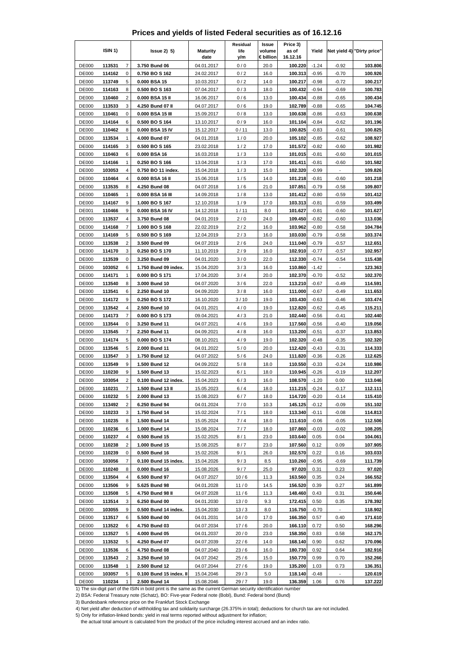|  | Prices and yields of listed Federal securities as of 16.12.16 |  |  |  |
|--|---------------------------------------------------------------|--|--|--|
|--|---------------------------------------------------------------|--|--|--|

|                              | ISIN <sub>1</sub> ) |                     | $lssue2)$ 5)                     | <b>Maturity</b><br>date  | Residual<br>life<br>y/m | Issue<br>volume<br>€ billion | Price 3)<br>as of<br>16.12.16 | Yield              |                          | Net yield 4) "Dirty price" |
|------------------------------|---------------------|---------------------|----------------------------------|--------------------------|-------------------------|------------------------------|-------------------------------|--------------------|--------------------------|----------------------------|
| <b>DE000</b>                 | 113531              | $\overline{7}$      | 3.750 Bund 06                    | 04.01.2017               | 0/0                     | 20.0                         | 100.220                       | $-1.24$            | $-0.92$                  | 103.806                    |
| <b>DE000</b>                 | 114162              | 0                   | 0.750 BO S 162                   | 24.02.2017               | 0/2                     | 16.0                         | 100.313                       | $-0.95$            | $-0.70$                  | 100.926                    |
| <b>DE000</b>                 | 113749              | 5                   | 0.000 BSA 15                     | 10.03.2017               | 0/2                     | 14.0                         | 100.217                       | $-0.98$            | $-0.72$                  | 100.217                    |
| <b>DE000</b>                 | 114163              | 8                   | 0.500 BOS 163                    | 07.04.2017               | 0/3                     | 18.0                         | 100.432                       | $-0.94$            | $-0.69$                  | 100.783                    |
| <b>DE000</b>                 | 110460              | $\overline{c}$      | 0.000 BSA 15 II                  | 16.06.2017               | 0/6                     | 13.0                         | 100.434                       | $-0.88$            | $-0.65$                  | 100.434                    |
| <b>DE000</b>                 | 113533              | 3                   | 4.250 Bund 07 II                 | 04.07.2017               | 0/6                     | 19.0                         | 102.789                       | $-0.88$            | $-0.65$                  | 104.745                    |
| <b>DE000</b>                 | 110461              | 0                   | 0.000 BSA 15 III                 | 15.09.2017               | 0/8                     | 13.0                         | 100.638                       | $-0.86$            | $-0.63$                  | 100.638                    |
| <b>DE000</b>                 | 114164              | 6                   | 0.500 BO S 164                   | 13.10.2017               | 0/9                     | 16.0                         | 101.104                       | $-0.84$            | $-0.62$                  | 101.196                    |
| <b>DE000</b><br><b>DE000</b> | 110462<br>113534    | 8<br>1              | 0.000 BSA 15 IV<br>4.000 Bund 07 | 15.12.2017               | 0/11                    | 13.0<br>20.0                 | 100.825<br>105.102            | $-0.83$            | $-0.61$<br>$-0.62$       | 100.825<br>108.927         |
| <b>DE000</b>                 | 114165              | 3                   | 0.500 BO S 165                   | 04.01.2018<br>23.02.2018 | 1/0<br>1/2              | 17.0                         | 101.572                       | $-0.85$<br>$-0.82$ | $-0.60$                  | 101.982                    |
| <b>DE000</b>                 | 110463              | 6                   | 0.000 BSA 16                     | 16.03.2018               | 1/3                     | 13.0                         | 101.015                       | $-0.81$            | $-0.60$                  | 101.015                    |
| <b>DE000</b>                 | 114166              | 1                   | 0.250 BO S 166                   | 13.04.2018               | 1/3                     | 17.0                         | 101.411                       | $-0.81$            | $-0.60$                  | 101.582                    |
| <b>DE000</b>                 | 103053              | 4                   | 0.750 BO 11 index.               | 15.04.2018               | 1/3                     | 15.0                         | 102.320                       | $-0.99$            | $\overline{\phantom{0}}$ | 109.826                    |
| DE000                        | 110464              | 4                   | 0.000 BSA 16 II                  | 15.06.2018               | 1/5                     | 14.0                         | 101.218                       | $-0.81$            | $-0.60$                  | 101.218                    |
| <b>DE000</b>                 | 113535              | 8                   | 4.250 Bund 08                    | 04.07.2018               | 1/6                     | 21.0                         | 107.851                       | $-0.79$            | $-0.58$                  | 109.807                    |
| <b>DE000</b>                 | 110465              | 1                   | 0.000 BSA 16 III                 | 14.09.2018               | 1/8                     | 13.0                         | 101.412                       | $-0.80$            | $-0.59$                  | 101.412                    |
| <b>DE000</b>                 | 114167              | 9                   | 1.000 BO S 167                   | 12.10.2018               | 1/9                     | 17.0                         | 103.313                       | $-0.81$            | $-0.59$                  | 103.499                    |
| DE001                        | 110466              | 9                   | 0.000 BSA 16 IV                  | 14.12.2018               | 1/11                    | 8.0                          | 101.627                       | $-0.81$            | $-0.60$                  | 101.627                    |
| <b>DE000</b>                 | 113537              | 4                   | 3.750 Bund 08                    | 04.01.2019               | 2/0                     | 24.0                         | 109.450                       | $-0.82$            | $-0.60$                  | 113.036                    |
| <b>DE000</b>                 | 114168              | 7                   | 1.000 BO S 168                   | 22.02.2019               | 2/2                     | 16.0                         | 103.962                       | $-0.80$            | $-0.58$                  | 104.784                    |
| <b>DE000</b>                 | 114169              | 5                   | 0.500 BO S 169                   | 12.04.2019               | 2/3                     | 16.0                         | 103.030                       | $-0.79$            | $-0.58$                  | 103.374                    |
| <b>DE000</b><br><b>DE000</b> | 113538<br>114170    | $\overline{2}$<br>3 | 3.500 Bund 09<br>0.250 BO S 170  | 04.07.2019<br>11.10.2019 | 2/6<br>2/9              | 24.0<br>16.0                 | 111.040<br>102.910            | $-0.79$<br>$-0.77$ | $-0.57$<br>$-0.57$       | 112.651<br>102.957         |
| <b>DE000</b>                 | 113539              | 0                   | 3.250 Bund 09                    | 04.01.2020               | 3/0                     | 22.0                         | 112.330                       | $-0.74$            | $-0.54$                  | 115.438                    |
| <b>DE000</b>                 | 103052              | 6                   | 1.750 Bund 09 index.             | 15.04.2020               | 3/3                     | 16.0                         | 110.860                       | $-1.42$            |                          | 123.363                    |
| DE000                        | 114171              | 1                   | 0.000 BOS 171                    | 17.04.2020               | 3/4                     | 20.0                         | 102.370                       | $-0.70$            | $-0.52$                  | 102.370                    |
| <b>DE000</b>                 | 113540              | 8                   | 3.000 Bund 10                    | 04.07.2020               | 3/6                     | 22.0                         | 113.210                       | $-0.67$            | $-0.49$                  | 114.591                    |
| <b>DE000</b>                 | 113541              | 6                   | 2.250 Bund 10                    | 04.09.2020               | 3/8                     | 16.0                         | 111.000                       | $-0.67$            | $-0.49$                  | 111.653                    |
| <b>DE000</b>                 | 114172              | 9                   | 0.250 BO S 172                   | 16.10.2020               | 3/10                    | 19.0                         | 103.430                       | $-0.63$            | $-0.46$                  | 103.474                    |
| <b>DE000</b>                 | 113542              | 4                   | 2.500 Bund 10                    | 04.01.2021               | 4/0                     | 19.0                         | 112.820                       | $-0.62$            | $-0.45$                  | 115.211                    |
| <b>DE000</b>                 | 114173              | $\overline{7}$      | 0.000 BO S 173                   | 09.04.2021               | 4/3                     | 21.0                         | 102.440                       | $-0.56$            | $-0.41$                  | 102.440                    |
| <b>DE000</b>                 | 113544              | 0                   | 3.250 Bund 11                    | 04.07.2021               | 4/6                     | 19.0                         | 117.560                       | $-0.56$            | $-0.40$                  | 119.056                    |
| <b>DE000</b>                 | 113545              | 7                   | 2.250 Bund 11                    | 04.09.2021               | 4/8                     | 16.0                         | 113.200                       | $-0.51$            | $-0.37$                  | 113.853                    |
| <b>DE000</b>                 | 114174              | 5<br>5              | 0.000 BO S 174                   | 08.10.2021               | 4/9                     | 19.0<br>20.0                 | 102.320<br>112.420            | $-0.48$            | $-0.35$                  | 102.320                    |
| <b>DE000</b><br><b>DE000</b> | 113546<br>113547    | 3                   | 2.000 Bund 11<br>1.750 Bund 12   | 04.01.2022<br>04.07.2022 | 5/0<br>5/6              | 24.0                         | 111.820                       | $-0.43$<br>$-0.36$ | $-0.31$<br>$-0.26$       | 114.333<br>112.625         |
| DE000                        | 113549              | 9                   | 1.500 Bund 12                    | 04.09.2022               | 5/8                     | 18.0                         | 110.550                       | $-0.33$            | $-0.24$                  | 110.986                    |
| <b>DE000</b>                 | 110230              | 9                   | 1.500 Bund 13                    | 15.02.2023               | 6/1                     | 18.0                         | 110.945                       | $-0.26$            | $-0.19$                  | 112.207                    |
| <b>DE000</b>                 | 103054              | 2                   | 0.100 Bund 12 index.             | 15.04.2023               | 6/3                     | 16.0                         | 108.570                       | $-1.20$            | 0.00                     | 113.046                    |
| <b>DE000</b>                 | 110231              | 7                   | 1.500 Bund 13 II                 | 15.05.2023               | 6/4                     | 18.0                         | 111.215                       | $-0.24$            | $-0.17$                  | 112.111                    |
| DE000                        | 110232              | 5                   | 2.000 Bund 13                    | 15.08.2023               | 6/7                     | 18.0                         | 114.720                       | $-0.20$            | $-0.14$                  | 115.410                    |
| <b>DE000</b>                 | 113492              | 2                   | 6.250 Bund 94                    | 04.01.2024               | 7/0                     | 10.3                         | 145.125                       | $-0.12$            | $-0.09$                  | 151.102                    |
| <b>DE000</b>                 | 110233              | 3                   | 1.750 Bund 14                    | 15.02.2024               | 7/1                     | 18.0                         | 113.340                       | $-0.11$            | $-0.08$                  | 114.813                    |
| <b>DE000</b>                 | 110235              | 8                   | 1.500 Bund 14                    | 15.05.2024               | 7/4                     | 18.0                         | 111.610                       | $-0.06$            | $-0.05$                  | 112.506                    |
| DE000                        | 110236              | 6                   | 1.000 Bund 14                    | 15.08.2024               | 7/7                     | 18.0                         | 107.860                       | $-0.03$            | $-0.02$                  | 108.205                    |
| <b>DE000</b><br><b>DE000</b> | 110237<br>110238    | 4<br>$\overline{c}$ | 0.500 Bund 15<br>1.000 Bund 15   | 15.02.2025               | 8/1<br>8/7              | 23.0<br>23.0                 | 103.640<br>107.560            | 0.05<br>0.12       | 0.04<br>0.09             | 104.061<br>107.905         |
| <b>DE000</b>                 | 110239              | 0                   | 0.500 Bund 16                    | 15.08.2025<br>15.02.2026 | 9/1                     | 26.0                         | 102.570                       | 0.22               | 0.16                     | 103.033                    |
| DE000                        | 103056              | 7                   | 0.100 Bund 15 index.             | 15.04.2026               | 9/3                     | 8.5                          | 110.260                       | $-0.95$            | $-0.69$                  | 111.739                    |
| DE000                        | 110240              | 8                   | 0.000 Bund 16                    | 15.08.2026               | 9/7                     | 25.0                         | 97.020                        | 0.31               | 0.23                     | 97.020                     |
| <b>DE000</b>                 | 113504              | 4                   | 6.500 Bund 97                    | 04.07.2027               | 10/6                    | 11.3                         | 163.560                       | 0.35               | 0.24                     | 166.552                    |
| <b>DE000</b>                 | 113506              | 9                   | 5.625 Bund 98                    | 04.01.2028               | 11/0                    | 14.5                         | 156.520                       | 0.39               | 0.27                     | 161.899                    |
| DE000                        | 113508              | 5                   | 4.750 Bund 98 II                 | 04.07.2028               | 11/6                    | 11.3                         | 148.460                       | 0.43               | 0.31                     | 150.646                    |
| <b>DE000</b>                 | 113514              | 3                   | 6.250 Bund 00                    | 04.01.2030               | 13/0                    | 9.3                          | 172.415                       | 0.50               | 0.35                     | 178.392                    |
| <b>DE000</b>                 | 103055              | 9                   | 0.500 Bund 14 index.             | 15.04.2030               | 13/3                    | 8.0                          | 116.750                       | $-0.70$            | $\blacksquare$           | 118.902                    |
| <b>DE000</b>                 | 113517              | 6                   | 5.500 Bund 00                    | 04.01.2031               | 14/0                    | 17.0                         | 166.350                       | 0.57               | 0.40                     | 171.610                    |
| <b>DE000</b>                 | 113522              | 6                   | 4.750 Bund 03                    | 04.07.2034               | 17/6                    | 20.0                         | 166.110                       | 0.72               | 0.50                     | 168.296                    |
| <b>DE000</b><br><b>DE000</b> | 113527<br>113532    | 5                   | 4.000 Bund 05<br>4.250 Bund 07   | 04.01.2037<br>04.07.2039 | 20/0                    | 23.0                         | 158.350<br>168.140            | 0.83<br>0.90       | 0.58                     | 162.175<br>170.096         |
| <b>DE000</b>                 | 113536              | 5<br>6              | 4.750 Bund 08                    | 04.07.2040               | 22/6<br>23/6            | 14.0<br>16.0                 | 180.730                       | 0.92               | 0.62<br>0.64             | 182.916                    |
| <b>DE000</b>                 | 113543              | 2                   | 3.250 Bund 10                    | 04.07.2042               | 25/6                    | 15.0                         | 150.770                       | 0.99               | 0.70                     | 152.266                    |
| <b>DE000</b>                 | 113548              | 1                   | 2.500 Bund 12                    | 04.07.2044               | 27/6                    | 19.0                         | 135.200                       | 1.03               | 0.73                     | 136.351                    |
| <b>DE000</b>                 | 103057              | 5                   | 0.100 Bund 15 index. II          | 15.04.2046               | 29/3                    | 5.0                          | 118.140                       | $-0.48$            | $\overline{\phantom{a}}$ | 120.619                    |
| DE000                        | 110234              | 1                   | 2.500 Bund 14                    | 15.08.2046               | 29/7                    | 19.0                         | 136.359                       | 1.06               | 0.76                     | 137.222                    |

3) Bundesbank reference price on the Frankfurt Stock Exchange

4) Net yield after deduction of withholding tax and solidarity surcharge (26.375% in total); deductions for church tax are not included.

5) Only for inflation-linked bonds: yield in real terms reported without adjustment for inflation;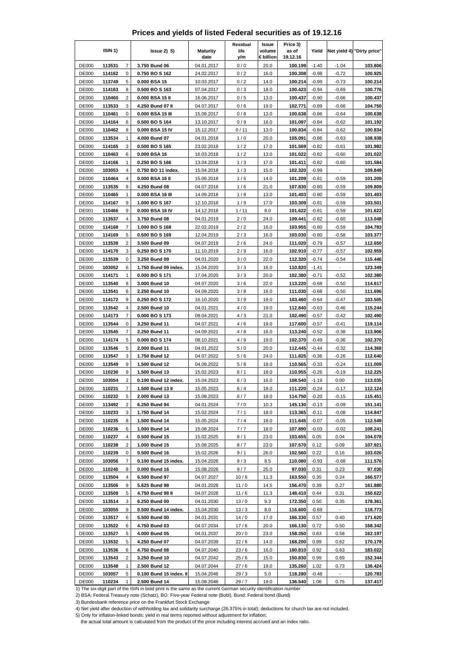|  | Prices and yields of listed Federal securities as of 19.12.16 |  |  |  |
|--|---------------------------------------------------------------|--|--|--|
|--|---------------------------------------------------------------|--|--|--|

|                              | ISIN <sub>1</sub> ) |                | $lssue2)$ 5)                          | <b>Maturity</b><br>date  | Residual<br>life<br>y/m | Issue<br>volume<br>€ billion | Price 3)<br>as of<br>19.12.16 | Yield              |                          | Net yield 4) "Dirty price" |
|------------------------------|---------------------|----------------|---------------------------------------|--------------------------|-------------------------|------------------------------|-------------------------------|--------------------|--------------------------|----------------------------|
| <b>DE000</b>                 | 113531              | $\overline{7}$ | 3.750 Bund 06                         | 04.01.2017               | 0/0                     | 20.0                         | 100.199                       | $-1.40$            | $-1.04$                  | 103.806                    |
| <b>DE000</b>                 | 114162              | 0              | 0.750 BO S 162                        | 24.02.2017               | 0/2                     | 16.0                         | 100.308                       | $-0.98$            | $-0.72$                  | 100.925                    |
| <b>DE000</b>                 | 113749              | 5              | 0.000 BSA 15                          | 10.03.2017               | 0/2                     | 14.0                         | 100.214                       | $-0.99$            | $-0.73$                  | 100.214                    |
| <b>DE000</b>                 | 114163              | 8              | 0.500 BOS 163                         | 07.04.2017               | 0/3                     | 18.0                         | 100.423                       | -0.94              | $-0.69$                  | 100.776                    |
| <b>DE000</b>                 | 110460              | $\overline{c}$ | 0.000 BSA 15 II                       | 16.06.2017               | 0/5                     | 13.0                         | 100.437                       | $-0.90$            | $-0.66$                  | 100.437                    |
| <b>DE000</b>                 | 113533              | 3              | 4.250 Bund 07 II                      | 04.07.2017               | 0/6                     | 19.0                         | 102.771                       | $-0.89$            | $-0.66$                  | 104.750                    |
| <b>DE000</b>                 | 110461              | 0              | 0.000 BSA 15 III                      | 15.09.2017               | 0/8                     | 13.0                         | 100.638                       | $-0.86$            | $-0.64$                  | 100.638                    |
| <b>DE000</b>                 | 114164              | 6              | 0.500 BO S 164                        | 13.10.2017               | 0/9                     | 16.0                         | 101.097                       | -0.84              | $-0.62$                  | 101.192                    |
| <b>DE000</b><br><b>DE000</b> | 110462<br>113534    | 8<br>1         | 0.000 BSA 15 IV<br>4.000 Bund 07      | 15.12.2017<br>04.01.2018 | 0/11<br>1/0             | 13.0<br>20.0                 | 100.834<br>105.091            | $-0.84$<br>$-0.86$ | $-0.62$<br>$-0.63$       | 100.834<br>108.938         |
| <b>DE000</b>                 | 114165              | 3              | 0.500 BO S 165                        | 23.02.2018               | 1/2                     | 17.0                         | 101.569                       | $-0.82$            | $-0.61$                  | 101.982                    |
| <b>DE000</b>                 | 110463              | 6              | 0.000 BSA 16                          | 16.03.2018               | 1/2                     | 13.0                         | 101.022                       | $-0.82$            | $-0.60$                  | 101.022                    |
| <b>DE000</b>                 | 114166              | 1              | 0.250 BO S 166                        | 13.04.2018               | 1/3                     | 17.0                         | 101.411                       | $-0.82$            | $-0.60$                  | 101.584                    |
| <b>DE000</b>                 | 103053              | 4              | 0.750 BO 11 index.                    | 15.04.2018               | 1/3                     | 15.0                         | 102.320                       | $-0.99$            | $\overline{\phantom{0}}$ | 109.849                    |
| DE000                        | 110464              | 4              | 0.000 BSA 16 II                       | 15.06.2018               | 1/5                     | 14.0                         | 101.209                       | $-0.81$            | $-0.59$                  | 101.209                    |
| <b>DE000</b>                 | 113535              | 8              | 4.250 Bund 08                         | 04.07.2018               | 1/6                     | 21.0                         | 107.830                       | $-0.80$            | $-0.59$                  | 109.809                    |
| <b>DE000</b>                 | 110465              | 1              | 0.000 BSA 16 III                      | 14.09.2018               | 1/8                     | 13.0                         | 101.403                       | $-0.80$            | $-0.59$                  | 101.403                    |
| <b>DE000</b>                 | 114167              | 9              | 1.000 BO S 167                        | 12.10.2018               | 1/9                     | 17.0                         | 103.309                       | $-0.81$            | $-0.59$                  | 103.501                    |
| DE001                        | 110466              | 9              | 0.000 BSA 16 IV                       | 14.12.2018               | 1/11                    | 8.0                          | 101.622                       | $-0.81$            | $-0.59$                  | 101.622                    |
| <b>DE000</b>                 | 113537              | 4              | 3.750 Bund 08                         | 04.01.2019               | 2/0                     | 24.0                         | 109.441                       | $-0.82$            | $-0.60$                  | 113.048                    |
| <b>DE000</b>                 | 114168              | 7              | 1.000 BO S 168                        | 22.02.2019               | 2/2                     | 16.0                         | 103.955                       | $-0.80$            | $-0.59$                  | 104.783                    |
| <b>DE000</b>                 | 114169              | 5              | 0.500 BO S 169                        | 12.04.2019               | 2/3                     | 16.0                         | 103.030                       | $-0.80$            | $-0.58$                  | 103.377                    |
| <b>DE000</b>                 | 113538              | $\overline{2}$ | 3.500 Bund 09                         | 04.07.2019               | 2/6                     | 24.0                         | 111.020                       | $-0.79$            | $-0.57$                  | 112.650                    |
| <b>DE000</b><br><b>DE000</b> | 114170              | 3              | 0.250 BO S 170                        | 11.10.2019               | 2/9                     | 16.0                         | 102.910                       | $-0.77$            | $-0.57$                  | 102.959                    |
| <b>DE000</b>                 | 113539<br>103052    | 0<br>6         | 3.250 Bund 09<br>1.750 Bund 09 index. | 04.01.2020<br>15.04.2020 | 3/0<br>3/3              | 22.0<br>16.0                 | 112.320<br>110.820            | $-0.74$<br>$-1.41$ | $-0.54$                  | 115.446<br>123.349         |
| DE000                        | 114171              | 1              | 0.000 BOS 171                         | 17.04.2020               | 3/3                     | 20.0                         | 102.380                       | $-0.71$            | $-0.52$                  | 102.380                    |
| <b>DE000</b>                 | 113540              | 8              | 3.000 Bund 10                         | 04.07.2020               | 3/6                     | 22.0                         | 113.220                       | $-0.68$            | $-0.50$                  | 114.617                    |
| <b>DE000</b>                 | 113541              | 6              | 2.250 Bund 10                         | 04.09.2020               | 3/8                     | 16.0                         | 111.030                       | $-0.68$            | $-0.50$                  | 111.696                    |
| <b>DE000</b>                 | 114172              | 9              | 0.250 BO S 172                        | 16.10.2020               | 3/9                     | 19.0                         | 103.460                       | $-0.64$            | $-0.47$                  | 103.505                    |
| <b>DE000</b>                 | 113542              | 4              | 2.500 Bund 10                         | 04.01.2021               | 4/0                     | 19.0                         | 112.840                       | $-0.63$            | $-0.46$                  | 115.244                    |
| <b>DE000</b>                 | 114173              | $\overline{7}$ | 0.000 BO S 173                        | 09.04.2021               | 4/3                     | 21.0                         | 102.490                       | $-0.57$            | $-0.42$                  | 102.490                    |
| <b>DE000</b>                 | 113544              | 0              | 3.250 Bund 11                         | 04.07.2021               | 4/6                     | 19.0                         | 117.600                       | $-0.57$            | $-0.41$                  | 119.114                    |
| <b>DE000</b>                 | 113545              | 7              | 2.250 Bund 11                         | 04.09.2021               | 4/8                     | 16.0                         | 113.240                       | $-0.52$            | $-0.38$                  | 113.906                    |
| <b>DE000</b>                 | 114174              | 5              | 0.000 BO S 174                        | 08.10.2021               | 4/9                     | 19.0                         | 102.370                       | $-0.49$            | $-0.36$                  | 102.370                    |
| <b>DE000</b>                 | 113546              | 5              | 2.000 Bund 11                         | 04.01.2022               | 5/0                     | 20.0                         | 112.445                       | $-0.44$            | $-0.32$                  | 114.368                    |
| <b>DE000</b>                 | 113547              | 3              | 1.750 Bund 12                         | 04.07.2022               | 5/6                     | 24.0                         | 111.825                       | $-0.36$            | $-0.26$                  | 112.640                    |
| DE000                        | 113549              | 9              | 1.500 Bund 12                         | 04.09.2022               | 5/8                     | 18.0                         | 110.565                       | $-0.33$            | $-0.24$                  | 111.009                    |
| <b>DE000</b><br><b>DE000</b> | 110230<br>103054    | 9<br>2         | 1.500 Bund 13<br>0.100 Bund 12 index. | 15.02.2023<br>15.04.2023 | 6/1<br>6/3              | 18.0<br>16.0                 | 110.955<br>108.540            | $-0.26$<br>$-1.19$ | $-0.19$<br>0.00          | 112.225<br>113.035         |
| <b>DE000</b>                 | 110231              | 7              | 1.500 Bund 13 II                      | 15.05.2023               | 6/4                     | 18.0                         | 111.220                       | $-0.24$            | $-0.17$                  | 112.124                    |
| DE000                        | 110232              | 5              | 2.000 Bund 13                         | 15.08.2023               | 6/7                     | 18.0                         | 114.750                       | $-0.20$            | $-0.15$                  | 115.451                    |
| <b>DE000</b>                 | 113492              | 2              | 6.250 Bund 94                         | 04.01.2024               | 7/0                     | 10.3                         | 145.130                       | $-0.13$            | $-0.09$                  | 151.141                    |
| <b>DE000</b>                 | 110233              | 3              | 1.750 Bund 14                         | 15.02.2024               | 7/1                     | 18.0                         | 113.365                       | $-0.11$            | $-0.08$                  | 114.847                    |
| <b>DE000</b>                 | 110235              | 8              | 1.500 Bund 14                         | 15.05.2024               | 7/4                     | 18.0                         | 111.645                       | $-0.07$            | $-0.05$                  | 112.549                    |
| DE000                        | 110236              | 6              | 1.000 Bund 14                         | 15.08.2024               | 7/7                     | 18.0                         | 107.890                       | $-0.03$            | $-0.02$                  | 108.241                    |
| <b>DE000</b>                 | 110237              | 4              | 0.500 Bund 15                         | 15.02.2025               | 8/1                     | 23.0                         | 103.655                       | 0.05               | 0.04                     | 104.078                    |
| <b>DE000</b>                 | 110238              | 2              | 1.000 Bund 15                         | 15.08.2025               | 8/7                     | 23.0                         | 107.570                       | 0.12               | 0.09                     | 107.921                    |
| <b>DE000</b>                 | 110239              | 0              | 0.500 Bund 16                         | 15.02.2026               | 9/1                     | 26.0                         | 102.560                       | 0.22               | 0.16                     | 103.026                    |
| DE000                        | 103056              | 7              | 0.100 Bund 15 index.                  | 15.04.2026               | 9/3                     | 8.5                          | 110.080                       | $-0.93$            | $-0.68$                  | 111.576                    |
| DE000                        | 110240              | 8              | 0.000 Bund 16                         | 15.08.2026               | 9/7                     | 25.0                         | 97.030                        | 0.31               | 0.23                     | 97.030                     |
| <b>DE000</b>                 | 113504              | 4              | 6.500 Bund 97                         | 04.07.2027               | 10/6                    | 11.3                         | 163.550                       | 0.35               | 0.24                     | 166.577                    |
| <b>DE000</b>                 | 113506              | 9              | 5.625 Bund 98                         | 04.01.2028               | 11/0                    | 14.5                         | 156.470                       | 0.39               | 0.27                     | 161.880                    |
| DE000<br><b>DE000</b>        | 113508<br>113514    | 5<br>3         | 4.750 Bund 98 II<br>6.250 Bund 00     | 04.07.2028<br>04.01.2030 | 11/6<br>13/0            | 11.3<br>9.3                  | 148.410<br>172.350            | 0.44<br>0.50       | 0.31<br>0.35             | 150.622<br>178.361         |
| <b>DE000</b>                 | 103055              | 9              | 0.500 Bund 14 index.                  | 15.04.2030               | 13/3                    | 8.0                          | 116.600                       | $-0.69$            | $\blacksquare$           | 118.773                    |
| <b>DE000</b>                 | 113517              | 6              | 5.500 Bund 00                         | 04.01.2031               | 14/0                    | 17.0                         | 166.330                       | 0.57               | 0.40                     | 171.620                    |
| <b>DE000</b>                 | 113522              | 6              | 4.750 Bund 03                         | 04.07.2034               | 17/6                    | 20.0                         | 166.130                       | 0.72               | 0.50                     | 168.342                    |
| <b>DE000</b>                 | 113527              | 5              | 4.000 Bund 05                         | 04.01.2037               | 20/0                    | 23.0                         | 158.350                       | 0.83               | 0.58                     | 162.197                    |
| <b>DE000</b>                 | 113532              | 5              | 4.250 Bund 07                         | 04.07.2039               | 22/6                    | 14.0                         | 168.200                       | 0.89               | 0.62                     | 170.179                    |
| <b>DE000</b>                 | 113536              | 6              | 4.750 Bund 08                         | 04.07.2040               | 23/6                    | 16.0                         | 180.810                       | 0.92               | 0.63                     | 183.022                    |
| <b>DE000</b>                 | 113543              | 2              | 3.250 Bund 10                         | 04.07.2042               | 25/6                    | 15.0                         | 150.830                       | 0.99               | 0.69                     | 152.344                    |
| <b>DE000</b>                 | 113548              | 1              | 2.500 Bund 12                         | 04.07.2044               | 27/6                    | 19.0                         | 135.260                       | 1.02               | 0.73                     | 136.424                    |
| <b>DE000</b>                 | 103057              | 5              | 0.100 Bund 15 index. II               | 15.04.2046               | 29/3                    | 5.0                          | 118.280                       | $-0.48$            | $\overline{\phantom{a}}$ | 120.783                    |
| DE000                        | 110234              | 1              | 2.500 Bund 14                         | 15.08.2046               | 29/7                    | 19.0                         | 136.540                       | 1.06               | 0.75                     | 137.417                    |

3) Bundesbank reference price on the Frankfurt Stock Exchange

4) Net yield after deduction of withholding tax and solidarity surcharge (26.375% in total); deductions for church tax are not included.

5) Only for inflation-linked bonds: yield in real terms reported without adjustment for inflation;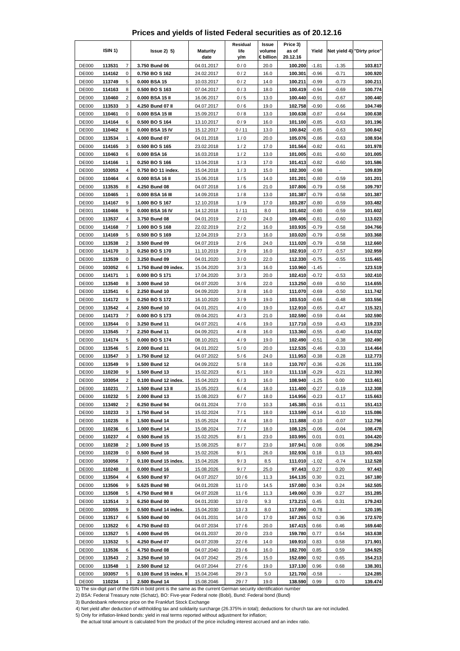|  | Prices and yields of listed Federal securities as of 20.12.16 |  |  |  |
|--|---------------------------------------------------------------|--|--|--|
|--|---------------------------------------------------------------|--|--|--|

|                              | ISIN 1)          |                | $lssue2)$ 5)                          | <b>Maturity</b><br>date  | Residual<br>life<br>y/m | Issue<br>volume<br>€ billion | Price 3)<br>as of<br>20.12.16 | Yield              |                          | Net yield 4) "Dirty price" |
|------------------------------|------------------|----------------|---------------------------------------|--------------------------|-------------------------|------------------------------|-------------------------------|--------------------|--------------------------|----------------------------|
| <b>DE000</b>                 | 113531           | $\overline{7}$ | 3.750 Bund 06                         | 04.01.2017               | 0/0                     | 20.0                         | 100.200                       | $-1.81$            | $-1.35$                  | 103.817                    |
| <b>DE000</b>                 | 114162           | 0              | 0.750 BO S 162                        | 24.02.2017               | 0/2                     | 16.0                         | 100.301                       | $-0.96$            | $-0.71$                  | 100.920                    |
| DE000                        | 113749           | 5              | 0.000 BSA 15                          | 10.03.2017               | 0/2                     | 14.0                         | 100.211                       | $-0.99$            | $-0.73$                  | 100.211                    |
| <b>DE000</b>                 | 114163           | 8              | 0.500 BO S 163                        | 07.04.2017               | 0/3                     | 18.0                         | 100.419                       | -0.94              | $-0.69$                  | 100.774                    |
| <b>DE000</b>                 | 110460           | $\overline{c}$ | 0.000 BSA 15 II                       | 16.06.2017               | 0/5                     | 13.0                         | 100.440                       | $-0.91$            | $-0.67$                  | 100.440                    |
| <b>DE000</b>                 | 113533           | 3              | 4.250 Bund 07 II                      | 04.07.2017               | 0/6                     | 19.0                         | 102.758                       | $-0.90$            | $-0.66$                  | 104.749                    |
| <b>DE000</b>                 | 110461           | 0              | 0.000 BSA 15 III                      | 15.09.2017               | 0/8                     | 13.0                         | 100.638                       | $-0.87$            | $-0.64$                  | 100.638                    |
| <b>DE000</b>                 | 114164           | 6<br>8         | 0.500 BO S 164                        | 13.10.2017               | 0/9                     | 16.0                         | 101.100<br>100.842            | $-0.85$            | $-0.63$                  | 101.196                    |
| <b>DE000</b><br><b>DE000</b> | 110462<br>113534 | 1              | 0.000 BSA 15 IV<br>4.000 Bund 07      | 15.12.2017<br>04.01.2018 | 0/11<br>1/0             | 13.0<br>20.0                 | 105.076                       | $-0.85$<br>$-0.86$ | $-0.63$<br>$-0.63$       | 100.842<br>108.934         |
| <b>DE000</b>                 | 114165           | 3              | 0.500 BO S 165                        | 23.02.2018               | 1/2                     | 17.0                         | 101.564                       | $-0.82$            | $-0.61$                  | 101.978                    |
| <b>DE000</b>                 | 110463           | 6              | 0.000 BSA 16                          | 16.03.2018               | 1/2                     | 13.0                         | 101.005                       | $-0.81$            | $-0.60$                  | 101.005                    |
| <b>DE000</b>                 | 114166           | 1              | 0.250 BO S 166                        | 13.04.2018               | 1/3                     | 17.0                         | 101.413                       | $-0.82$            | $-0.60$                  | 101.586                    |
| <b>DE000</b>                 | 103053           | 4              | 0.750 BO 11 index.                    | 15.04.2018               | 1/3                     | 15.0                         | 102.300                       | $-0.98$            | $\overline{\phantom{0}}$ | 109.839                    |
| DE000                        | 110464           | 4              | 0.000 BSA 16 II                       | 15.06.2018               | 1/5                     | 14.0                         | 101.201                       | $-0.80$            | $-0.59$                  | 101.201                    |
| <b>DE000</b>                 | 113535           | 8              | 4.250 Bund 08                         | 04.07.2018               | 1/6                     | 21.0                         | 107.806                       | $-0.79$            | $-0.58$                  | 109.797                    |
| DE000                        | 110465           | 1              | 0.000 BSA 16 III                      | 14.09.2018               | 1/8                     | 13.0                         | 101.387                       | $-0.79$            | $-0.58$                  | 101.387                    |
| <b>DE000</b>                 | 114167           | 9              | 1.000 BO S 167                        | 12.10.2018               | 1/9                     | 17.0                         | 103.287                       | $-0.80$            | $-0.59$                  | 103.482                    |
| DE001                        | 110466           | 9              | 0.000 BSA 16 IV                       | 14.12.2018               | 1/11                    | 8.0                          | 101.602                       | $-0.80$            | $-0.59$                  | 101.602                    |
| <b>DE000</b>                 | 113537           | 4              | 3.750 Bund 08                         | 04.01.2019               | 2/0                     | 24.0                         | 109.406                       | $-0.81$            | $-0.60$                  | 113.023                    |
| DE000                        | 114168           | 7              | 1.000 BO S 168                        | 22.02.2019               | 2/2                     | 16.0                         | 103.935                       | $-0.79$            | $-0.58$                  | 104.766                    |
| <b>DE000</b>                 | 114169           | 5              | 0.500 BO S 169                        | 12.04.2019               | 2/3                     | 16.0                         | 103.020                       | $-0.79$            | $-0.58$                  | 103.368                    |
| <b>DE000</b>                 | 113538           | $\overline{2}$ | 3.500 Bund 09                         | 04.07.2019               | 2/6                     | 24.0                         | 111.020                       | $-0.79$            | $-0.58$                  | 112.660                    |
| <b>DE000</b><br><b>DE000</b> | 114170           | 3<br>0         | 0.250 BO S 170                        | 11.10.2019               | 2/9                     | 16.0                         | 102.910                       | $-0.77$            | $-0.57$                  | 102.959                    |
| <b>DE000</b>                 | 113539<br>103052 | 6              | 3.250 Bund 09<br>1.750 Bund 09 index. | 04.01.2020<br>15.04.2020 | 3/0<br>3/3              | 22.0<br>16.0                 | 112.330<br>110.960            | $-0.75$<br>$-1.45$ | $-0.55$                  | 115.465<br>123.519         |
| DE000                        | 114171           | 1              | 0.000 BO S 171                        | 17.04.2020               | 3/3                     | 20.0                         | 102.410                       | $-0.72$            | $-0.53$                  | 102.410                    |
| <b>DE000</b>                 | 113540           | 8              | 3.000 Bund 10                         | 04.07.2020               | 3/6                     | 22.0                         | 113.250                       | $-0.69$            | $-0.50$                  | 114.655                    |
| DE000                        | 113541           | 6              | 2.250 Bund 10                         | 04.09.2020               | 3/8                     | 16.0                         | 111.070                       | $-0.69$            | $-0.50$                  | 111.742                    |
| <b>DE000</b>                 | 114172           | 9              | 0.250 BO S 172                        | 16.10.2020               | 3/9                     | 19.0                         | 103.510                       | $-0.66$            | $-0.48$                  | 103.556                    |
| <b>DE000</b>                 | 113542           | 4              | 2.500 Bund 10                         | 04.01.2021               | 4/0                     | 19.0                         | 112.910                       | $-0.65$            | $-0.47$                  | 115.321                    |
| <b>DE000</b>                 | 114173           | $\overline{7}$ | 0.000 BO S 173                        | 09.04.2021               | 4/3                     | 21.0                         | 102.590                       | $-0.59$            | $-0.44$                  | 102.590                    |
| <b>DE000</b>                 | 113544           | 0              | 3.250 Bund 11                         | 04.07.2021               | 4/6                     | 19.0                         | 117.710                       | $-0.59$            | $-0.43$                  | 119.233                    |
| <b>DE000</b>                 | 113545           | 7              | 2.250 Bund 11                         | 04.09.2021               | 4/8                     | 16.0                         | 113.360                       | $-0.55$            | $-0.40$                  | 114.032                    |
| <b>DE000</b>                 | 114174           | 5              | 0.000 BO S 174                        | 08.10.2021               | 4/9                     | 19.0                         | 102.490                       | $-0.51$            | $-0.38$                  | 102.490                    |
| <b>DE000</b>                 | 113546           | 5              | 2.000 Bund 11                         | 04.01.2022               | 5/0                     | 20.0                         | 112.535                       | $-0.46$            | $-0.33$                  | 114.464                    |
| <b>DE000</b>                 | 113547           | 3              | 1.750 Bund 12                         | 04.07.2022               | 5/6                     | 24.0                         | 111.953                       | $-0.38$            | $-0.28$                  | 112.773                    |
| DE000                        | 113549           | 9              | 1.500 Bund 12                         | 04.09.2022               | 5/8                     | 18.0                         | 110.707                       | $-0.36$            | $-0.26$                  | 111.155                    |
| <b>DE000</b><br><b>DE000</b> | 110230<br>103054 | 9<br>2         | 1.500 Bund 13<br>0.100 Bund 12 index. | 15.02.2023<br>15.04.2023 | 6/1<br>6/3              | 18.0<br>16.0                 | 111.118<br>108.940            | $-0.29$<br>$-1.25$ | $-0.21$<br>0.00          | 112.393<br>113.461         |
| <b>DE000</b>                 | 110231           | 7              | 1.500 Bund 13 II                      | 15.05.2023               | 6/4                     | 18.0                         | 111.400                       | $-0.27$            | $-0.19$                  | 112.308                    |
| DE000                        | 110232           | 5              | 2.000 Bund 13                         | 15.08.2023               | 6/7                     | 18.0                         | 114.956                       | $-0.23$            | $-0.17$                  | 115.663                    |
| <b>DE000</b>                 | 113492           | 2              | 6.250 Bund 94                         | 04.01.2024               | 7/0                     | 10.3                         | 145.385                       | $-0.16$            | $-0.11$                  | 151.413                    |
| <b>DE000</b>                 | 110233           | 3              | 1.750 Bund 14                         | 15.02.2024               | 7/1                     | 18.0                         | 113.599                       | $-0.14$            | $-0.10$                  | 115.086                    |
| <b>DE000</b>                 | 110235           | 8              | 1.500 Bund 14                         | 15.05.2024               | 7/4                     | 18.0                         | 111.888                       | $-0.10$            | $-0.07$                  | 112.796                    |
| DE000                        | 110236           | 6              | 1.000 Bund 14                         | 15.08.2024               | 7/7                     | 18.0                         | 108.125                       | $-0.06$            | $-0.04$                  | 108.478                    |
| <b>DE000</b>                 | 110237           | 4              | 0.500 Bund 15                         | 15.02.2025               | 8/1                     | 23.0                         | 103.995                       | 0.01               | 0.01                     | 104.420                    |
| <b>DE000</b>                 | 110238           | 2              | 1.000 Bund 15                         | 15.08.2025               | 8/7                     | 23.0                         | 107.941                       | 0.08               | 0.06                     | 108.294                    |
| <b>DE000</b>                 | 110239           | 0              | 0.500 Bund 16                         | 15.02.2026               | 9/1                     | 26.0                         | 102.936                       | 0.18               | 0.13                     | 103.403                    |
| DE000                        | 103056           | 7              | 0.100 Bund 15 index.                  | 15.04.2026               | 9/3                     | 8.5                          | 111.010                       | $-1.02$            | $-0.74$                  | 112.528                    |
| DE000                        | 110240           | 8              | 0.000 Bund 16                         | 15.08.2026               | 9/7                     | 25.0                         | 97.443                        | 0.27               | 0.20                     | 97.443                     |
| <b>DE000</b>                 | 113504           | 4              | 6.500 Bund 97                         | 04.07.2027               | 10/6                    | 11.3                         | 164.135                       | 0.30               | 0.21                     | 167.180                    |
| <b>DE000</b>                 | 113506           | 9              | 5.625 Bund 98                         | 04.01.2028               | 11/0                    | 14.5                         | 157.080                       | 0.34               | 0.24                     | 162.505                    |
| DE000<br><b>DE000</b>        | 113508<br>113514 | 5<br>3         | 4.750 Bund 98 II<br>6.250 Bund 00     | 04.07.2028<br>04.01.2030 | 11/6<br>13/0            | 11.3<br>9.3                  | 149.060<br>173.215            | 0.39<br>0.45       | 0.27<br>0.31             | 151.285<br>179.243         |
| <b>DE000</b>                 | 103055           | 9              | 0.500 Bund 14 index.                  | 15.04.2030               | 13/3                    | 8.0                          | 117.990                       | $-0.78$            | $\blacksquare$           | 120.195                    |
| <b>DE000</b>                 | 113517           | 6              | 5.500 Bund 00                         | 04.01.2031               | 14/0                    | 17.0                         | 167.265                       | 0.52               | 0.36                     | 172.570                    |
| <b>DE000</b>                 | 113522           | 6              | 4.750 Bund 03                         | 04.07.2034               | 17/6                    | 20.0                         | 167.415                       | 0.66               | 0.46                     | 169.640                    |
| <b>DE000</b>                 | 113527           | 5              | 4.000 Bund 05                         | 04.01.2037               | 20/0                    | 23.0                         | 159.780                       | 0.77               | 0.54                     | 163.638                    |
| <b>DE000</b>                 | 113532           | 5              | 4.250 Bund 07                         | 04.07.2039               | 22/6                    | 14.0                         | 169.910                       | 0.83               | 0.58                     | 171.901                    |
| <b>DE000</b>                 | 113536           | 6              | 4.750 Bund 08                         | 04.07.2040               | 23/6                    | 16.0                         | 182.700                       | 0.85               | 0.59                     | 184.925                    |
| <b>DE000</b>                 | 113543           | 2              | 3.250 Bund 10                         | 04.07.2042               | 25/6                    | 15.0                         | 152.690                       | 0.92               | 0.65                     | 154.213                    |
| <b>DE000</b>                 | 113548           | 1              | 2.500 Bund 12                         | 04.07.2044               | 27/6                    | 19.0                         | 137.130                       | 0.96               | 0.68                     | 138.301                    |
| <b>DE000</b>                 | 103057           | 5              | 0.100 Bund 15 index. II               | 15.04.2046               | 29/3                    | 5.0                          | 121.700                       | $-0.58$            | $\overline{\phantom{a}}$ | 124.285                    |
| DE000                        | 110234           | 1              | 2.500 Bund 14                         | 15.08.2046               | 29/7                    | 19.0                         | 138.590                       | 0.99               | 0.70                     | 139.474                    |

3) Bundesbank reference price on the Frankfurt Stock Exchange

4) Net yield after deduction of withholding tax and solidarity surcharge (26.375% in total); deductions for church tax are not included.

5) Only for inflation-linked bonds: yield in real terms reported without adjustment for inflation;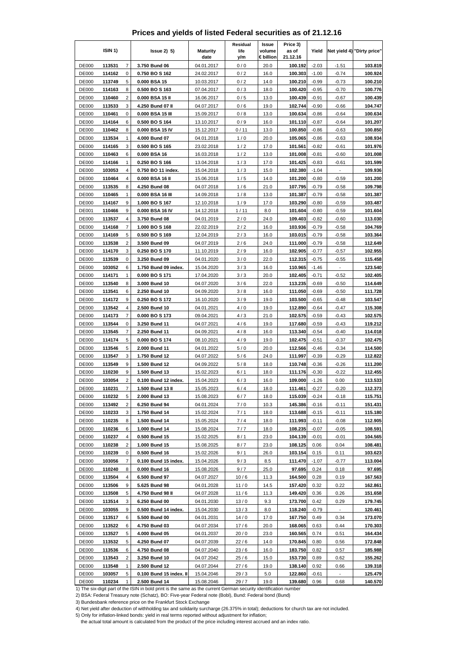|  | Prices and yields of listed Federal securities as of 21.12.16 |  |  |  |
|--|---------------------------------------------------------------|--|--|--|
|--|---------------------------------------------------------------|--|--|--|

|                              | ISIN 1)          |                         | $lssue2)$ 5)                             | <b>Maturity</b><br>date  | Residual<br>life<br>y/m | Issue<br>volume<br>€ billion | Price 3)<br>as of<br>21.12.16 | Yield              |                    | Net yield 4) "Dirty price" |
|------------------------------|------------------|-------------------------|------------------------------------------|--------------------------|-------------------------|------------------------------|-------------------------------|--------------------|--------------------|----------------------------|
| <b>DE000</b>                 | 113531           | $\overline{7}$          | 3.750 Bund 06                            | 04.01.2017               | 0/0                     | 20.0                         | 100.192                       | $-2.03$            | $-1.51$            | 103.819                    |
| DE000                        | 114162           | 0                       | 0.750 BO S 162                           | 24.02.2017               | 0/2                     | 16.0                         | 100.303                       | $-1.00$            | $-0.74$            | 100.924                    |
| <b>DE000</b>                 | 113749           | 5                       | 0.000 BSA 15                             | 10.03.2017               | 0/2                     | 14.0                         | 100.210                       | $-0.99$            | $-0.73$            | 100.210                    |
| DE000                        | 114163           | 8                       | 0.500 BO S 163                           | 07.04.2017               | 0/3                     | 18.0                         | 100.420                       | $-0.95$            | $-0.70$            | 100.776                    |
| <b>DE000</b>                 | 110460           | $\overline{\mathbf{c}}$ | 0.000 BSA 15 II                          | 16.06.2017               | 0/5                     | 13.0                         | 100.439                       | $-0.91$            | $-0.67$            | 100.439                    |
| <b>DE000</b>                 | 113533           | 3                       | 4.250 Bund 07 II                         | 04.07.2017               | 0/6                     | 19.0                         | 102.744                       | $-0.90$            | $-0.66$            | 104.747                    |
| <b>DE000</b><br><b>DE000</b> | 110461<br>114164 | 0<br>6                  | 0.000 BSA 15 III<br>0.500 BO S 164       | 15.09.2017               | 0/8<br>0/9              | 13.0<br>16.0                 | 100.634<br>101.110            | $-0.86$<br>$-0.87$ | $-0.64$<br>$-0.64$ | 100.634<br>101.207         |
| <b>DE000</b>                 | 110462           | 8                       | 0.000 BSA 15 IV                          | 13.10.2017<br>15.12.2017 | 0/11                    | 13.0                         | 100.850                       | $-0.86$            | $-0.63$            | 100.850                    |
| <b>DE000</b>                 | 113534           | 1                       | 4.000 Bund 07                            | 04.01.2018               | 1/0                     | 20.0                         | 105.065                       | $-0.86$            | $-0.63$            | 108.934                    |
| <b>DE000</b>                 | 114165           | 3                       | 0.500 BOS 165                            | 23.02.2018               | 1/2                     | 17.0                         | 101.561                       | $-0.82$            | $-0.61$            | 101.976                    |
| <b>DE000</b>                 | 110463           | 6                       | 0.000 BSA 16                             | 16.03.2018               | 1/2                     | 13.0                         | 101.008                       | $-0.81$            | $-0.60$            | 101.008                    |
| <b>DE000</b>                 | 114166           | 1                       | 0.250 BO S 166                           | 13.04.2018               | 1/3                     | 17.0                         | 101.425                       | $-0.83$            | $-0.61$            | 101.599                    |
| <b>DE000</b>                 | 103053           | 4                       | 0.750 BO 11 index.                       | 15.04.2018               | 1/3                     | 15.0                         | 102.380                       | $-1.04$            | ÷                  | 109.936                    |
| <b>DE000</b>                 | 110464           | 4                       | 0.000 BSA 16 II                          | 15.06.2018               | 1/5                     | 14.0                         | 101.200                       | $-0.80$            | $-0.59$            | 101.200                    |
| <b>DE000</b>                 | 113535           | 8                       | 4.250 Bund 08                            | 04.07.2018               | 1/6                     | 21.0                         | 107.795                       | $-0.79$            | $-0.58$            | 109.798                    |
| <b>DE000</b>                 | 110465           | 1                       | 0.000 BSA 16 III                         | 14.09.2018               | 1/8                     | 13.0                         | 101.387                       | $-0.79$            | $-0.58$            | 101.387                    |
| <b>DE000</b>                 | 114167           | 9                       | 1.000 BO S 167                           | 12.10.2018               | 1/9                     | 17.0                         | 103.290                       | $-0.80$            | $-0.59$            | 103.487                    |
| DE001<br><b>DE000</b>        | 110466<br>113537 | 9<br>4                  | 0.000 BSA 16 IV<br>3.750 Bund 08         | 14.12.2018<br>04.01.2019 | 1/11<br>2/0             | 8.0<br>24.0                  | 101.604<br>109.403            | $-0.80$<br>$-0.82$ | $-0.59$<br>$-0.60$ | 101.604<br>113.030         |
| <b>DE000</b>                 | 114168           | 7                       | 1.000 BO S 168                           | 22.02.2019               | 2/2                     | 16.0                         | 103.936                       | $-0.79$            | $-0.58$            | 104.769                    |
| <b>DE000</b>                 | 114169           | 5                       | 0.500 BO S 169                           | 12.04.2019               | 2/3                     | 16.0                         | 103.015                       | $-0.79$            | $-0.58$            | 103.364                    |
| DE000                        | 113538           | $\overline{2}$          | 3.500 Bund 09                            | 04.07.2019               | 2/6                     | 24.0                         | 111.000                       | $-0.79$            | $-0.58$            | 112.649                    |
| <b>DE000</b>                 | 114170           | 3                       | 0.250 BO S 170                           | 11.10.2019               | 2/9                     | 16.0                         | 102.905                       | $-0.77$            | $-0.57$            | 102.955                    |
| <b>DE000</b>                 | 113539           | 0                       | 3.250 Bund 09                            | 04.01.2020               | 3/0                     | 22.0                         | 112.315                       | $-0.75$            | $-0.55$            | 115.458                    |
| <b>DE000</b>                 | 103052           | 6                       | 1.750 Bund 09 index.                     | 15.04.2020               | 3/3                     | 16.0                         | 110.965                       | $-1.46$            |                    | 123.540                    |
| <b>DE000</b>                 | 114171           | 1                       | 0.000 BOS 171                            | 17.04.2020               | 3/3                     | 20.0                         | 102.405                       | $-0.71$            | $-0.52$            | 102.405                    |
| <b>DE000</b>                 | 113540           | 8                       | 3.000 Bund 10                            | 04.07.2020               | 3/6                     | 22.0                         | 113.235                       | $-0.69$            | $-0.50$            | 114.649                    |
| <b>DE000</b>                 | 113541           | 6                       | 2.250 Bund 10                            | 04.09.2020               | 3/8                     | 16.0                         | 111.050                       | $-0.69$            | $-0.50$            | 111.728                    |
| <b>DE000</b>                 | 114172           | 9<br>4                  | 0.250 BO S 172                           | 16.10.2020               | 3/9                     | 19.0                         | 103.500                       | $-0.65$            | $-0.48$            | 103.547                    |
| DE000<br><b>DE000</b>        | 113542<br>114173 | $\overline{7}$          | 2.500 Bund 10<br>0.000 BO S 173          | 04.01.2021<br>09.04.2021 | 4/0<br>4/3              | 19.0<br>21.0                 | 112.890<br>102.575            | $-0.64$<br>$-0.59$ | $-0.47$<br>$-0.43$ | 115.308<br>102.575         |
| <b>DE000</b>                 | 113544           | 0                       | 3.250 Bund 11                            | 04.07.2021               | 4/6                     | 19.0                         | 117.680                       | $-0.59$            | $-0.43$            | 119.212                    |
| <b>DE000</b>                 | 113545           | 7                       | 2.250 Bund 11                            | 04.09.2021               | 4/8                     | 16.0                         | 113.340                       | $-0.54$            | $-0.40$            | 114.018                    |
| <b>DE000</b>                 | 114174           | 5                       | 0.000 BO S 174                           | 08.10.2021               | 4/9                     | 19.0                         | 102.475                       | $-0.51$            | $-0.37$            | 102.475                    |
| <b>DE000</b>                 | 113546           | 5                       | 2.000 Bund 11                            | 04.01.2022               | 5/0                     | 20.0                         | 112.566                       | $-0.46$            | $-0.34$            | 114.500                    |
| <b>DE000</b>                 | 113547           | 3                       | 1.750 Bund 12                            | 04.07.2022               | 5/6                     | 24.0                         | 111.997                       | $-0.39$            | $-0.29$            | 112.822                    |
| <b>DE000</b>                 | 113549           | 9                       | 1.500 Bund 12                            | 04.09.2022               | 5/8                     | 18.0                         | 110.748                       | $-0.36$            | $-0.26$            | 111.200                    |
| <b>DE000</b>                 | 110230           | 9                       | 1.500 Bund 13                            | 15.02.2023               | 6/1                     | 18.0                         | 111.176                       | $-0.30$            | $-0.22$            | 112.455                    |
| <b>DE000</b>                 | 103054           | $\overline{c}$          | 0.100 Bund 12 index.                     | 15.04.2023               | 6/3                     | 16.0                         | 109.000                       | $-1.26$            | 0.00               | 113.533                    |
| <b>DE000</b>                 | 110231<br>110232 | 7                       | 1.500 Bund 13 II                         | 15.05.2023               | 6/4<br>6/7              | 18.0                         | 111.461<br>115.039            | $-0.27$<br>$-0.24$ | $-0.20$            | 112.373                    |
| <b>DE000</b><br><b>DE000</b> | 113492           | 5<br>2                  | 2.000 Bund 13<br>6.250 Bund 94           | 15.08.2023<br>04.01.2024 | 7/0                     | 18.0<br>10.3                 | 145.386                       | $-0.16$            | $-0.18$<br>$-0.11$ | 115.751<br>151.431         |
| <b>DE000</b>                 | 110233           | 3                       | 1.750 Bund 14                            | 15.02.2024               | 7/1                     | 18.0                         | 113.688                       | $-0.15$            | $-0.11$            | 115.180                    |
| <b>DE000</b>                 | 110235           | 8                       | 1.500 Bund 14                            | 15.05.2024               | 7/4                     | 18.0                         | 111.993                       | $-0.11$            | $-0.08$            | 112.905                    |
| <b>DE000</b>                 | 110236           | 6                       | 1.000 Bund 14                            | 15.08.2024               | 7/7                     | 18.0                         | 108.235                       | $-0.07$            | $-0.05$            | 108.591                    |
| <b>DE000</b>                 | 110237           | 4                       | 0.500 Bund 15                            | 15.02.2025               | 8/1                     | 23.0                         | 104.139                       | $-0.01$            | $-0.01$            | 104.565                    |
| <b>DE000</b>                 | 110238           | 2                       | 1.000 Bund 15                            | 15.08.2025               | 8/7                     | 23.0                         | 108.125                       | 0.06               | 0.04               | 108.481                    |
| <b>DE000</b>                 | 110239           | 0                       | 0.500 Bund 16                            | 15.02.2026               | 9/1                     | 26.0                         | 103.154                       | 0.15               | 0.11               | 103.623                    |
| <b>DE000</b>                 | 103056           | 7                       | 0.100 Bund 15 index.                     | 15.04.2026               | 9/3                     | 8.5                          | 111.470                       | $-1.07$            | $-0.77$            | 113.004                    |
| <b>DE000</b>                 | 110240           | 8                       | 0.000 Bund 16                            | 15.08.2026               | 9/7                     | 25.0                         | 97.695                        | 0.24               | 0.18               | 97.695                     |
| <b>DE000</b><br><b>DE000</b> | 113504<br>113506 | 4                       | 6.500 Bund 97<br>5.625 Bund 98           | 04.07.2027               | 10/6                    | 11.3                         | 164.500<br>157.420            | 0.28<br>0.32       | 0.19               | 167.563<br>162.861         |
| DE000                        | 113508           | 9<br>5                  | 4.750 Bund 98 II                         | 04.01.2028<br>04.07.2028 | 11/0<br>11/6            | 14.5<br>11.3                 | 149.420                       | 0.36               | 0.22<br>0.26       | 151.658                    |
| <b>DE000</b>                 | 113514           | 3                       | 6.250 Bund 00                            | 04.01.2030               | 13/0                    | 9.3                          | 173.700                       | 0.42               | 0.29               | 179.745                    |
| <b>DE000</b>                 | 103055           | 9                       | 0.500 Bund 14 index.                     | 15.04.2030               | 13/3                    | 8.0                          | 118.240                       | $-0.79$            |                    | 120.461                    |
| <b>DE000</b>                 | 113517           | 6                       | 5.500 Bund 00                            | 04.01.2031               | 14/0                    | 17.0                         | 167.750                       | 0.49               | 0.34               | 173.070                    |
| <b>DE000</b>                 | 113522           | 6                       | 4.750 Bund 03                            | 04.07.2034               | 17/6                    | 20.0                         | 168.065                       | 0.63               | 0.44               | 170.303                    |
| DE000                        | 113527           | 5                       | 4.000 Bund 05                            | 04.01.2037               | 20/0                    | 23.0                         | 160.565                       | 0.74               | 0.51               | 164.434                    |
| <b>DE000</b>                 | 113532           | 5                       | 4.250 Bund 07                            | 04.07.2039               | 22/6                    | 14.0                         | 170.845                       | 0.80               | 0.56               | 172.848                    |
| <b>DE000</b>                 | 113536           | 6                       | 4.750 Bund 08                            | 04.07.2040               | 23/6                    | 16.0                         | 183.750                       | 0.82               | 0.57               | 185.988                    |
| DE000                        | 113543           | 2                       | 3.250 Bund 10                            | 04.07.2042               | 25/6                    | 15.0                         | 153.730                       | 0.89               | 0.62               | 155.262                    |
| <b>DE000</b>                 | 113548           | 1                       | 2.500 Bund 12                            | 04.07.2044               | 27/6                    | 19.0                         | 138.140                       | 0.92               | 0.66               | 139.318                    |
| <b>DE000</b><br><b>DE000</b> | 103057<br>110234 | 5<br>1                  | 0.100 Bund 15 index. II<br>2.500 Bund 14 | 15.04.2046<br>15.08.2046 | 29/3<br>29/7            | 5.0<br>19.0                  | 122.860<br>139.680            | $-0.61$<br>0.96    | 0.68               | 125.479<br>140.570         |
|                              |                  |                         |                                          |                          |                         |                              |                               |                    |                    |                            |

3) Bundesbank reference price on the Frankfurt Stock Exchange

4) Net yield after deduction of withholding tax and solidarity surcharge (26.375% in total); deductions for church tax are not included.

5) Only for inflation-linked bonds: yield in real terms reported without adjustment for inflation;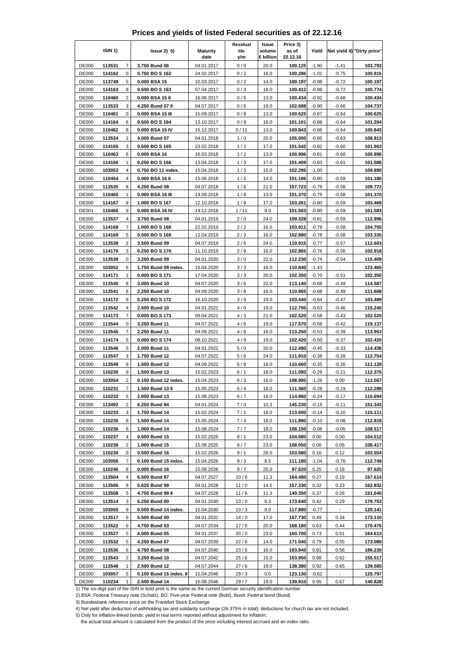|  | Prices and yields of listed Federal securities as of 22.12.16 |  |  |  |
|--|---------------------------------------------------------------|--|--|--|
|--|---------------------------------------------------------------|--|--|--|

|                              | ISIN 1)          |                         | $lssue2)$ 5)                          | <b>Maturity</b><br>date  | Residual<br>life<br>y/m | Issue<br>volume<br>€ billion | Price 3)<br>as of<br>22.12.16 | Yield              |                    | Net yield 4) "Dirty price" |
|------------------------------|------------------|-------------------------|---------------------------------------|--------------------------|-------------------------|------------------------------|-------------------------------|--------------------|--------------------|----------------------------|
| <b>DE000</b>                 | 113531           | $\overline{7}$          | 3.750 Bund 06                         | 04.01.2017               | 0/0                     | 20.0                         | 100.125                       | $-1.90$            | $-1.41$            | 103.793                    |
| <b>DE000</b>                 | 114162           | 0                       | 0.750 BO S 162                        | 24.02.2017               | 0/2                     | 16.0                         | 100.286                       | $-1.01$            | $-0.75$            | 100.915                    |
| <b>DE000</b>                 | 113749           | 5                       | 0.000 BSA 15                          | 10.03.2017               | 0/2                     | 14.0                         | 100.197                       | $-0.98$            | $-0.72$            | 100.197                    |
| DE000                        | 114163           | 8                       | 0.500 BO S 163                        | 07.04.2017               | 0/3                     | 18.0                         | 100.412                       | $-0.98$            | $-0.72$            | 100.774                    |
| <b>DE000</b>                 | 110460           | $\overline{\mathbf{c}}$ | 0.000 BSA 15 II                       | 16.06.2017               | 0/5                     | 13.0                         | 100.434                       | $-0.92$            | $-0.68$            | 100.434                    |
| <b>DE000</b>                 | 113533           | 3                       | 4.250 Bund 07 II                      | 04.07.2017               | 0/6                     | 19.0                         | 102.688                       | $-0.90$            | $-0.66$            | 104.737                    |
| <b>DE000</b>                 | 110461           | 0                       | 0.000 BSA 15 III                      | 15.09.2017               | 0/8                     | 13.0                         | 100.625                       | $-0.87$            | $-0.64$            | 100.625                    |
| <b>DE000</b>                 | 114164           | 6                       | 0.500 BO S 164                        | 13.10.2017               | 0/9                     | 16.0                         | 101.101                       | $-0.88$            | $-0.64$            | 101.204                    |
| <b>DE000</b><br><b>DE000</b> | 110462<br>113534 | 8<br>1                  | 0.000 BSA 15 IV<br>4.000 Bund 07      | 15.12.2017               | 0/11<br>1/0             | 13.0<br>20.0                 | 100.843<br>105.000            | $-0.86$<br>$-0.85$ | $-0.64$<br>$-0.63$ | 100.843<br>108.913         |
| <b>DE000</b>                 | 114165           | 3                       | 0.500 BOS 165                         | 04.01.2018<br>23.02.2018 | 1/2                     | 17.0                         | 101.542                       | $-0.82$            | $-0.60$            | 101.963                    |
| <b>DE000</b>                 | 110463           | 6                       | 0.000 BSA 16                          | 16.03.2018               | 1/2                     | 13.0                         | 100.996                       | $-0.81$            | $-0.60$            | 100.996                    |
| <b>DE000</b>                 | 114166           | 1                       | 0.250 BO S 166                        | 13.04.2018               | 1/3                     | 17.0                         | 101.409                       | $-0.83$            | $-0.61$            | 101.586                    |
| <b>DE000</b>                 | 103053           | 4                       | 0.750 BO 11 index.                    | 15.04.2018               | 1/3                     | 15.0                         | 102.295                       | $-1.00$            | ÷                  | 109.890                    |
| <b>DE000</b>                 | 110464           | 4                       | 0.000 BSA 16 II                       | 15.06.2018               | 1/5                     | 14.0                         | 101.186                       | $-0.80$            | $-0.59$            | 101.186                    |
| <b>DE000</b>                 | 113535           | 8                       | 4.250 Bund 08                         | 04.07.2018               | 1/6                     | 21.0                         | 107.723                       | $-0.79$            | $-0.58$            | 109.772                    |
| <b>DE000</b>                 | 110465           | 1                       | 0.000 BSA 16 III                      | 14.09.2018               | 1/8                     | 13.0                         | 101.370                       | $-0.79$            | $-0.58$            | 101.370                    |
| <b>DE000</b>                 | 114167           | 9                       | 1.000 BO S 167                        | 12.10.2018               | 1/9                     | 17.0                         | 103.261                       | $-0.80$            | $-0.59$            | 103.469                    |
| DE001                        | 110466           | 9                       | 0.000 BSA 16 IV                       | 14.12.2018               | 1/11                    | 8.0                          | 101.583                       | $-0.80$            | $-0.59$            | 101.583                    |
| <b>DE000</b>                 | 113537           | 4                       | 3.750 Bund 08                         | 04.01.2019               | 2/0                     | 24.0                         | 109.328                       | $-0.81$            | $-0.59$            | 112.996                    |
| <b>DE000</b>                 | 114168           | 7                       | 1.000 BO S 168                        | 22.02.2019               | 2/2                     | 16.0                         | 103.911                       | $-0.79$            | $-0.58$            | 104.755                    |
| <b>DE000</b>                 | 114169           | 5                       | 0.500 BO S 169                        | 12.04.2019               | 2/3                     | 16.0                         | 102.980                       | $-0.78$            | $-0.58$            | 103.335                    |
| DE000                        | 113538           | $\overline{2}$          | 3.500 Bund 09                         | 04.07.2019               | 2/6                     | 24.0                         | 110.915                       | $-0.77$            | $-0.57$            | 112.603                    |
| <b>DE000</b>                 | 114170           | 3                       | 0.250 BO S 170                        | 11.10.2019               | 2/9                     | 16.0                         | 102.865                       | $-0.76$            | $-0.56$            | 102.918                    |
| <b>DE000</b>                 | 113539           | 0                       | 3.250 Bund 09                         | 04.01.2020               | 3/0                     | 22.0                         | 112.230                       | $-0.74$            | $-0.54$            | 115.409                    |
| <b>DE000</b><br><b>DE000</b> | 103052<br>114171 | 6<br>1                  | 1.750 Bund 09 index.<br>0.000 BOS 171 | 15.04.2020               | 3/3<br>3/3              | 16.0<br>20.0                 | 110.840<br>102.350            | $-1.43$<br>$-0.70$ | $-0.51$            | 123.465<br>102.350         |
| <b>DE000</b>                 | 113540           | 8                       | 3.000 Bund 10                         | 17.04.2020<br>04.07.2020 | 3/6                     | 22.0                         | 113.140                       | $-0.68$            | $-0.49$            | 114.587                    |
| <b>DE000</b>                 | 113541           | 6                       | 2.250 Bund 10                         | 04.09.2020               | 3/8                     | 16.0                         | 110.965                       | $-0.68$            | $-0.49$            | 111.668                    |
| <b>DE000</b>                 | 114172           | 9                       | 0.250 BO S 172                        | 16.10.2020               | 3/9                     | 19.0                         | 103.440                       | $-0.64$            | $-0.47$            | 103.489                    |
| DE000                        | 113542           | 4                       | 2.500 Bund 10                         | 04.01.2021               | 4/0                     | 19.0                         | 112.795                       | $-0.63$            | $-0.46$            | 115.240                    |
| <b>DE000</b>                 | 114173           | $\overline{7}$          | 0.000 BO S 173                        | 09.04.2021               | 4/3                     | 21.0                         | 102.520                       | $-0.58$            | $-0.43$            | 102.520                    |
| <b>DE000</b>                 | 113544           | 0                       | 3.250 Bund 11                         | 04.07.2021               | 4/6                     | 19.0                         | 117.570                       | $-0.58$            | $-0.42$            | 119.137                    |
| <b>DE000</b>                 | 113545           | 7                       | 2.250 Bund 11                         | 04.09.2021               | 4/8                     | 16.0                         | 113.250                       | $-0.53$            | $-0.39$            | 113.953                    |
| <b>DE000</b>                 | 114174           | 5                       | 0.000 BO S 174                        | 08.10.2021               | 4/9                     | 19.0                         | 102.420                       | $-0.50$            | $-0.37$            | 102.420                    |
| <b>DE000</b>                 | 113546           | 5                       | 2.000 Bund 11                         | 04.01.2022               | 5/0                     | 20.0                         | 112.480                       | $-0.45$            | $-0.33$            | 114.436                    |
| <b>DE000</b>                 | 113547           | 3                       | 1.750 Bund 12                         | 04.07.2022               | 5/6                     | 24.0                         | 111.910                       | $-0.38$            | $-0.28$            | 112.754                    |
| <b>DE000</b>                 | 113549           | 9                       | 1.500 Bund 12                         | 04.09.2022               | 5/8                     | 18.0                         | 110.660                       | $-0.35$            | $-0.26$            | 111.128                    |
| <b>DE000</b>                 | 110230           | 9                       | 1.500 Bund 13                         | 15.02.2023               | 6/1                     | 18.0                         | 111.080                       | $-0.29$            | $-0.21$            | 112.375                    |
| <b>DE000</b>                 | 103054           | $\overline{c}$          | 0.100 Bund 12 index.                  | 15.04.2023               | 6/3                     | 16.0                         | 108.995                       | $-1.26$            | 0.00               | 113.567                    |
| <b>DE000</b>                 | 110231           | 7                       | 1.500 Bund 13 II                      | 15.05.2023               | 6/4                     | 18.0                         | 111.360                       | $-0.26$            | $-0.19$            | 112.289                    |
| <b>DE000</b><br><b>DE000</b> | 110232<br>113492 | 5<br>2                  | 2.000 Bund 13<br>6.250 Bund 94        | 15.08.2023<br>04.01.2024 | 6/7                     | 18.0<br>10.3                 | 114.960<br>145.230            | $-0.24$<br>$-0.15$ | $-0.17$            | 115.694<br>151.343         |
| <b>DE000</b>                 | 110233           | 3                       | 1.750 Bund 14                         | 15.02.2024               | 7/0<br>7/1              | 18.0                         | 113.600                       | $-0.14$            | $-0.11$<br>$-0.10$ | 115.111                    |
| <b>DE000</b>                 | 110235           | 8                       | 1.500 Bund 14                         | 15.05.2024               | 7/4                     | 18.0                         | 111.890                       | $-0.10$            | $-0.08$            | 112.819                    |
| <b>DE000</b>                 | 110236           | 6                       | 1.000 Bund 14                         | 15.08.2024               | 7/7                     | 18.0                         | 108.150                       | $-0.06$            | $-0.05$            | 108.517                    |
| <b>DE000</b>                 | 110237           | 4                       | 0.500 Bund 15                         | 15.02.2025               | 8/1                     | 23.0                         | 104.080                       | 0.00               | 0.00               | 104.512                    |
| <b>DE000</b>                 | 110238           | 2                       | 1.000 Bund 15                         | 15.08.2025               | 8/7                     | 23.0                         | 108.050                       | 0.06               | 0.05               | 108.417                    |
| <b>DE000</b>                 | 110239           | 0                       | 0.500 Bund 16                         | 15.02.2026               | 9/1                     | 26.0                         | 103.080                       | 0.16               | 0.12               | 103.554                    |
| <b>DE000</b>                 | 103056           | 7                       | 0.100 Bund 15 index.                  | 15.04.2026               | 9/3                     | 8.5                          | 111.180                       | $-1.04$            | $-0.76$            | 112.749                    |
| <b>DE000</b>                 | 110240           | 8                       | 0.000 Bund 16                         | 15.08.2026               | 9/7                     | 25.0                         | 97.620                        | 0.25               | 0.18               | 97.620                     |
| <b>DE000</b>                 | 113504           | 4                       | 6.500 Bund 97                         | 04.07.2027               | 10/6                    | 11.3                         | 164.480                       | 0.27               | 0.19               | 167.614                    |
| <b>DE000</b>                 | 113506           | 9                       | 5.625 Bund 98                         | 04.01.2028               | 11/0                    | 14.5                         | 157.330                       | 0.32               | 0.23               | 162.832                    |
| DE000                        | 113508           | 5                       | 4.750 Bund 98 II                      | 04.07.2028               | 11/6                    | 11.3                         | 149.350                       | 0.37               | 0.26               | 151.640                    |
| <b>DE000</b>                 | 113514           | 3                       | 6.250 Bund 00                         | 04.01.2030               | 13/0                    | 9.3                          | 173.640                       | 0.42               | 0.29               | 179.753                    |
| <b>DE000</b>                 | 103055           | 9                       | 0.500 Bund 14 index.                  | 15.04.2030               | 13/3                    | 8.0                          | 117.880                       | $-0.77$            |                    | 120.141                    |
| <b>DE000</b>                 | 113517           | 6                       | 5.500 Bund 00                         | 04.01.2031               | 14/0                    | 17.0                         | 167.730                       | 0.49               | 0.34               | 173.110                    |
| <b>DE000</b>                 | 113522           | 6                       | 4.750 Bund 03                         | 04.07.2034               | 17/6                    | 20.0                         | 168.180                       | 0.63               | 0.44               | 170.470                    |
| DE000                        | 113527           | 5                       | 4.000 Bund 05                         | 04.01.2037               | 20/0                    | 23.0                         | 160.700                       | 0.73               | 0.51               | 164.613                    |
| <b>DE000</b><br><b>DE000</b> | 113532<br>113536 | 5<br>6                  | 4.250 Bund 07<br>4.750 Bund 08        | 04.07.2039<br>04.07.2040 | 22/6<br>23/6            | 14.0<br>16.0                 | 171.040<br>183.940            | 0.79<br>0.81       | 0.55<br>0.56       | 173.089<br>186.230         |
| DE000                        | 113543           | 2                       | 3.250 Bund 10                         | 04.07.2042               | 25/6                    | 15.0                         | 153.950                       | 0.88               | 0.62               | 155.517                    |
| <b>DE000</b>                 | 113548           | 1                       | 2.500 Bund 12                         | 04.07.2044               | 27/6                    | 19.0                         | 138.380                       | 0.92               | 0.65               | 139.585                    |
| <b>DE000</b>                 | 103057           | 5                       | 0.100 Bund 15 index. II               | 15.04.2046               | 29/3                    | 5.0                          | 123.130                       | $-0.62$            |                    | 125.797                    |
| <b>DE000</b>                 | 110234           | 1                       | 2.500 Bund 14                         | 15.08.2046               | 29/7                    | 19.0                         | 139.910                       | 0.95               | 0.67               | 140.828                    |

3) Bundesbank reference price on the Frankfurt Stock Exchange

4) Net yield after deduction of withholding tax and solidarity surcharge (26.375% in total); deductions for church tax are not included.

5) Only for inflation-linked bonds: yield in real terms reported without adjustment for inflation;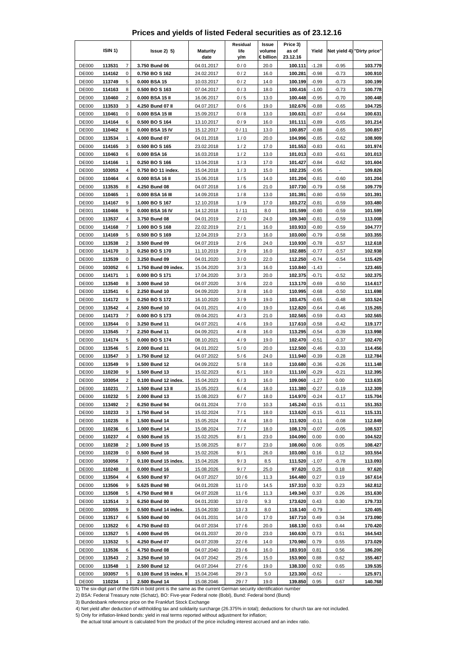|  | Prices and yields of listed Federal securities as of 23.12.16 |  |  |  |
|--|---------------------------------------------------------------|--|--|--|
|--|---------------------------------------------------------------|--|--|--|

|                              | ISIN 1)          |                         | $lssue2)$ 5)                             | <b>Maturity</b><br>date  | Residual<br>life<br>y/m | Issue<br>volume<br>€ billion | Price 3)<br>as of<br>23.12.16 | Yield              |                    | Net yield 4) "Dirty price" |
|------------------------------|------------------|-------------------------|------------------------------------------|--------------------------|-------------------------|------------------------------|-------------------------------|--------------------|--------------------|----------------------------|
| <b>DE000</b>                 | 113531           | $\overline{7}$          | 3.750 Bund 06                            | 04.01.2017               | 0/0                     | 20.0                         | 100.111                       | $-1.28$            | $-0.95$            | 103.779                    |
| <b>DE000</b>                 | 114162           | 0                       | 0.750 BO S 162                           | 24.02.2017               | 0/2                     | 16.0                         | 100.281                       | $-0.98$            | $-0.73$            | 100.910                    |
| <b>DE000</b>                 | 113749           | 5                       | 0.000 BSA 15                             | 10.03.2017               | 0/2                     | 14.0                         | 100.199                       | $-0.99$            | $-0.73$            | 100.199                    |
| DE000                        | 114163           | 8                       | 0.500 BO S 163                           | 07.04.2017               | 0/3                     | 18.0                         | 100.416                       | $-1.00$            | $-0.73$            | 100.778                    |
| <b>DE000</b>                 | 110460           | $\overline{\mathbf{c}}$ | 0.000 BSA 15 II                          | 16.06.2017               | 0/5                     | 13.0                         | 100.448                       | $-0.95$            | $-0.70$            | 100.448                    |
| <b>DE000</b>                 | 113533           | 3                       | 4.250 Bund 07 II                         | 04.07.2017               | 0/6                     | 19.0                         | 102.676                       | $-0.88$            | $-0.65$            | 104.725                    |
| <b>DE000</b>                 | 110461           | 0                       | 0.000 BSA 15 III                         | 15.09.2017               | 0/8                     | 13.0                         | 100.631                       | $-0.87$            | $-0.64$            | 100.631                    |
| <b>DE000</b>                 | 114164           | 6                       | 0.500 BO S 164                           | 13.10.2017               | 0/9                     | 16.0                         | 101.111                       | $-0.89$            | $-0.65$            | 101.214                    |
| <b>DE000</b><br><b>DE000</b> | 110462<br>113534 | 8<br>1                  | 0.000 BSA 15 IV<br>4.000 Bund 07         | 15.12.2017<br>04.01.2018 | 0/11<br>1/0             | 13.0<br>20.0                 | 100.857<br>104.996            | $-0.88$<br>$-0.85$ | $-0.65$<br>$-0.62$ | 100.857<br>108.909         |
| <b>DE000</b>                 | 114165           | 3                       | 0.500 BOS 165                            | 23.02.2018               | 1/2                     | 17.0                         | 101.553                       | $-0.83$            | $-0.61$            | 101.974                    |
| <b>DE000</b>                 | 110463           | 6                       | 0.000 BSA 16                             | 16.03.2018               | 1/2                     | 13.0                         | 101.013                       | $-0.83$            | $-0.61$            | 101.013                    |
| <b>DE000</b>                 | 114166           | 1                       | 0.250 BO S 166                           | 13.04.2018               | 1/3                     | 17.0                         | 101.427                       | $-0.84$            | $-0.62$            | 101.604                    |
| <b>DE000</b>                 | 103053           | 4                       | 0.750 BO 11 index.                       | 15.04.2018               | 1/3                     | 15.0                         | 102.235                       | $-0.95$            | ÷                  | 109.826                    |
| <b>DE000</b>                 | 110464           | 4                       | 0.000 BSA 16 II                          | 15.06.2018               | 1/5                     | 14.0                         | 101.204                       | $-0.81$            | $-0.60$            | 101.204                    |
| <b>DE000</b>                 | 113535           | 8                       | 4.250 Bund 08                            | 04.07.2018               | 1/6                     | 21.0                         | 107.730                       | $-0.79$            | $-0.58$            | 109.779                    |
| <b>DE000</b>                 | 110465           | 1                       | 0.000 BSA 16 III                         | 14.09.2018               | 1/8                     | 13.0                         | 101.391                       | $-0.80$            | $-0.59$            | 101.391                    |
| <b>DE000</b>                 | 114167           | 9                       | 1.000 BO S 167                           | 12.10.2018               | 1/9                     | 17.0                         | 103.272                       | $-0.81$            | $-0.59$            | 103.480                    |
| DE001                        | 110466           | 9                       | 0.000 BSA 16 IV                          | 14.12.2018               | 1/11                    | 8.0                          | 101.599                       | $-0.80$            | $-0.59$            | 101.599                    |
| <b>DE000</b>                 | 113537           | 4                       | 3.750 Bund 08                            | 04.01.2019               | 2/0                     | 24.0                         | 109.340                       | $-0.81$            | $-0.59$            | 113.008                    |
| <b>DE000</b>                 | 114168           | 7                       | 1.000 BO S 168                           | 22.02.2019               | 2/1                     | 16.0                         | 103.933                       | $-0.80$            | $-0.59$            | 104.777                    |
| <b>DE000</b>                 | 114169           | 5                       | 0.500 BO S 169                           | 12.04.2019               | 2/3                     | 16.0                         | 103.000                       | $-0.79$            | $-0.58$            | 103.355                    |
| DE000<br><b>DE000</b>        | 113538<br>114170 | $\overline{2}$<br>3     | 3.500 Bund 09<br>0.250 BO S 170          | 04.07.2019<br>11.10.2019 | 2/6<br>2/9              | 24.0<br>16.0                 | 110.930<br>102.885            | $-0.78$<br>$-0.77$ | $-0.57$<br>$-0.57$ | 112.618<br>102.938         |
| <b>DE000</b>                 | 113539           | 0                       | 3.250 Bund 09                            | 04.01.2020               | 3/0                     | 22.0                         | 112.250                       | $-0.74$            | $-0.54$            | 115.429                    |
| <b>DE000</b>                 | 103052           | 6                       | 1.750 Bund 09 index.                     | 15.04.2020               | 3/3                     | 16.0                         | 110.840                       | $-1.43$            |                    | 123.465                    |
| <b>DE000</b>                 | 114171           | 1                       | 0.000 BOS 171                            | 17.04.2020               | 3/3                     | 20.0                         | 102.375                       | $-0.71$            | $-0.52$            | 102.375                    |
| <b>DE000</b>                 | 113540           | 8                       | 3.000 Bund 10                            | 04.07.2020               | 3/6                     | 22.0                         | 113.170                       | $-0.69$            | $-0.50$            | 114.617                    |
| <b>DE000</b>                 | 113541           | 6                       | 2.250 Bund 10                            | 04.09.2020               | 3/8                     | 16.0                         | 110.995                       | $-0.68$            | $-0.50$            | 111.698                    |
| <b>DE000</b>                 | 114172           | 9                       | 0.250 BO S 172                           | 16.10.2020               | 3/9                     | 19.0                         | 103.475                       | $-0.65$            | $-0.48$            | 103.524                    |
| DE000                        | 113542           | 4                       | 2.500 Bund 10                            | 04.01.2021               | 4/0                     | 19.0                         | 112.820                       | $-0.64$            | $-0.46$            | 115.265                    |
| <b>DE000</b>                 | 114173           | $\overline{7}$          | 0.000 BO S 173                           | 09.04.2021               | 4/3                     | 21.0                         | 102.565                       | $-0.59$            | $-0.43$            | 102.565                    |
| <b>DE000</b>                 | 113544           | 0                       | 3.250 Bund 11                            | 04.07.2021               | 4/6                     | 19.0                         | 117.610                       | $-0.58$            | $-0.42$            | 119.177                    |
| <b>DE000</b>                 | 113545           | 7                       | 2.250 Bund 11                            | 04.09.2021               | 4/8                     | 16.0                         | 113.295                       | $-0.54$            | $-0.39$            | 113.998                    |
| <b>DE000</b>                 | 114174           | 5                       | 0.000 BO S 174                           | 08.10.2021               | 4/9                     | 19.0                         | 102.470                       | $-0.51$            | $-0.37$            | 102.470                    |
| <b>DE000</b><br><b>DE000</b> | 113546           | 5                       | 2.000 Bund 11                            | 04.01.2022               | 5/0                     | 20.0                         | 112.500                       | $-0.46$            | $-0.33$            | 114.456                    |
| <b>DE000</b>                 | 113547<br>113549 | 3<br>9                  | 1.750 Bund 12<br>1.500 Bund 12           | 04.07.2022<br>04.09.2022 | 5/6<br>5/8              | 24.0<br>18.0                 | 111.940<br>110.680            | $-0.39$<br>$-0.36$ | $-0.28$<br>$-0.26$ | 112.784<br>111.148         |
| <b>DE000</b>                 | 110230           | 9                       | 1.500 Bund 13                            | 15.02.2023               | 6/1                     | 18.0                         | 111.100                       | $-0.29$            | $-0.21$            | 112.395                    |
| <b>DE000</b>                 | 103054           | $\overline{c}$          | 0.100 Bund 12 index.                     | 15.04.2023               | 6/3                     | 16.0                         | 109.060                       | $-1.27$            | 0.00               | 113.635                    |
| <b>DE000</b>                 | 110231           | 7                       | 1.500 Bund 13 II                         | 15.05.2023               | 6/4                     | 18.0                         | 111.380                       | $-0.27$            | $-0.19$            | 112.309                    |
| <b>DE000</b>                 | 110232           | 5                       | 2.000 Bund 13                            | 15.08.2023               | 6/7                     | 18.0                         | 114.970                       | $-0.24$            | $-0.17$            | 115.704                    |
| <b>DE000</b>                 | 113492           | 2                       | 6.250 Bund 94                            | 04.01.2024               | 7/0                     | 10.3                         | 145.240                       | $-0.15$            | $-0.11$            | 151.353                    |
| <b>DE000</b>                 | 110233           | 3                       | 1.750 Bund 14                            | 15.02.2024               | 7/1                     | 18.0                         | 113.620                       | $-0.15$            | $-0.11$            | 115.131                    |
| <b>DE000</b>                 | 110235           | 8                       | 1.500 Bund 14                            | 15.05.2024               | 7/4                     | 18.0                         | 111.920                       | $-0.11$            | $-0.08$            | 112.849                    |
| <b>DE000</b>                 | 110236           | 6                       | 1.000 Bund 14                            | 15.08.2024               | 7/7                     | 18.0                         | 108.170                       | $-0.07$            | $-0.05$            | 108.537                    |
| <b>DE000</b>                 | 110237           | 4                       | 0.500 Bund 15                            | 15.02.2025               | 8/1                     | 23.0                         | 104.090                       | 0.00               | 0.00               | 104.522                    |
| <b>DE000</b>                 | 110238           | 2                       | 1.000 Bund 15                            | 15.08.2025               | 8/7                     | 23.0                         | 108.060                       | 0.06               | 0.05               | 108.427                    |
| <b>DE000</b>                 | 110239           | 0                       | 0.500 Bund 16                            | 15.02.2026               | 9/1                     | 26.0                         | 103.080                       | 0.16               | 0.12               | 103.554                    |
| <b>DE000</b>                 | 103056           | 7                       | 0.100 Bund 15 index.                     | 15.04.2026<br>15.08.2026 | 9/3                     | 8.5                          | 111.520                       | $-1.07$            | $-0.78$            | 113.093                    |
| <b>DE000</b><br><b>DE000</b> | 110240<br>113504 | 8<br>4                  | 0.000 Bund 16<br>6.500 Bund 97           | 04.07.2027               | 9/7<br>10/6             | 25.0<br>11.3                 | 97.620<br>164.480             | 0.25<br>0.27       | 0.18<br>0.19       | 97.620<br>167.614          |
| <b>DE000</b>                 | 113506           | 9                       | 5.625 Bund 98                            | 04.01.2028               | 11/0                    | 14.5                         | 157.310                       | 0.32               | 0.23               | 162.812                    |
| DE000                        | 113508           | 5                       | 4.750 Bund 98 II                         | 04.07.2028               | 11/6                    | 11.3                         | 149.340                       | 0.37               | 0.26               | 151.630                    |
| <b>DE000</b>                 | 113514           | 3                       | 6.250 Bund 00                            | 04.01.2030               | 13/0                    | 9.3                          | 173.620                       | 0.43               | 0.30               | 179.733                    |
| <b>DE000</b>                 | 103055           | 9                       | 0.500 Bund 14 index.                     | 15.04.2030               | 13/3                    | 8.0                          | 118.140                       | $-0.79$            |                    | 120.405                    |
| <b>DE000</b>                 | 113517           | 6                       | 5.500 Bund 00                            | 04.01.2031               | 14/0                    | 17.0                         | 167.710                       | 0.49               | 0.34               | 173.090                    |
| <b>DE000</b>                 | 113522           | 6                       | 4.750 Bund 03                            | 04.07.2034               | 17/6                    | 20.0                         | 168.130                       | 0.63               | 0.44               | 170.420                    |
| DE000                        | 113527           | 5                       | 4.000 Bund 05                            | 04.01.2037               | 20/0                    | 23.0                         | 160.630                       | 0.73               | 0.51               | 164.543                    |
| <b>DE000</b>                 | 113532           | 5                       | 4.250 Bund 07                            | 04.07.2039               | 22/6                    | 14.0                         | 170.980                       | 0.79               | 0.55               | 173.029                    |
| <b>DE000</b>                 | 113536           | 6                       | 4.750 Bund 08                            | 04.07.2040               | 23/6                    | 16.0                         | 183.910                       | 0.81               | 0.56               | 186.200                    |
| DE000                        | 113543           | 2                       | 3.250 Bund 10                            | 04.07.2042               | 25/6                    | 15.0                         | 153.900                       | 0.88               | 0.62               | 155.467                    |
| <b>DE000</b>                 | 113548           | 1                       | 2.500 Bund 12                            | 04.07.2044               | 27/6                    | 19.0                         | 138.330                       | 0.92               | 0.65               | 139.535                    |
| <b>DE000</b><br><b>DE000</b> | 103057<br>110234 | 5<br>1                  | 0.100 Bund 15 index. II<br>2.500 Bund 14 | 15.04.2046<br>15.08.2046 | 29/3<br>29/7            | 5.0<br>19.0                  | 123.300<br>139.850            | $-0.62$<br>0.95    | 0.67               | 125.971<br>140.768         |
|                              |                  |                         |                                          |                          |                         |                              |                               |                    |                    |                            |

3) Bundesbank reference price on the Frankfurt Stock Exchange

4) Net yield after deduction of withholding tax and solidarity surcharge (26.375% in total); deductions for church tax are not included.

5) Only for inflation-linked bonds: yield in real terms reported without adjustment for inflation;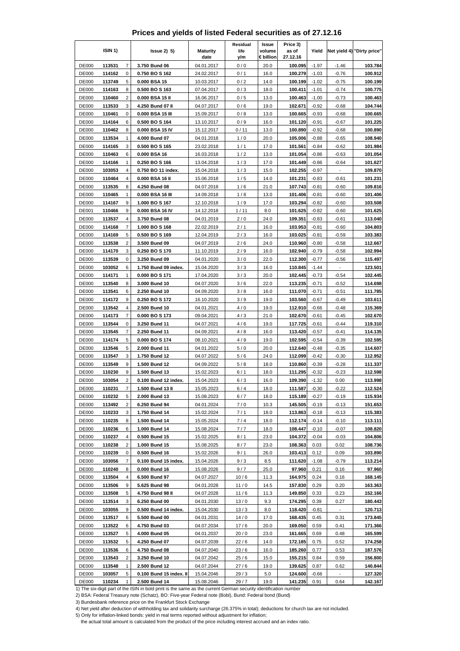|                              | ISIN 1)          |                | $lssue2)$ 5)                          | <b>Maturity</b><br>date  | Residual<br>life<br>y/m | Issue<br>volume<br>€ billion | Price 3)<br>as of<br>27.12.16 | Yield              |                                  | Net yield 4) "Dirty price" |
|------------------------------|------------------|----------------|---------------------------------------|--------------------------|-------------------------|------------------------------|-------------------------------|--------------------|----------------------------------|----------------------------|
| <b>DE000</b>                 | 113531           | $\overline{7}$ | 3.750 Bund 06                         | 04.01.2017               | 0/0                     | 20.0                         | 100.095                       | $-1.97$            | $-1.46$                          | 103.784                    |
| <b>DE000</b>                 | 114162           | 0              | 0.750 BO S 162                        | 24.02.2017               | 0/1                     | 16.0                         | 100.279                       | $-1.03$            | $-0.76$                          | 100.912                    |
| <b>DE000</b>                 | 113749           | 5              | 0.000 BSA 15                          | 10.03.2017               | 0/2                     | 14.0                         | 100.199                       | $-1.02$            | $-0.75$                          | 100.199                    |
| <b>DE000</b>                 | 114163           | 8              | 0.500 BO S 163                        | 07.04.2017               | 0/3                     | 18.0                         | 100.411                       | $-1.01$            | $-0.74$                          | 100.775                    |
| <b>DE000</b>                 | 110460           | $\overline{c}$ | 0.000 BSA 15 II                       | 16.06.2017               | 0/5                     | 13.0                         | 100.463                       | $-1.00$            | $-0.73$                          | 100.463                    |
| <b>DE000</b>                 | 113533           | 3              | 4.250 Bund 07 II                      | 04.07.2017               | 0/6                     | 19.0                         | 102.671                       | $-0.92$            | $-0.68$                          | 104.744                    |
| <b>DE000</b>                 | 110461           | 0              | 0.000 BSA 15 III                      | 15.09.2017               | 0/8                     | 13.0                         | 100.665                       | $-0.93$            | $-0.68$                          | 100.665                    |
| <b>DE000</b>                 | 114164           | 6<br>8         | 0.500 BO S 164                        | 13.10.2017               | 0/9                     | 16.0                         | 101.120<br>100.890            | $-0.91$            | $-0.67$                          | 101.225                    |
| <b>DE000</b><br><b>DE000</b> | 110462<br>113534 | 1              | 0.000 BSA 15 IV<br>4.000 Bund 07      | 15.12.2017<br>04.01.2018 | 0/11<br>1/0             | 13.0<br>20.0                 | 105.006                       | $-0.92$<br>$-0.88$ | $-0.68$<br>$-0.65$               | 100.890<br>108.940         |
| <b>DE000</b>                 | 114165           | 3              | 0.500 BO S 165                        | 23.02.2018               | 1/1                     | 17.0                         | 101.561                       | $-0.84$            | $-0.62$                          | 101.984                    |
| <b>DE000</b>                 | 110463           | 6              | 0.000 BSA 16                          | 16.03.2018               | 1/2                     | 13.0                         | 101.054                       | $-0.86$            | $-0.63$                          | 101.054                    |
| <b>DE000</b>                 | 114166           | 1              | 0.250 BO S 166                        | 13.04.2018               | 1/3                     | 17.0                         | 101.449                       | $-0.86$            | $-0.64$                          | 101.627                    |
| <b>DE000</b>                 | 103053           | 4              | 0.750 BO 11 index.                    | 15.04.2018               | 1/3                     | 15.0                         | 102.255                       | $-0.97$            | ÷,                               | 109.870                    |
| DE000                        | 110464           | 4              | 0.000 BSA 16 II                       | 15.06.2018               | 1/5                     | 14.0                         | 101.231                       | $-0.83$            | $-0.61$                          | 101.231                    |
| <b>DE000</b>                 | 113535           | 8              | 4.250 Bund 08                         | 04.07.2018               | 1/6                     | 21.0                         | 107.743                       | $-0.81$            | $-0.60$                          | 109.816                    |
| <b>DE000</b>                 | 110465           | 1              | 0.000 BSA 16 III                      | 14.09.2018               | 1/8                     | 13.0                         | 101.406                       | $-0.81$            | $-0.60$                          | 101.406                    |
| <b>DE000</b>                 | 114167           | 9              | 1.000 BO S 167                        | 12.10.2018               | 1/9                     | 17.0                         | 103.294                       | $-0.82$            | $-0.60$                          | 103.508                    |
| DE001                        | 110466           | 9              | 0.000 BSA 16 IV                       | 14.12.2018               | 1/11                    | 8.0                          | 101.625                       | $-0.82$            | $-0.60$                          | 101.625                    |
| <b>DE000</b>                 | 113537           | 4              | 3.750 Bund 08                         | 04.01.2019               | 2/0                     | 24.0                         | 109.351                       | $-0.83$            | $-0.61$                          | 113.040                    |
| <b>DE000</b>                 | 114168           | 7              | 1.000 BO S 168                        | 22.02.2019               | 2/1                     | 16.0                         | 103.953                       | $-0.81$            | $-0.60$                          | 104.803                    |
| <b>DE000</b>                 | 114169           | 5              | 0.500 BO S 169                        | 12.04.2019               | 2/3                     | 16.0                         | 103.025                       | $-0.81$            | $-0.59$                          | 103.383                    |
| <b>DE000</b>                 | 113538           | $\overline{2}$ | 3.500 Bund 09                         | 04.07.2019               | 2/6                     | 24.0                         | 110.960                       | $-0.80$            | $-0.58$                          | 112.667                    |
| <b>DE000</b><br><b>DE000</b> | 114170           | 3              | 0.250 BO S 170                        | 11.10.2019               | 2/9                     | 16.0                         | 102.940                       | $-0.79$            | $-0.58$                          | 102.994<br>115.497         |
| <b>DE000</b>                 | 113539<br>103052 | 0<br>6         | 3.250 Bund 09<br>1.750 Bund 09 index. | 04.01.2020<br>15.04.2020 | 3/0<br>3/3              | 22.0<br>16.0                 | 112.300<br>110.845            | $-0.77$<br>$-1.44$ | $-0.56$                          | 123.501                    |
| DE000                        | 114171           | 1              | 0.000 BOS 171                         | 17.04.2020               | 3/3                     | 20.0                         | 102.445                       | $-0.73$            | $-0.54$                          | 102.445                    |
| <b>DE000</b>                 | 113540           | 8              | 3.000 Bund 10                         | 04.07.2020               | 3/6                     | 22.0                         | 113.235                       | $-0.71$            | $-0.52$                          | 114.698                    |
| <b>DE000</b>                 | 113541           | 6              | 2.250 Bund 10                         | 04.09.2020               | 3/8                     | 16.0                         | 111.070                       | $-0.71$            | $-0.51$                          | 111.785                    |
| <b>DE000</b>                 | 114172           | 9              | 0.250 BO S 172                        | 16.10.2020               | 3/9                     | 19.0                         | 103.560                       | $-0.67$            | $-0.49$                          | 103.611                    |
| <b>DE000</b>                 | 113542           | 4              | 2.500 Bund 10                         | 04.01.2021               | 4/0                     | 19.0                         | 112.910                       | $-0.66$            | $-0.48$                          | 115.369                    |
| <b>DE000</b>                 | 114173           | $\overline{7}$ | 0.000 BO S 173                        | 09.04.2021               | 4/3                     | 21.0                         | 102.670                       | $-0.61$            | $-0.45$                          | 102.670                    |
| <b>DE000</b>                 | 113544           | 0              | 3.250 Bund 11                         | 04.07.2021               | 4/6                     | 19.0                         | 117.725                       | $-0.61$            | $-0.44$                          | 119.310                    |
| <b>DE000</b>                 | 113545           | 7              | 2.250 Bund 11                         | 04.09.2021               | 4/8                     | 16.0                         | 113.420                       | $-0.57$            | $-0.41$                          | 114.135                    |
| <b>DE000</b>                 | 114174           | 5              | 0.000 BO S 174                        | 08.10.2021               | 4/9                     | 19.0                         | 102.595                       | $-0.54$            | $-0.39$                          | 102.595                    |
| <b>DE000</b>                 | 113546           | 5              | 2.000 Bund 11                         | 04.01.2022               | 5/0                     | 20.0                         | 112.640                       | $-0.48$            | $-0.35$                          | 114.607                    |
| <b>DE000</b>                 | 113547           | 3              | 1.750 Bund 12                         | 04.07.2022               | 5/6                     | 24.0                         | 112.099                       | $-0.42$            | $-0.30$                          | 112.952                    |
| DE000                        | 113549           | 9              | 1.500 Bund 12                         | 04.09.2022               | 5/8                     | 18.0                         | 110.860                       | $-0.39$            | $-0.28$                          | 111.337                    |
| <b>DE000</b><br><b>DE000</b> | 110230<br>103054 | 9<br>2         | 1.500 Bund 13<br>0.100 Bund 12 index. | 15.02.2023<br>15.04.2023 | 6/1<br>6/3              | 18.0<br>16.0                 | 111.295<br>109.390            | $-0.32$<br>$-1.32$ | $-0.23$<br>0.00                  | 112.598<br>113.998         |
| <b>DE000</b>                 | 110231           | 7              | 1.500 Bund 13 II                      | 15.05.2023               | 6/4                     | 18.0                         | 111.587                       | $-0.30$            | $-0.22$                          | 112.524                    |
| DE000                        | 110232           | 5              | 2.000 Bund 13                         | 15.08.2023               | 6/7                     | 18.0                         | 115.189                       | $-0.27$            | $-0.19$                          | 115.934                    |
| <b>DE000</b>                 | 113492           | 2              | 6.250 Bund 94                         | 04.01.2024               | 7/0                     | 10.3                         | 145.505                       | $-0.19$            | $-0.13$                          | 151.653                    |
| <b>DE000</b>                 | 110233           | 3              | 1.750 Bund 14                         | 15.02.2024               | 7/1                     | 18.0                         | 113.863                       | $-0.18$            | $-0.13$                          | 115.383                    |
| <b>DE000</b>                 | 110235           | 8              | 1.500 Bund 14                         | 15.05.2024               | 7/4                     | 18.0                         | 112.174                       | $-0.14$            | $-0.10$                          | 113.111                    |
| DE000                        | 110236           | 6              | 1.000 Bund 14                         | 15.08.2024               | 7/7                     | 18.0                         | 108.447                       | $-0.10$            | $-0.07$                          | 108.820                    |
| <b>DE000</b>                 | 110237           | 4              | 0.500 Bund 15                         | 15.02.2025               | 8/1                     | 23.0                         | 104.372                       | $-0.04$            | $-0.03$                          | 104.806                    |
| <b>DE000</b>                 | 110238           | 2              | 1.000 Bund 15                         | 15.08.2025               | 8/7                     | 23.0                         | 108.363                       | 0.03               | 0.02                             | 108.736                    |
| <b>DE000</b>                 | 110239           | 0              | 0.500 Bund 16                         | 15.02.2026               | 9/1                     | 26.0                         | 103.413                       | 0.12               | 0.09                             | 103.890                    |
| DE000                        | 103056           | 7              | 0.100 Bund 15 index.                  | 15.04.2026               | 9/3                     | 8.5                          | 111.620                       | $-1.08$            | $-0.79$                          | 113.214                    |
| DE000                        | 110240           | 8              | 0.000 Bund 16                         | 15.08.2026               | 9/7                     | 25.0                         | 97.960                        | 0.21               | 0.16                             | 97.960                     |
| <b>DE000</b>                 | 113504           | 4              | 6.500 Bund 97                         | 04.07.2027               | 10/6                    | 11.3                         | 164.975                       | 0.24               | 0.16                             | 168.145                    |
| <b>DE000</b>                 | 113506           | 9              | 5.625 Bund 98                         | 04.01.2028               | 11/0                    | 14.5                         | 157.830                       | 0.29               | 0.20                             | 163.363                    |
| DE000                        | 113508           | 5              | 4.750 Bund 98 II                      | 04.07.2028               | 11/6                    | 11.3                         | 149.850                       | 0.33               | 0.23                             | 152.166                    |
| <b>DE000</b><br><b>DE000</b> | 113514<br>103055 | 3<br>9         | 6.250 Bund 00<br>0.500 Bund 14 index. | 04.01.2030<br>15.04.2030 | 13/0<br>13/3            | 9.3<br>8.0                   | 174.295<br>118.420            | 0.39<br>$-0.81$    | 0.27<br>$\overline{\phantom{a}}$ | 180.443<br>120.713         |
| <b>DE000</b>                 | 113517           | 6              | 5.500 Bund 00                         | 04.01.2031               | 14/0                    | 17.0                         | 168.435                       | 0.45               | 0.31                             | 173.845                    |
| <b>DE000</b>                 | 113522           | 6              | 4.750 Bund 03                         | 04.07.2034               | 17/6                    | 20.0                         | 169.050                       | 0.59               | 0.41                             | 171.366                    |
| <b>DE000</b>                 | 113527           | 5              | 4.000 Bund 05                         | 04.01.2037               | 20/0                    | 23.0                         | 161.665                       | 0.69               | 0.48                             | 165.599                    |
| <b>DE000</b>                 | 113532           | 5              | 4.250 Bund 07                         | 04.07.2039               | 22/6                    | 14.0                         | 172.185                       | 0.75               | 0.52                             | 174.258                    |
| <b>DE000</b>                 | 113536           | 6              | 4.750 Bund 08                         | 04.07.2040               | 23/6                    | 16.0                         | 185.260                       | 0.77               | 0.53                             | 187.576                    |
| <b>DE000</b>                 | 113543           | 2              | 3.250 Bund 10                         | 04.07.2042               | 25/6                    | 15.0                         | 155.215                       | 0.84               | 0.59                             | 156.800                    |
| <b>DE000</b>                 | 113548           | 1              | 2.500 Bund 12                         | 04.07.2044               | 27/6                    | 19.0                         | 139.625                       | 0.87               | 0.62                             | 140.844                    |
| <b>DE000</b>                 | 103057           | 5              | 0.100 Bund 15 index. II               | 15.04.2046               | 29/3                    | 5.0                          | 124.600                       | $-0.66$            | $\overline{\phantom{a}}$         | 127.320                    |
| DE000                        | 110234           | 1              | 2.500 Bund 14                         | 15.08.2046               | 29/7                    | 19.0                         | 141.235                       | 0.91               | 0.64                             | 142.167                    |

3) Bundesbank reference price on the Frankfurt Stock Exchange

4) Net yield after deduction of withholding tax and solidarity surcharge (26.375% in total); deductions for church tax are not included.

5) Only for inflation-linked bonds: yield in real terms reported without adjustment for inflation;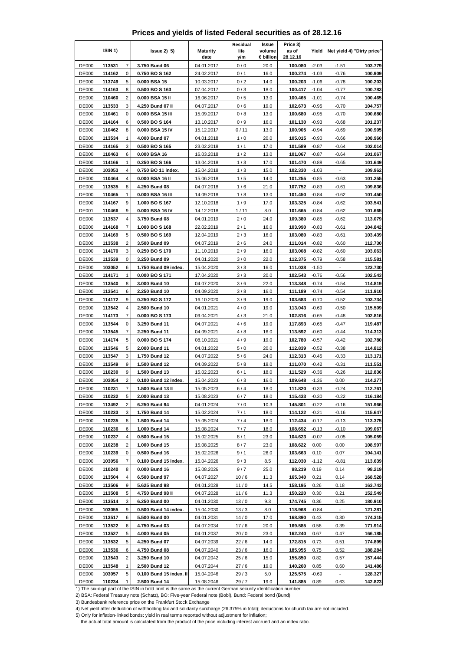|  | Prices and yields of listed Federal securities as of 28.12.16 |  |  |  |
|--|---------------------------------------------------------------|--|--|--|
|--|---------------------------------------------------------------|--|--|--|

|                              | ISIN 1)          |                | $lssue2)$ 5)                     | <b>Maturity</b><br>date  | Residual<br>life<br>y/m | Issue<br>volume<br>€ billion | Price 3)<br>as of<br>28.12.16 | Yield              |                          | Net yield 4) "Dirty price" |
|------------------------------|------------------|----------------|----------------------------------|--------------------------|-------------------------|------------------------------|-------------------------------|--------------------|--------------------------|----------------------------|
| <b>DE000</b>                 | 113531           | $\overline{7}$ | 3.750 Bund 06                    | 04.01.2017               | 0/0                     | 20.0                         | 100.080                       | $-2.03$            | $-1.51$                  | 103.779                    |
| <b>DE000</b>                 | 114162           | 0              | 0.750 BO S 162                   | 24.02.2017               | 0/1                     | 16.0                         | 100.274                       | $-1.03$            | $-0.76$                  | 100.909                    |
| <b>DE000</b>                 | 113749           | 5              | 0.000 BSA 15                     | 10.03.2017               | 0/2                     | 14.0                         | 100.203                       | $-1.06$            | $-0.78$                  | 100.203                    |
| <b>DE000</b>                 | 114163           | 8              | 0.500 BO S 163                   | 07.04.2017               | 0/3                     | 18.0                         | 100.417                       | $-1.04$            | $-0.77$                  | 100.783                    |
| <b>DE000</b>                 | 110460           | $\overline{c}$ | 0.000 BSA 15 II                  | 16.06.2017               | 0/5                     | 13.0                         | 100.465                       | $-1.01$            | $-0.74$                  | 100.465                    |
| <b>DE000</b>                 | 113533           | 3              | 4.250 Bund 07 II                 | 04.07.2017               | 0/6                     | 19.0                         | 102.673                       | $-0.95$            | $-0.70$                  | 104.757                    |
| <b>DE000</b>                 | 110461           | 0              | 0.000 BSA 15 III                 | 15.09.2017               | 0/8                     | 13.0                         | 100.680                       | $-0.95$            | $-0.70$                  | 100.680                    |
| <b>DE000</b>                 | 114164           | 6<br>8         | 0.500 BO S 164                   | 13.10.2017               | 0/9                     | 16.0                         | 101.130<br>100.905            | $-0.93$<br>$-0.94$ | $-0.68$                  | 101.237<br>100.905         |
| <b>DE000</b><br><b>DE000</b> | 110462<br>113534 | 1              | 0.000 BSA 15 IV<br>4.000 Bund 07 | 15.12.2017<br>04.01.2018 | 0/11<br>1/0             | 13.0<br>20.0                 | 105.015                       | $-0.90$            | $-0.69$<br>$-0.66$       | 108.960                    |
| <b>DE000</b>                 | 114165           | 3              | 0.500 BO S 165                   | 23.02.2018               | 1/1                     | 17.0                         | 101.589                       | $-0.87$            | $-0.64$                  | 102.014                    |
| <b>DE000</b>                 | 110463           | 6              | 0.000 BSA 16                     | 16.03.2018               | 1/2                     | 13.0                         | 101.067                       | $-0.87$            | $-0.64$                  | 101.067                    |
| <b>DE000</b>                 | 114166           | 1              | 0.250 BO S 166                   | 13.04.2018               | 1/3                     | 17.0                         | 101.470                       | $-0.88$            | $-0.65$                  | 101.649                    |
| <b>DE000</b>                 | 103053           | 4              | 0.750 BO 11 index.               | 15.04.2018               | 1/3                     | 15.0                         | 102.330                       | $-1.03$            | $\overline{\phantom{a}}$ | 109.962                    |
| DE000                        | 110464           | 4              | 0.000 BSA 16 II                  | 15.06.2018               | 1/5                     | 14.0                         | 101.255                       | $-0.85$            | $-0.63$                  | 101.255                    |
| <b>DE000</b>                 | 113535           | 8              | 4.250 Bund 08                    | 04.07.2018               | 1/6                     | 21.0                         | 107.752                       | $-0.83$            | $-0.61$                  | 109.836                    |
| <b>DE000</b>                 | 110465           | 1              | 0.000 BSA 16 III                 | 14.09.2018               | 1/8                     | 13.0                         | 101.450                       | $-0.84$            | $-0.62$                  | 101.450                    |
| <b>DE000</b>                 | 114167           | 9              | 1.000 BO S 167                   | 12.10.2018               | 1/9                     | 17.0                         | 103.325                       | $-0.84$            | $-0.62$                  | 103.541                    |
| DE001                        | 110466           | 9              | 0.000 BSA 16 IV                  | 14.12.2018               | 1/11                    | 8.0                          | 101.665                       | $-0.84$            | $-0.62$                  | 101.665                    |
| <b>DE000</b>                 | 113537           | 4<br>7         | 3.750 Bund 08                    | 04.01.2019               | 2/0                     | 24.0                         | 109.380                       | $-0.85$            | $-0.62$                  | 113.079                    |
| <b>DE000</b><br><b>DE000</b> | 114168<br>114169 | 5              | 1.000 BO S 168<br>0.500 BO S 169 | 22.02.2019<br>12.04.2019 | 2/1<br>2/3              | 16.0<br>16.0                 | 103.990<br>103.080            | $-0.83$<br>$-0.83$ | $-0.61$<br>$-0.61$       | 104.842<br>103.439         |
| <b>DE000</b>                 | 113538           | $\overline{2}$ | 3.500 Bund 09                    | 04.07.2019               | 2/6                     | 24.0                         | 111.014                       | $-0.82$            | $-0.60$                  | 112.730                    |
| <b>DE000</b>                 | 114170           | 3              | 0.250 BO S 170                   | 11.10.2019               | 2/9                     | 16.0                         | 103.008                       | $-0.82$            | $-0.60$                  | 103.063                    |
| <b>DE000</b>                 | 113539           | 0              | 3.250 Bund 09                    | 04.01.2020               | 3/0                     | 22.0                         | 112.375                       | $-0.79$            | $-0.58$                  | 115.581                    |
| <b>DE000</b>                 | 103052           | 6              | 1.750 Bund 09 index.             | 15.04.2020               | 3/3                     | 16.0                         | 111.038                       | $-1.50$            |                          | 123.730                    |
| DE000                        | 114171           | 1              | 0.000 BO S 171                   | 17.04.2020               | 3/3                     | 20.0                         | 102.543                       | $-0.76$            | $-0.56$                  | 102.543                    |
| <b>DE000</b>                 | 113540           | 8              | 3.000 Bund 10                    | 04.07.2020               | 3/6                     | 22.0                         | 113.348                       | $-0.74$            | $-0.54$                  | 114.819                    |
| DE000                        | 113541           | 6              | 2.250 Bund 10                    | 04.09.2020               | 3/8                     | 16.0                         | 111.189                       | $-0.74$            | $-0.54$                  | 111.910                    |
| <b>DE000</b>                 | 114172           | 9              | 0.250 BO S 172                   | 16.10.2020               | 3/9                     | 19.0                         | 103.683                       | $-0.70$            | $-0.52$                  | 103.734                    |
| <b>DE000</b>                 | 113542           | 4              | 2.500 Bund 10                    | 04.01.2021               | 4/0                     | 19.0                         | 113.043                       | $-0.69$            | $-0.50$                  | 115.509                    |
| <b>DE000</b>                 | 114173           | $\overline{7}$ | 0.000 BO S 173                   | 09.04.2021               | 4/3                     | 21.0                         | 102.816                       | $-0.65$            | $-0.48$                  | 102.816                    |
| <b>DE000</b><br><b>DE000</b> | 113544<br>113545 | 0<br>7         | 3.250 Bund 11<br>2.250 Bund 11   | 04.07.2021<br>04.09.2021 | 4/6                     | 19.0<br>16.0                 | 117.893<br>113.592            | $-0.65$<br>$-0.60$ | $-0.47$                  | 119.487                    |
| <b>DE000</b>                 | 114174           | 5              | 0.000 BO S 174                   | 08.10.2021               | 4/8<br>4/9              | 19.0                         | 102.780                       | $-0.57$            | $-0.44$<br>$-0.42$       | 114.313<br>102.780         |
| <b>DE000</b>                 | 113546           | 5              | 2.000 Bund 11                    | 04.01.2022               | 5/0                     | 20.0                         | 112.839                       | $-0.52$            | $-0.38$                  | 114.812                    |
| <b>DE000</b>                 | 113547           | 3              | 1.750 Bund 12                    | 04.07.2022               | 5/6                     | 24.0                         | 112.313                       | $-0.45$            | $-0.33$                  | 113.171                    |
| DE000                        | 113549           | 9              | 1.500 Bund 12                    | 04.09.2022               | 5/8                     | 18.0                         | 111.070                       | $-0.42$            | $-0.31$                  | 111.551                    |
| <b>DE000</b>                 | 110230           | 9              | 1.500 Bund 13                    | 15.02.2023               | 6/1                     | 18.0                         | 111.529                       | $-0.36$            | $-0.26$                  | 112.836                    |
| <b>DE000</b>                 | 103054           | 2              | 0.100 Bund 12 index.             | 15.04.2023               | 6/3                     | 16.0                         | 109.648                       | $-1.36$            | 0.00                     | 114.277                    |
| <b>DE000</b>                 | 110231           | 7              | 1.500 Bund 13 II                 | 15.05.2023               | 6/4                     | 18.0                         | 111.820                       | $-0.33$            | $-0.24$                  | 112.761                    |
| DE000                        | 110232           | 5              | 2.000 Bund 13                    | 15.08.2023               | 6/7                     | 18.0                         | 115.433                       | $-0.30$            | $-0.22$                  | 116.184                    |
| <b>DE000</b>                 | 113492           | 2              | 6.250 Bund 94                    | 04.01.2024               | 7/0                     | 10.3                         | 145.801                       | $-0.22$            | $-0.16$                  | 151.966                    |
| <b>DE000</b>                 | 110233           | 3              | 1.750 Bund 14                    | 15.02.2024               | 7/1                     | 18.0                         | 114.122                       | $-0.21$            | $-0.16$                  | 115.647                    |
| <b>DE000</b><br>DE000        | 110235<br>110236 | 8<br>6         | 1.500 Bund 14<br>1.000 Bund 14   | 15.05.2024<br>15.08.2024 | 7/4<br>7/7              | 18.0<br>18.0                 | 112.434<br>108.692            | $-0.17$<br>$-0.13$ | $-0.13$<br>$-0.10$       | 113.375<br>109.067         |
| <b>DE000</b>                 | 110237           | 4              | 0.500 Bund 15                    | 15.02.2025               | 8/1                     | 23.0                         | 104.623                       | $-0.07$            | $-0.05$                  | 105.059                    |
| <b>DE000</b>                 | 110238           | 2              | 1.000 Bund 15                    | 15.08.2025               | 8/7                     | 23.0                         | 108.622                       | 0.00               | 0.00                     | 108.997                    |
| <b>DE000</b>                 | 110239           | 0              | 0.500 Bund 16                    | 15.02.2026               | 9/1                     | 26.0                         | 103.663                       | 0.10               | 0.07                     | 104.141                    |
| DE000                        | 103056           | 7              | 0.100 Bund 15 index.             | 15.04.2026               | 9/3                     | 8.5                          | 112.030                       | $-1.12$            | $-0.81$                  | 113.639                    |
| DE000                        | 110240           | 8              | 0.000 Bund 16                    | 15.08.2026               | 9/7                     | 25.0                         | 98.219                        | 0.19               | 0.14                     | 98.219                     |
| <b>DE000</b>                 | 113504           | 4              | 6.500 Bund 97                    | 04.07.2027               | 10/6                    | 11.3                         | 165.340                       | 0.21               | 0.14                     | 168.528                    |
| <b>DE000</b>                 | 113506           | 9              | 5.625 Bund 98                    | 04.01.2028               | 11/0                    | 14.5                         | 158.195                       | 0.26               | 0.18                     | 163.743                    |
| DE000                        | 113508           | 5              | 4.750 Bund 98 II                 | 04.07.2028               | 11/6                    | 11.3                         | 150.220                       | 0.30               | 0.21                     | 152.549                    |
| <b>DE000</b>                 | 113514           | 3              | 6.250 Bund 00                    | 04.01.2030               | 13/0                    | 9.3                          | 174.745                       | 0.36               | 0.25                     | 180.910                    |
| <b>DE000</b>                 | 103055           | 9              | 0.500 Bund 14 index.             | 15.04.2030               | 13/3                    | 8.0                          | 118.968                       | $-0.84$            | $\overline{\phantom{a}}$ | 121.281                    |
| <b>DE000</b><br><b>DE000</b> | 113517<br>113522 | 6<br>6         | 5.500 Bund 00<br>4.750 Bund 03   | 04.01.2031<br>04.07.2034 | 14/0<br>17/6            | 17.0<br>20.0                 | 168.890<br>169.585            | 0.43<br>0.56       | 0.30<br>0.39             | 174.315<br>171.914         |
| <b>DE000</b>                 | 113527           | 5              | 4.000 Bund 05                    | 04.01.2037               | 20/0                    | 23.0                         | 162.240                       | 0.67               | 0.47                     | 166.185                    |
| <b>DE000</b>                 | 113532           | 5              | 4.250 Bund 07                    | 04.07.2039               | 22/6                    | 14.0                         | 172.815                       | 0.73               | 0.51                     | 174.899                    |
| <b>DE000</b>                 | 113536           | 6              | 4.750 Bund 08                    | 04.07.2040               | 23/6                    | 16.0                         | 185.955                       | 0.75               | 0.52                     | 188.284                    |
| <b>DE000</b>                 | 113543           | 2              | 3.250 Bund 10                    | 04.07.2042               | 25/6                    | 15.0                         | 155.850                       | 0.82               | 0.57                     | 157.444                    |
| <b>DE000</b>                 | 113548           | 1              | 2.500 Bund 12                    | 04.07.2044               | 27/6                    | 19.0                         | 140.260                       | 0.85               | 0.60                     | 141.486                    |
| <b>DE000</b>                 | 103057           | 5              | 0.100 Bund 15 index. II          | 15.04.2046               | 29/3                    | 5.0                          | 125.575                       | $-0.69$            | $\overline{\phantom{a}}$ | 128.327                    |
| DE000                        | 110234           | 1              | 2.500 Bund 14                    | 15.08.2046               | 29/7                    | 19.0                         | 141.885                       | 0.89               | 0.63                     | 142.823                    |

3) Bundesbank reference price on the Frankfurt Stock Exchange

4) Net yield after deduction of withholding tax and solidarity surcharge (26.375% in total); deductions for church tax are not included.

5) Only for inflation-linked bonds: yield in real terms reported without adjustment for inflation;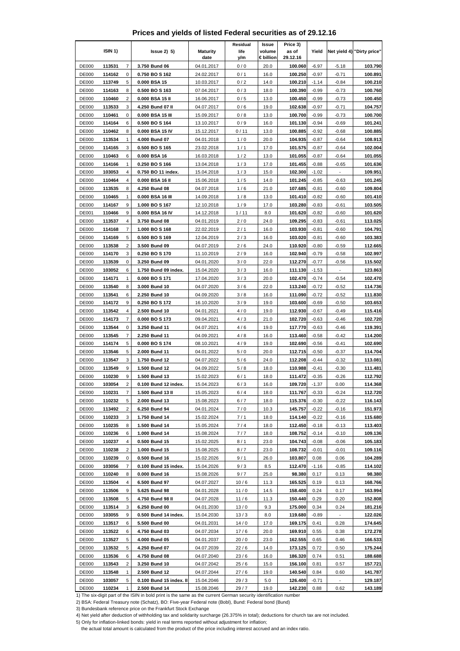## **Prices and yields of listed Federal securities as of 29.12.16**

|                       |                  |                   |                                   |                          | Residual    | Issue               | Price 3)           |                    |                          |                            |
|-----------------------|------------------|-------------------|-----------------------------------|--------------------------|-------------|---------------------|--------------------|--------------------|--------------------------|----------------------------|
|                       | ISIN 1)          |                   | $lssue2)$ 5)                      | <b>Maturity</b><br>date  | life<br>y/m | volume<br>€ billion | as of<br>29.12.16  | Yield              |                          | Net yield 4) "Dirty price" |
| DE000                 | 113531           | 7                 | 3.750 Bund 06                     | 04.01.2017               | 0/0         | 20.0                | 100.060            | $-6.97$            | $-5.18$                  | 103.790                    |
| <b>DE000</b>          | 114162           | 0                 | 0.750 BO S 162                    | 24.02.2017               | 0/1         | 16.0                | 100.250            | $-0.97$            | $-0.71$                  | 100.891                    |
| <b>DE000</b>          | 113749           | 5                 | 0.000 BSA 15                      | 10.03.2017               | 0/2         | 14.0                | 100.210            | $-1.14$            | $-0.84$                  | 100.210                    |
| <b>DE000</b>          | 114163           | 8                 | 0.500 BO S 163                    | 07.04.2017               | 0/3         | 18.0                | 100.390            | $-0.99$            | $-0.73$                  | 100.760                    |
| <b>DE000</b>          | 110460           | $\overline{2}$    | 0.000 BSA 15 II                   | 16.06.2017               | 0/5         | 13.0                | 100.450            | $-0.99$            | $-0.73$                  | 100.450                    |
| DE000                 | 113533           | 3                 | 4.250 Bund 07 II                  | 04.07.2017               | 0/6         | 19.0                | 102.638            | $-0.97$            | $-0.71$                  | 104.757                    |
| <b>DE000</b>          | 110461           | 0                 | 0.000 BSA 15 III                  | 15.09.2017               | 0/8         | 13.0                | 100.700            | $-0.99$            | $-0.73$                  | 100.700                    |
| <b>DE000</b>          | 114164           | 6                 | 0.500 BO S 164                    | 13.10.2017               | 0/9         | 16.0                | 101.130            | $-0.94$            | $-0.69$                  | 101.241                    |
| <b>DE000</b>          | 110462           | 8                 | 0.000 BSA 15 IV                   | 15.12.2017               | 0/11        | 13.0                | 100.885            | $-0.92$            | $-0.68$                  | 100.885                    |
| <b>DE000</b>          | 113534           | $\mathbf{1}$      | 4.000 Bund 07                     | 04.01.2018               | 1/0         | 20.0                | 104.935            | $-0.87$            | $-0.64$                  | 108.913                    |
| <b>DE000</b>          | 114165           | 3                 | 0.500 BO S 165                    | 23.02.2018               | 1/1         | 17.0                | 101.575            | -0.87              | $-0.64$                  | 102.004                    |
| <b>DE000</b>          | 110463           | 6                 | 0.000 BSA 16                      | 16.03.2018               | 1/2         | 13.0                | 101.055            | $-0.87$            | $-0.64$                  | 101.055                    |
| <b>DE000</b>          | 114166           | $\mathbf{1}$      | 0.250 BO S 166                    | 13.04.2018               | 1/3         | 17.0                | 101.455            | $-0.88$            | $-0.65$                  | 101.636                    |
| <b>DE000</b>          | 103053           | 4                 | 0.750 BO 11 index.                | 15.04.2018               | 1/3         | 15.0                | 102.300            | $-1.02$            | Ξ                        | 109.951                    |
| <b>DE000</b>          | 110464           | 4                 | 0.000 BSA 16 II                   | 15.06.2018               | 1/5         | 14.0                | 101.245            | $-0.85$            | $-0.63$                  | 101.245                    |
| <b>DE000</b>          | 113535           | 8<br>$\mathbf{1}$ | 4.250 Bund 08                     | 04.07.2018               | 1/6         | 21.0                | 107.685            | $-0.81$            | $-0.60$                  | 109.804                    |
| <b>DE000</b>          | 110465           |                   | 0.000 BSA 16 III                  | 14.09.2018               | 1/8         | 13.0                | 101.410            | $-0.82$            | $-0.60$                  | 101.410                    |
| <b>DE000</b><br>DE001 | 114167<br>110466 | 9<br>9            | 1.000 BO S 167<br>0.000 BSA 16 IV | 12.10.2018<br>14.12.2018 | 1/9<br>1/11 | 17.0<br>8.0         | 103.280<br>101.620 | $-0.83$<br>$-0.82$ | $-0.61$<br>$-0.60$       | 103.505<br>101.620         |
| <b>DE000</b>          | 113537           | $\overline{4}$    | 3.750 Bund 08                     | 04.01.2019               | 2/0         | 24.0                | 109.295            | $-0.83$            | $-0.61$                  | 113.025                    |
| <b>DE000</b>          | 114168           | 7                 | 1.000 BO S 168                    | 22.02.2019               | 2/1         | 16.0                | 103.930            | $-0.81$            | $-0.60$                  | 104.791                    |
| <b>DE000</b>          | 114169           | 5                 | 0.500 BO S 169                    | 12.04.2019               | 2/3         | 16.0                | 103.020            | $-0.81$            | $-0.60$                  | 103.383                    |
| <b>DE000</b>          | 113538           | $\overline{2}$    | 3.500 Bund 09                     | 04.07.2019               | 2/6         | 24.0                | 110.920            | $-0.80$            | $-0.59$                  | 112.665                    |
| <b>DE000</b>          | 114170           | 3                 | 0.250 BO S 170                    | 11.10.2019               | 2/9         | 16.0                | 102.940            | $-0.79$            | $-0.58$                  | 102.997                    |
| <b>DE000</b>          | 113539           | 0                 | 3.250 Bund 09                     | 04.01.2020               | 3/0         | 22.0                | 112.270            | $-0.77$            | $-0.56$                  | 115.502                    |
| <b>DE000</b>          | 103052           | 6                 | 1.750 Bund 09 index.              | 15.04.2020               | 3/3         | 16.0                | 111.130            | $-1.53$            |                          | 123.863                    |
| DE000                 | 114171           | $\mathbf{1}$      | 0.000 BOS 171                     | 17.04.2020               | 3/3         | 20.0                | 102.470            | $-0.74$            | $-0.54$                  | 102.470                    |
| <b>DE000</b>          | 113540           | 8                 | 3.000 Bund 10                     | 04.07.2020               | 3/6         | 22.0                | 113.240            | $-0.72$            | $-0.52$                  | 114.736                    |
| <b>DE000</b>          | 113541           | 6                 | 2.250 Bund 10                     | 04.09.2020               | 3/8         | 16.0                | 111.090            | -0.72              | $-0.52$                  | 111.830                    |
| <b>DE000</b>          | 114172           | 9                 | 0.250 BO S 172                    | 16.10.2020               | 3/9         | 19.0                | 103.600            | $-0.69$            | $-0.50$                  | 103.653                    |
| DE000                 | 113542           | 4                 | 2.500 Bund 10                     | 04.01.2021               | 4/0         | 19.0                | 112.930            | $-0.67$            | $-0.49$                  | 115.416                    |
| <b>DE000</b>          | 114173           | 7                 | 0.000 BO S 173                    | 09.04.2021               | 4/3         | 21.0                | 102.720            | $-0.63$            | $-0.46$                  | 102.720                    |
| <b>DE000</b>          | 113544           | 0                 | 3.250 Bund 11                     | 04.07.2021               | 4/6         | 19.0                | 117.770            | $-0.63$            | $-0.46$                  | 119.391                    |
| <b>DE000</b>          | 113545           | 7                 | 2.250 Bund 11                     | 04.09.2021               | 4/8         | 16.0                | 113.460            | $-0.58$            | $-0.42$                  | 114.200                    |
| DE000                 | 114174           | 5                 | 0.000 BO S 174                    | 08.10.2021               | 4/9         | 19.0                | 102.690            | $-0.56$            | $-0.41$                  | 102.690                    |
| <b>DE000</b>          | 113546           | 5                 | 2.000 Bund 11                     | 04.01.2022               | 5/0         | 20.0                | 112.715            | $-0.50$            | $-0.37$                  | 114.704                    |
| <b>DE000</b>          | 113547           | 3                 | 1.750 Bund 12                     | 04.07.2022               | 5/6         | 24.0                | 112.208            | $-0.44$            | $-0.32$                  | 113.081                    |
| <b>DE000</b>          | 113549           | 9                 | 1.500 Bund 12                     | 04.09.2022               | 5/8         | 18.0                | 110.988            | $-0.41$            | $-0.30$                  | 111.481                    |
| <b>DE000</b>          | 110230           | 9                 | 1.500 Bund 13                     | 15.02.2023               | 6/1         | 18.0                | 111.472            | $-0.35$            | $-0.26$                  | 112.792                    |
| <b>DE000</b>          | 103054           | 2                 | 0.100 Bund 12 index.              | 15.04.2023               | 6/3         | 16.0                | 109.720            | $-1.37$            | 0.00                     | 114.368                    |
| <b>DE000</b>          | 110231           | 7                 | 1.500 Bund 13 II                  | 15.05.2023               | 6/4         | 18.0                | 111.767            | $-0.33$            | $-0.24$                  | 112.720                    |
| <b>DE000</b>          | 110232           | 5                 | 2.000 Bund 13                     | 15.08.2023               | 6/7         | 18.0                | 115.376            | $-0.30$            | $-0.22$                  | 116.143                    |
| DE000                 | 113492           | 2                 | 6.250 Bund 94                     | 04.01.2024               | 7/0         | 10.3                | 145.757            | $-0.22$            | $-0.16$                  | 151.973                    |
| <b>DE000</b>          | 110233           | 3                 | 1.750 Bund 14                     | 15.02.2024               | 7/1         | 18.0                | 114.140            | $-0.22$            | $-0.16$                  | 115.680                    |
| DE000                 | 110235           | 8                 | 1.500 Bund 14                     | 15.05.2024               | $7/4$       | 18.0                | 112.450            | $-0.18$            | $-0.13$                  | 113.403                    |
| DE000                 | 110236           | 6                 | 1.000 Bund 14                     | 15.08.2024               | 7/7         | 18.0                | 108.752            | $-0.14$            | $-0.10$                  | 109.136                    |
| DE000                 | 110237           | 4                 | 0.500 Bund 15                     | 15.02.2025               | 8/1         | 23.0                | 104.743            | $-0.08$            | $-0.06$                  | 105.183                    |
| DE000<br><b>DE000</b> | 110238<br>110239 | 2<br>0            | 1.000 Bund 15<br>0.500 Bund 16    | 15.08.2025               | 8/7<br>9/1  | 23.0<br>26.0        | 108.732<br>103.807 | $-0.01$<br>0.08    | $-0.01$<br>0.06          | 109.116<br>104.289         |
| <b>DE000</b>          | 103056           | 7                 | 0.100 Bund 15 index.              | 15.02.2026<br>15.04.2026 | 9/3         | 8.5                 | 112.470            | $-1.16$            | $-0.85$                  | 114.102                    |
| <b>DE000</b>          | 110240           | 8                 | 0.000 Bund 16                     | 15.08.2026               | 9/7         | 25.0                | 98.380             | 0.17               | 0.13                     | 98.380                     |
| DE000                 | 113504           | 4                 | 6.500 Bund 97                     | 04.07.2027               | 10/6        | 11.3                | 165.525            | 0.19               | 0.13                     | 168.766                    |
| <b>DE000</b>          | 113506           | 9                 | 5.625 Bund 98                     | 04.01.2028               | 11/0        | 14.5                | 158.400            | 0.24               | 0.17                     | 163.994                    |
| <b>DE000</b>          | 113508           | 5                 | 4.750 Bund 98 II                  | 04.07.2028               | 11/6        | 11.3                | 150.440            | 0.29               | 0.20                     | 152.808                    |
| DE000                 | 113514           | 3                 | 6.250 Bund 00                     | 04.01.2030               | 13/0        | 9.3                 | 175.000            | 0.34               | 0.24                     | 181.216                    |
| DE000                 | 103055           | 9                 | 0.500 Bund 14 index.              | 15.04.2030               | 13/3        | 8.0                 | 119.680            | $-0.89$            | $\overline{\phantom{a}}$ | 122.026                    |
| <b>DE000</b>          | 113517           | 6                 | 5.500 Bund 00                     | 04.01.2031               | 14/0        | 17.0                | 169.175            | 0.41               | 0.28                     | 174.645                    |
| <b>DE000</b>          | 113522           | 6                 | 4.750 Bund 03                     | 04.07.2034               | 17/6        | 20.0                | 169.910            | 0.55               | 0.38                     | 172.278                    |
| <b>DE000</b>          | 113527           | 5                 | 4.000 Bund 05                     | 04.01.2037               | 20/0        | 23.0                | 162.555            | 0.65               | 0.46                     | 166.533                    |
| <b>DE000</b>          | 113532           | 5                 | 4.250 Bund 07                     | 04.07.2039               | 22/6        | 14.0                | 173.125            | 0.72               | 0.50                     | 175.244                    |
| <b>DE000</b>          | 113536           | 6                 | 4.750 Bund 08                     | 04.07.2040               | 23/6        | 16.0                | 186.320            | 0.74               | 0.51                     | 188.688                    |
| <b>DE000</b>          | 113543           | 2                 | 3.250 Bund 10                     | 04.07.2042               | 25 / 6      | 15.0                | 156.100            | 0.81               | 0.57                     | 157.721                    |
| <b>DE000</b>          | 113548           | 1                 | 2.500 Bund 12                     | 04.07.2044               | 27/6        | 19.0                | 140.540            | 0.84               | 0.60                     | 141.787                    |
| <b>DE000</b>          | 103057           | 5                 | 0.100 Bund 15 index. II           | 15.04.2046               | 29/3        | 5.0                 | 126.400            | $-0.71$            |                          | 129.187                    |
| <b>DE000</b>          | 110234           | $\mathbf{1}$      | 2.500 Bund 14                     | 15.08.2046               | 29/7        | 19.0                | 142.230            | 0.88               | 0.62                     | 143.189                    |

1) The six-digit part of the ISIN in bold print is the same as the current German security identification number 2) BSA: Federal Treasury note (Schatz), BO: Five-year Federal note (Bobl), Bund: Federal bond (Bund)

3) Bundesbank reference price on the Frankfurt Stock Exchange

4) Net yield after deduction of withholding tax and solidarity surcharge (26.375% in total); deductions for church tax are not included.

5) Only for inflation-linked bonds: yield in real terms reported without adjustment for inflation;